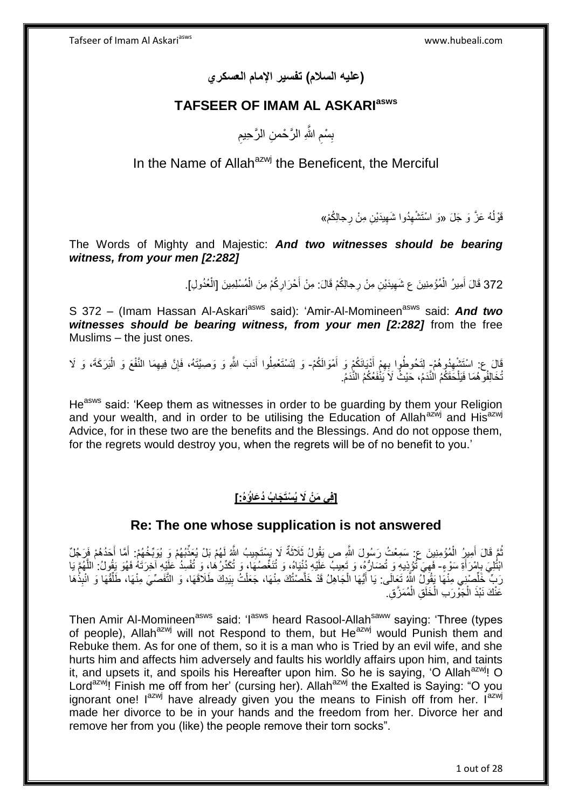**)عليه السالم( تفسير اإلمام العسكري**

# **TAFSEER OF IMAM AL ASKARIasws**

ِ بِسْمِ اللَّهِ الرَّحْمنِ الرَّحِيمِ ِ ِ

# In the Name of Allah<sup>azwj</sup> the Beneficent, the Merciful

قَوْلُهُ عَزَّ وَ جَلَ «وَ اسْتَشْهِدُوا شَهِيدَيْنِ مِنْ رِجالِكُمْ» ِ

The Words of Mighty and Majestic: *And two witnesses should be bearing witness, from your men [2:282]*

> 372 قَالَ أَمِيرُ الْمُؤْمِنِينَ ع شَهِيدَيْنِ مِنْ رِجالِكُمْ قَالَ: مِنْ أَحْرَارِكُمْ مِنَ الْمُسْلِمِينَ [الْعُدُولِ]. ْ ْ َ ْ َ

S 372 - (Imam Hassan Al-Askari<sup>asws</sup> said): 'Amir-Al-Momineen<sup>asws</sup> said: And two witnesses should be bearing witness, from your men [2:282] from the free Muslims – the just ones.

َالَ عِ: اسْتَشْهِدُوهُمْ- لِتَحُوطُوا بِهِمْ أَدْيَانَكُمْ وَ أَمْوَالَكُمْ- وَ لِتَسْتَعْمِلُوا أَدَبَ اللَّهِ وَ وَصِيَّتَهُ، فَإِنَّ فِيهِمَا النَّفْعَ وَ الْبَرَكَةَ، وَ لَا ِ َ َ ِ َ ْ ِ ∣ٍ تُخَالِفُو هُمَا فَيَلْحَقَكُمُ الْنَّدَمُ، حَيْثُ لَا يَنْفَعُكُمُ النِّدَمُ. ْ

He<sup>asws</sup> said: 'Keep them as witnesses in order to be guarding by them your Religion and your wealth, and in order to be utilising the Education of Allah<sup>azwj</sup> and His<sup>azwj</sup> Advice, for in these two are the benefits and the Blessings. And do not oppose them, for the regrets would destroy you, when the regrets will be of no benefit to you.'

# **]فِي َم ْن ََل ُي ْسَت َجا ُب ُد َعاُؤه:ُ[**

### **Re: The one whose supplication is not answered**

نُمَّ قَالَ أَمِيرُ الْمُؤْمِنِينَ ع: سَمِعْتُ رَسُولَ اللَّهِ ص يَقُولُ ثَلاثَةٌ لَا يَسْتَجِيبُ اللَّهُ لَهُمْ بَلْ يُعَذِّبُهُمْ وَ يُوَبِّخُهُمْ: أَمَّا أَحَدُهُمْ فَرَجُلٌ ْ َ َ َ َ ابْتُلِيَ بِإِمْرَأَةِ سَوْءٍ- فَهِيَ تُؤْذِيهِ وَ تُضَارُّهُ، وَ تَعِيبُ عَلَيْهِ دُنْيَاهُ، وَ تُنَغِّصُهُا، وَ تُكَدِّرُهُا، وَ تُفْسِدُ عَلَيْهِ آخِرَتَهُ فَهُوَ يَقُولُ: اللَّهُمَّ يَا َ ¦ ِ ه رَبٌّ خَلِّصْنِي مِنْهَا يَقُولُ اللَّهُ تَعَالَى: يَا أَيُّهَا الْجَاهِلُ قَدْ خَلَّصْتُكَ مِنْهَا، جَعَلْتُ بِيَدِكَ طَلَاقَهَا، وَ التَّفَصِّيَ مِنْهَا، طَلِّقُهَا وَ انْبِذْهَا ِ ْ ه ْ َ ْ ِّ عَنْكَ نَبْذَ الْجَوْرَبِ الْخَلَقِ الْمُمَزَّقِ. ْ ْ ْ

Then Amir Al-Momineen<sup>asws</sup> said: 'I<sup>asws</sup> heard Rasool-Allah<sup>saww</sup> saying: 'Three (types of people). Allah<sup>azwj</sup> will not Respond to them, but He<sup>azwj</sup> would Punish them and Rebuke them. As for one of them, so it is a man who is Tried by an evil wife, and she hurts him and affects him adversely and faults his worldly affairs upon him, and taints it, and upsets it, and spoils his Hereafter upon him. So he is saying, 'O Allah<sup>azwj</sup>! O Lord<sup>azwj</sup>! Finish me off from her' (cursing her). Allah<sup>azwj</sup> the Exalted is Saying: "O you ignorant one!  $I^{azwj}$  have already given you the means to Finish off from her.  $I^{azwj}$ made her divorce to be in your hands and the freedom from her. Divorce her and remove her from you (like) the people remove their torn socks".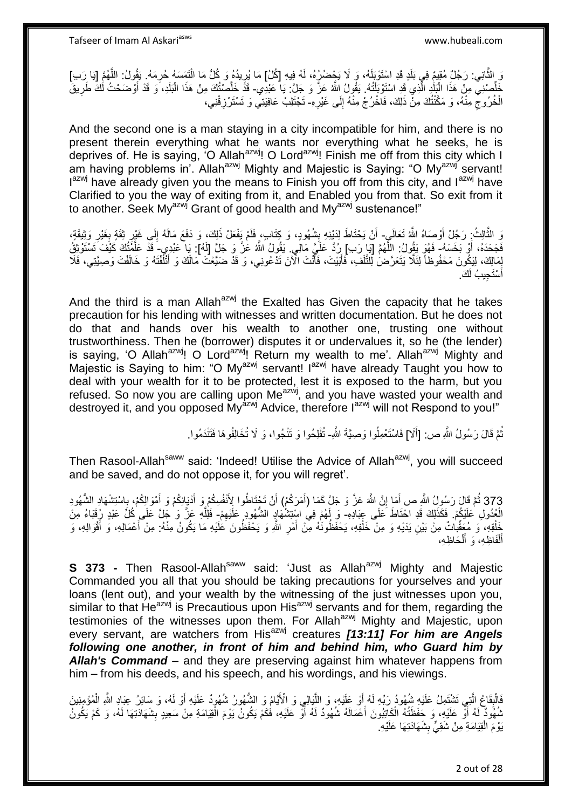Tafseer of Imam Al Askariasws www.hubeali.com

رَ الثَّانِي: رَجُلٌ مُقِيمٌ فِي بَلَدٍ قَدِ اسْتَوْبَلَهُ، وَ لَا يَحْضُرُرُهُ، لَهُ فِيهِ [كُلُ] مَا يُرِيدُهُ وَ كُلُّ مَا الْتَمَسَهُ حُرِمَهُ. يَقُولُ: اللَّهُمَّ [يَا رَب]<br>وَ الثَّانِي: رَجُلٌ مُقِيمٌ فِي بَلَاءَ وَ ِ ْ ه َفَلِّصْنِيٌّ مِنْ هَذَا الْبَلَٰدِ الَّذِي قَدِ اسْتَوْبَلْتُهُ. يَقُولُ اللَّهُ عَزَّ وَ جَلَّ: يَا عَبْدِي- قَذَّ خَلَّصْتُكَ مِنْ هَذَا الْبَلَدِ، وَ قَدْ أَوْضَحْتُ لُكَ طَرِيقَ ْ ه ا<br>ا ِ َ ْ الْخُرُوجْ مِنْهُ، وَ مَكَّنْتُكَ مِنْ ذَلِكَ، فَاخْرُجْ مِنْهُ إِلَى غَيْرِهِ- تَجْتَلِبْ عَافِيَتِي وَ تَسْتَرْزِقْنِي، **∶** ∣∣<br>∶ ِ ِ

And the second one is a man staying in a city incompatible for him, and there is no present therein everything what he wants nor everything what he seeks, he is deprives of. He is saying, 'O Allah<sup>azwj</sup>! O Lord<sup>azwj</sup>! Finish me off from this city which I am having problems in'. Allah<sup>azwj</sup> Mighty and Majestic is Saying: "O My<sup>azwj'</sup> servant! Iazwj have already given you the means to Finish you off from this city, and lazwj have Clarified to you the way of exiting from it, and Enabled you from that. So exit from it to another. Seek My<sup>azwj</sup> Grant of good health and My<sup>azwj</sup> sustenance!"

وَ الثَّالِثُ: رَجُلٌ أَوْصَاهُ اللَّهُ تَعَالَىٍ- أَنْ يَحْتَاطَ لِدَيْنِهِ بِشُهُودٍ، وَ كِتَابٍ، فَلَمْ يَفْعَلْ ذَلِكَ، وَ دَفَعَ مَالَهُ إِلَى غَيْرِ ثِقَةٍ بِغَيْرِ وَثِيقَةٍ، ه ِ ِ ِ ِ **∣** َ فَجَحَدَهُ، أَوْ بَخَسَهُ- فَهُوَ يَقُولُ: اللَّهُمَّ [يَا ِرَبِ) رِدَّ عَلَيَّ مَالِّي. يَقُولُ اللَّهُ عَزَّ وَ جَلَّ [لَهُ]: يَا عَبْدِي َ قَدْ عَلَّمَٰتُكَ كَيْفَ تَسْتَوْثِقُ َ ه ه بِمَالِكَ، لِيَكُونَ مَحْفُوظاً لِثَلَّا يَتَعَرَّضُ لِلثَّلَفِ، فَأَنْيتَ، فَأَنْتَ الْآنَ تَدْعُونِي، وَ قَدْ ضَيَّعْتَ مَالَكَ وَ أَتْلُفْتَهُ وَ خَالَفْتَ وَصِيَّتِي، فَلَا َ ن<br>ا لَ لَ َ أَسْتَجِيبُ لَكَ َ

And the third is a man Allah<sup>azwj</sup> the Exalted has Given the capacity that he takes precaution for his lending with witnesses and written documentation. But he does not do that and hands over his wealth to another one, trusting one without trustworthiness. Then he (borrower) disputes it or undervalues it, so he (the lender) is saying, 'O Allah<sup>azwj</sup>! O Lord<sup>azwj</sup>! Return my wealth to me'. Allah<sup>azwj</sup> Mighty and Majestic is Saying to him: "O My<sup>azwj</sup> servant! I<sup>azwj</sup> have already Taught you how to deal with your wealth for it to be protected, lest it is exposed to the harm, but you refused. So now you are calling upon Me<sup>azwj</sup>, and you have wasted your wealth and destroyed it, and you opposed My<sup>azwj</sup> Advice, therefore l<sup>azwj</sup> will not Respond to you!"

> نُّمَّ قَالَ رَسُولُ اللَّهِ ص: [أَلا] فَاسْتَعْمِلُوا وَصِيَّةَ اللَّهِ- تُفْلِحُوا وَ تَنْجُوا، وَ لَا تُخَالِفُوهَا فَتَنْدَمُوا. َ ُ

Then Rasool-Allah<sup>saww</sup> said: 'Indeed! Utilise the Advice of Allah<sup>azwj</sup>, you will succeed and be saved, and do not oppose it, for you will regret'.

373 ثُمَّ قَالَ رَسُولُ اللَّهِ ص أَمَا إِنَّ اللَّهَ عَنَّ وَ جَلَّ كَمَا (أَمَرَكُمْ) أَنْ تَجْتَاطُوا لِإِنْفُسِكُمْ وَ أَيْوَالِكُمْ وَ إِسْتَشْهَادِ الشُّهُودِ ِ َ َ **ٔ** َ َ ِ َ الْعُدُولِ عَلَيْكُمْ. فَكَذَلِكَ قَدِ احْتَاطَ عَلَى عِبَادِهِ- وَ لَهُمْ فِي اسْتِتِتْنُهَادٍ الشُّهُودِ عَلَيْهِمْ- فَلِلَّهِ عَزَّ وَ جَلَّ عَلَى كُلِّ عَبْدٍ رِفَقَاءُ مِنْ ِ ه خَلْقِهِ، وَ مُعَقَّبِاتٌ مِنْ بَيْنِ يَدَيْهِ وَ مِنْ خَلْفِهِ، يَحْفَظُونَهُ مِنْ أَمْرِ اللَّهِ وَ يَحْفَظُونَ كَلْيُهِ مَا يَكُونُ مِنْهُ: مِنْ أَعْمَالِهِ، وَ أَقْوَالِهِ، وَ ِ َ ْ ْ َ َ أَلْفَاظِهِ، وَ أَلْحَاظِهِ، ْ َ ْ َ

**S 373 -** Then Rasool-Allah<sup>saww</sup> said: 'Just as Allah<sup>azwj</sup> Mighty and Majestic Commanded you all that you should be taking precautions for yourselves and your loans (lent out), and your wealth by the witnessing of the just witnesses upon you, similar to that  $He^{azwj}$  is Precautious upon His<sup> $azwj$ </sup> servants and for them, regarding the testimonies of the witnesses upon them. For Allah<sup>azwj</sup> Mighty and Majestic, upon every servant, are watchers from His<sup>azwj</sup> creatures [13:11] For him are Angels *following one another, in front of him and behind him, who Guard him by Allah's Command* – and they are preserving against him whatever happens from him – from his deeds, and his speech, and his wordings, and his viewings.

فَالْبِقَاعُ الَّتِي تَشْتَمِلُ عَلَيْهِ شُِهُودُ رَبِّهِ لَهُ أَوْ عَلَيْهِ، وَ اللَّيَالِي وَ الْأَيَّامُ وَ الشُّهُورُ شُهُودٌ عَلَيْهِ أَوْ لَهُ، وَ سَائِرُ عِبَادِ اللَّهِ الْمُؤْمِنِينَ ه َ ه **ِ** ْ ْ َ ثْمُهُودٌ لَمُ أَوْ عَلَيْهِ، وَ حَفَظَتُهُ الْكَاتِبُونَ أَعْمَالَهُ شُهُودٌ لَهُ أَوْ عَلَيْهِ، فَكَمْ يَكُونُ يَوْمَ الْقِيَامَةِ مِنْ سَعِيدٍ بِشَهَادَتِهَا لَهُ، وَ كَمْ يَكُونُ ْ اً َ ْ ֪֪֪֞֟֓֕֓֡֟֓֡֟֓֡֟֓֟֓֡֟֓֡֟֓֡֟֟֓֞֟֡֟֟֟֟֡֟֟֓֞֟֞֟֓֞ ِ يَوْمَ الْقِيَامَةِ مِنْ شَقِيٍّ بِشَهَادَتِهَا عَلَيْهِ **∣** ْ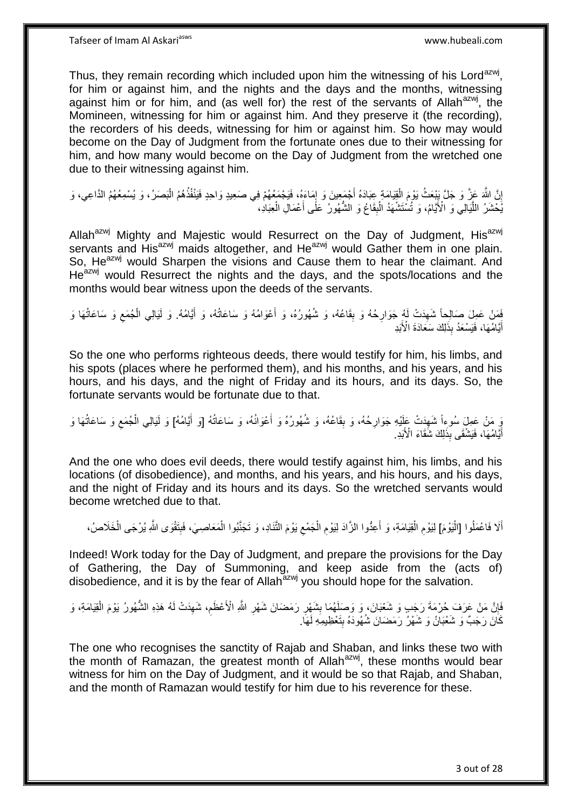Thus, they remain recording which included upon him the witnessing of his Lord<sup>azwj</sup>, for him or against him, and the nights and the days and the months, witnessing against him or for him, and (as well for) the rest of the servants of Allah $a$ <sup>azwj</sup>, the Momineen, witnessing for him or against him. And they preserve it (the recording), the recorders of his deeds, witnessing for him or against him. So how may would become on the Day of Judgment from the fortunate ones due to their witnessing for him, and how many would become on the Day of Judgment from the wretched one due to their witnessing against him.

إِنَّ اللَّهَ عَزَّ وَ جَلَّ يَيْعَثُ يَوْمَ الْقِيَامَةِ عِبَادَهُ أَجْمَعِينَ وَ إِمَاءَهُ، فَيَجْمَعُهُمْ فِي صَعِيدٍ وَاحِدٍ فَيَنْفُذُهُمُ الْبَصَرُ، وَ يُسْمِعُهُمُ الذَّاعِي، وَ  $\frac{1}{2}$ َ ْ ِ ْ يُّخْشَرُ اللَّيَالِيِّ وَ الْأَيَّامُ، وَ َتُسْتَشْهَدُ الْبِقَاعُ وَ الشُّهُورُ ۖ عَلَّى أَعْمَالِ الْعِبَادِ، ْ َ **ِ** ْ ه

Allah<sup>azwj</sup> Mighty and Majestic would Resurrect on the Day of Judgment, His<sup>azwj</sup> servants and His<sup>azwj</sup> maids altogether, and He<sup>azwj</sup> would Gather them in one plain. So, He<sup>azwj</sup> would Sharpen the visions and Cause them to hear the claimant. And He<sup>azwj</sup> would Resurrect the nights and the days, and the spots/locations and the months would bear witness upon the deeds of the servants.

فَصَلْ عَمِلَ صَالِحاً شَهِدَتْ لَهُ جَوَارِحُهُ وَ بِقَاعُهُ، وَ شُهُورُهُ، وَ أَعْوَامُهُ وَ سَاعَاتُهُ، وَ أَيَّامُهُ. وَ لَيَالِي الْجُمَع وَ سَاعَاتُهَا وَ َ **∣** ِ ِ ِ ْ َ **ِ** أَيَّامُهَا، فَيَسْعَدُ بِذَلِكَ سَعَادَةَ الْأَبَدِ

So the one who performs righteous deeds, there would testify for him, his limbs, and his spots (places where he performed them), and his months, and his years, and his hours, and his days, and the night of Friday and its hours, and its days. So, the fortunate servants would be fortunate due to that.

وَ مَنْ عَمِلَ سُوءاً شَهِدَتْ عَلَيْهِ جَوَارِحُهُ، وَ بِقَاعُهُ، وَ شُهُورُهُ وَ أَعْوَانُهُ، وَ سَاعَاتُهُ [وَ أَيَّامُهُ] وَ لَيَالِي الْجُمَع وَ سَاعَاتُهَا وَ َ َ ِ **∶** ِ ِ ْ أَيَّامُهَا، فَيَشْقَى بِذَلِكَ شَقَاءَ الْأَبَدِ. َ

And the one who does evil deeds, there would testify against him, his limbs, and his locations (of disobedience), and months, and his years, and his hours, and his days, and the night of Friday and its hours and its days. So the wretched servants would become wretched due to that.

أَلَا فَاعْمَلُوا [الْيَوْمَ] لِيَوْمِ الْقِيَامَةِ، وَ أَعِدُّوا الزَّادَ لِيَوْمِ الْجَمْعِ يَوْمَ الثَّنَادِ، وَ تَجَنَّبُوا الْمَعَاصِيَ، فَبِتَقْوَى اللَّهِ يُرْجَى الْخَلَاصُ، :<br>ا ! ْ ِ ْ ِ َ ْ ِ ْ

Indeed! Work today for the Day of Judgment, and prepare the provisions for the Day of Gathering, the Day of Summoning, and keep aside from the (acts of) disobedience, and it is by the fear of Allah<sup>azwj</sup> you should hope for the salvation.

### فَإِنَّ مَنْ عَرَفَ حُرْمَةَ رَجَبٍ وَ شَعْبَانَ، وَ وَصَلَهُمَا بِشَهْرِ رَمَضَانَ شَهْرِ اللَّهِ الْأَعْظَمِ، شَهِدَتْ لَهُ هَذِهِ الشُّهُورُ يَوْمَ الْقِيَامَةِ، وَ ِ ِ ِ ِ ِ **!** ْ كَانَ رَجَبٌ وَ شَعْبَانُ وَ شَهْرُ رَمَضَانَ شُهُودَهُ بِتَعْظِيمِهِ لَهَا.  $\frac{1}{2}$

The one who recognises the sanctity of Rajab and Shaban, and links these two with the month of Ramazan, the greatest month of Allah<sup>azwj</sup>, these months would bear witness for him on the Day of Judgment, and it would be so that Rajab, and Shaban, and the month of Ramazan would testify for him due to his reverence for these.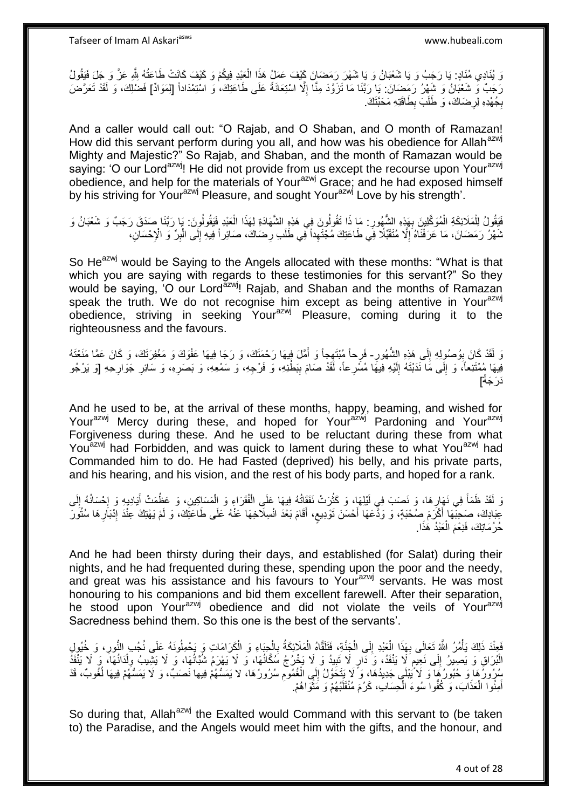وَ يُنَادِي مُنَادٍ: يَا رَجَبُ وَ يَا شَعْبَانُ وَ يَا شَهْرَ رَمَضَانَ كَيْفَ عَمَلٍُ هَذَا الْعَذِدِ فِيكُمْ وَ كَيْفَ كَانَتْ طَاعَتُهُ لِلّهِ عَزَّ وَ جَلَ فَيَقُولُ ْ رَجَبٌ وَ شَعْبَانُ وَ شَهْرُ رَمَضَانَ. يَا رَبَّنَا مَا تَزَوَّدَ مِنَّا إِلَّا اسْتِعَانَةً عَلَى طَاعَتِكَ، وَ اسْتِمْدَاداً [لِمَوَادٌ] فَضْلِكَ، وَ لَقَدْ تَعَرَّضَ ِ بِجُهْدِهِ لِرِضَاكَ، وَ طَلَبَ بِطَاقَتِهِ مَحَبَّتَكَ. ِ ِ ِ

And a caller would call out: "O Rajab, and O Shaban, and O month of Ramazan! How did this servant perform during you all, and how was his obedience for Allah<sup>azwj</sup> Mighty and Majestic?" So Rajab, and Shaban, and the month of Ramazan would be saying: 'O our Lord<sup>azwj</sup>! He did not provide from us except the recourse upon Your<sup>azwj</sup> obedience, and help for the materials of Yourazwj Grace; and he had exposed himself by his striving for Your<sup>azwj</sup> Pleasure, and sought Your<sup>azwj</sup> Love by his strength'.

فَيَقُولُ لِلْمَلَائِكَةِ الْمُوَكَّلِينَ بِهَذِهِ الشُّهُورِ : مَا ذَا تَقُولُونَ فِي هَذِهِ الشَّهَادَةِ لِهَذَا الْعَبْدِ فَيَقُولُونَ : يَا رَبَّنَا صَدَقَ رَجَبٌ وَ شَعْبَانُ وَ **∶ ∶** ْ ْ ْ ِ نْمَهْرُ رَمَضَانَ، مَا عَرَفْنَاهُ إِلَّا مُتَقَبِّلًا فِي طَاعَتِكَ مُجْتَهِداً فِي طَلَبِ رِضَاكَ، صَائِراً فِيهِ إِلَى الْبِرِّ وَ الْإِحْسَانِ، ْ ِ ِ ِ

So He<sup>azwj</sup> would be Saying to the Angels allocated with these months: "What is that which you are saying with regards to these testimonies for this servant?" So they would be saying, 'O our Lord<sup>azwj</sup>! Rajab, and Shaban and the months of Ramazan speak the truth. We do not recognise him except as being attentive in Your<sup>azwj</sup> obedience, striving in seeking Yourazwi Pleasure, coming during it to the righteousness and the favours.

ِ َرَ لَقَدْ كَانَ بِوُصُولِهِ إِلَى هَذِهِ الشُّهُورِ- فَرِحاً مُبْتَهِجاً وَ أَمَّلَ فِيهَا رَحْمَتَكَ، وَ رَجَا فِيهَا عَفْوَكَ وَ مَغْفِرَتَكَ، وَ كَانَ عَمَّا مَنَعْنَهُ<br>وَ الْقَدْ وَرَبَّاهُ مَنْ يَرْوَزُ وَيَرْوَزُون  $\frac{1}{2}$ **∣** َ فِيهَا مُمْتَنِعاً، ۖ وَ إِلَى مَا نَدَبْتَهُ إِلَيْهِ فِيهَا مُسَّرِعاً، لَقَدْ صَامَ بِبَطْنِهِ، وَ فَرْجِهِ، وَ سَمْعِهِ، وَ بَصَرِهِ، وَ سَائِرِ جَوَارِجِهِ [وَ يَرْجُو  $\frac{1}{2}$ لَ ∣∣<br>∶ ∣l<br>∶ ِ ِ ِ ً دَرَ جَهٌ]

And he used to be, at the arrival of these months, happy, beaming, and wished for Your<sup>azwj</sup> Mercy during these, and hoped for Your<sup>azwj</sup> Pardoning and Your<sup>azwj</sup> Forgiveness during these. And he used to be reluctant during these from what You<sup>azwj</sup> had Forbidden, and was quick to lament during these to what You<sup>azwj</sup> had Commanded him to do. He had Fasted (deprived) his belly, and his private parts, and his hearing, and his vision, and the rest of his body parts, and hoped for a rank.

َ وَ لَقَدْ ظَمَأَ فِي نَهَإِرِهَا، وَ نَصَبَ فِي لَيْلِهَا، وَ كَثُرَتْ نَفَقَاتُهُ فِيهَا عَلَى الْفُقَرَاءِ وَ الْمَسَاكِينِ، وَ عَظُمَتْ أَيَادِيهِ وَ اِحْسَاتُهُ إِلَى َ ْ ْ ان<br>سال ِ لَ ِ ا.<br>: عِبَادِكَ، صَحِبَّهَا أَكْرَمَ صُحْبَةٍ، وَ وَدًّعَهَا أَحْسَنَ تَوْدِيعِ، أَقَامَ بَعْدَ انْسِلَّاخِهَا عَنْهُ عَلَى طَاعَثِّكَ، وَ لَمْ يَهْتِكْ عِنْدَ إِنْبَارِهَا سُتُوَرَّ َ  $\ddot{\phantom{0}}$ َ ِ ِ حُرُمَاتِكَ، فَنِعْمَ الْعَبْدُ هَذَا. ْ

And he had been thirsty during their days, and established (for Salat) during their nights, and he had frequented during these, spending upon the poor and the needy, and great was his assistance and his favours to Your<sup>azwj</sup> servants. He was most honouring to his companions and bid them excellent farewell. After their separation, he stood upon Your<sup>azwj</sup> obedience and did not violate the veils of Your<sup>azwj</sup> Sacredness behind them. So this one is the best of the servants'.

ْ حِبَاءِ وَ ال ْ فَعِنْدَ ذَلِكَ يَأْمُرُ اللَّهُ تَعَالَى بِهَذَا الْعَبْدِ إِلَى الْجَنَّةِ، فَتَلَقَّاهُ الْمَلَائِكَةُ بِالْجِبَاءِ وَ الْكَرَامَاتِ وَ بَحْمِلُونَهُ عَلَى نُجُبِ النُّورِ، وَ خُيُولِ ِ ْ ْ  $\frac{1}{2}$ ْ **∶** ْ ِ الْبُرَاقِ وَ يَصِيرُ إِلَى نَعِيمٍ َلَا يَنْفَدُ، وَ دَارٍ لَا تَبِيدُ وَ لَا يَخْرُجُ سُكَّانُهَا، وَ لَا يَهْرَمُ شُبَّانُهَا، وَ لَا يَشِيبُ وِلْدَانُهَا، وَ لَا يَنْفَدُ ٔ:<br>ا **!** Í  $\frac{1}{2}$ ْ ِ ْ بُدُرُوزُ هَا وَ حُبُورُ هَا وَ لَا َيَبْلَى جَدِيدُهَا، وَ لَا يَتَحَوَّلُ إِلَى الْغُمُومِ سُرُورُ هَا، لا يَمَسُّهُمْ فِيها نَصَبٌ، وَ لَا يَمَسُّهُمْ فِيهَا لُغُوبٌ، قَدْ ِ ِ ُ أَمِنُوا الْعَذَابَ، وَ كُفُّوا سُوءَ الْحِسَابِ، كَرُمَ مُنْقَلَبُهُمْ وَ مَثْوَاهُمْ. **ٔ** ْ ْ َ

So during that, Allah<sup>azwj</sup> the Exalted would Command with this servant to (be taken to) the Paradise, and the Angels would meet him with the gifts, and the honour, and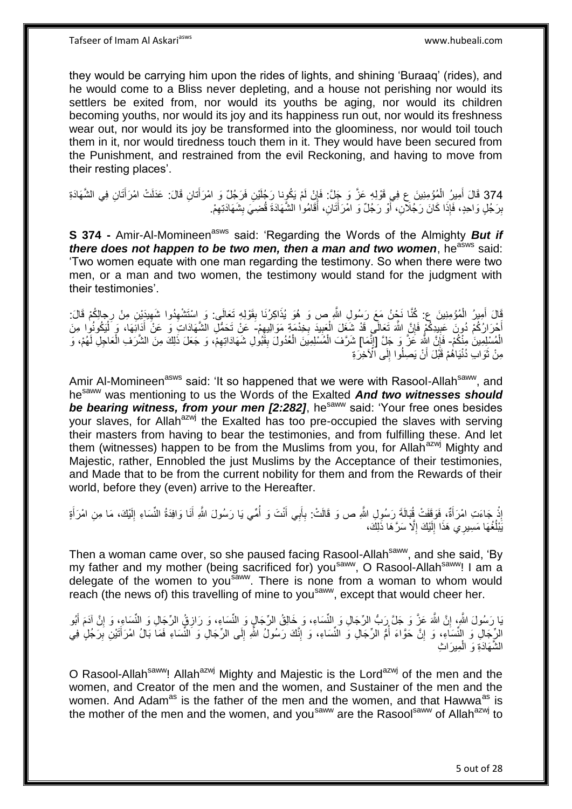they would be carrying him upon the rides of lights, and shining 'Buraaq' (rides), and he would come to a Bliss never depleting, and a house not perishing nor would its settlers be exited from, nor would its youths be aging, nor would its children becoming youths, nor would its joy and its happiness run out, nor would its freshness wear out, nor would its joy be transformed into the gloominess, nor would toil touch them in it, nor would tiredness touch them in it. They would have been secured from the Punishment, and restrained from the evil Reckoning, and having to move from their resting places'.

374 قَالَ أَمِيرُ الْمُؤْمِنِينَ عِ فِي قَوْلِهِ عَزَّ وَ جَلَّ: فَإِنْ لَمْ يَكُوِنا رَجُلَيْنِ فَرَجُلٌ وَ امْرَأْتانِ قَالَ: عَدَلَتْ امْرَأْتَانِ فِي الشَّهَادَةِ َ َ ِ ْ َ بِرَجُلٍ وَاحِدٍ، فَإِذَا كَانَ رَجُلَآنِ، أَوْ رَجُلٌ وَ امْرَأَتَانِ، أَقَامُوا الشَّهَادَة قُضِيَ بِشَهَادَتِهِمْ. **!** َ َ ز<br>ا **ِ** ِ

**S 374 -** Amir-Al-Momineen<sup>asws</sup> said: 'Regarding the Words of the Almighty **But if** *there does not happen to be two men, then a man and two women, he<sup>asws</sup> said:* 'Two women equate with one man regarding the testimony. So when there were two men, or a man and two women, the testimony would stand for the judgment with their testimonies'.

َالَ أُمِيزُ الْمُؤْمِنِينَ عِ كُلَّا نَجْنُ مَعَ رَسُولِ اللَّهِ ص وَ هُوَ يُذَاكِرُنَا بِقَوْلِهِ تَعَالَى: وَ اسْتَشْهِدُوا شَهِيدَيْنِ مِنْ رِجالِكُمْ قَالَ: ْ َ **!** ِ جالِ<br>وَ عُ ِ ِ أَجْرَارُكُمْ دُورَ عَبِيدِكُمْ فَإِنَّ اللَّهَ تَعَالَى قَدْ شَغَلَ الْعَبِيدَ بِخِدْمَةٍ مَوَالِيهِمْ- عَنْ تَحَمُّلِ الشَّهَادَاتِ وَ عَنْ أَدَانِّهَا، ۖ وَ لَمْكُونُوا مِنَ **!** ِ ِ ِ ْ ِ ْ َ الْمُسْلِمِينَ مِنْكُمْ- فَإِنَّ اللَّهِ عَزَّ وَ جَلَّ [إِنَّمَا] شَرَّفَ الْمُسْلِمِينَ الْعُدُولَ بِقَبُولِ شَهَادَاتِهِمْ، وَ جَعَلَ ذَلِكَ مِنَ الشَّرَفِ الْعَاجِلِ لَهُمْ، وَ ِ ْ ْ ِ ِ ْ ِ مِنْ ثَوَابِ دُنْيَاهُمْ قَبْلَ أَنْ يَصِلُوا إِلَى ٱلْآخِرَةِ ∣ا<br>∶ َ ة<br>ا

Amir Al-Momineen<sup>asws</sup> said: 'It so happened that we were with Rasool-Allah<sup>saww</sup>, and hesaww was mentioning to us the Words of the Exalted *And two witnesses should be bearing witness, from your men [2:282]*, he<sup>saww</sup> said: 'Your free ones besides vour slaves, for Allah<sup>azwj</sup> the Exalted has too pre-occupied the slaves with serving their masters from having to bear the testimonies, and from fulfilling these. And let them (witnesses) happen to be from the Muslims from you, for Allah<sup>azwj</sup> Mighty and Majestic, rather, Ennobled the just Muslims by the Acceptance of their testimonies, and Made that to be from the current nobility for them and from the Rewards of their world, before they (even) arrive to the Hereafter.

إِذْ جَاءَتِ امْرَأَةٌ، فَوَقَفْتْ ڤُبَالَةَ رَسُولِ اللَّهِ ص وَ قَالَتْ: بِأَبِي أَنْتَ وَ أُمِّي يَا رَسُولَ اللَّهِ أَنَا وَافِدَةُ النِّسَاءِ إِلَيْكَ، مَا مِنِ امْرَأَةٍ َ **ٔ** َ لَ ِ َ ُ َ َ **∶** يَبْلُغُهَا مَسِيرِي هَذَا إِلَيْكَ إِلَّا سَرَّهَا ذَلِكَ، ِ لَ  $\frac{1}{2}$ ا<br>سا

Then a woman came over, so she paused facing Rasool-Allah<sup>saww</sup>, and she said, 'By my father and my mother (being sacrificed for) you<sup>saww</sup>, O Rasool-Allah<sup>saww</sup>! I am a delegate of the women to you<sup>saww</sup>. There is none from a woman to whom would reach (the news of) this travelling of mine to you<sup>saww</sup>, except that would cheer her.

يَا رَسُولَ اللَّهِ، إِنَّ اللَّهَ عَزَّ وَ جَلَّ رَبُّ الرِّجَالِ وَ النِّسَاءِ، وَ خَالِقُ الرِّجَالٍ وَ النِّسَاءِ، وَ رَازِقٍ الرِّجَالِ وَ النِّسَاءِ، وَ إِنَّ آدَمَ أَبُو ِ ِ َ ِ ِ الرِّجَالِ وَ النِّسَاءِ، وَ إِنَّ حَوَّاءَ أُمُّ الرِّجَالِ وَ النِّسَاءِ، وَ إِنَّكَ رَسُولُ اللَّهِ إِلَى الرِّجَالِ وَ النِّسَاءِ فَمَا بَالُ امْرَأَتَيْنِ بِرَجُلٍ فِي المناسب المستشفى.<br>المستشفى **׀** ِ َ ِ الشَّهَادَةِ وَ الْمِيرَاثِ ْ

O Rasool-Allah<sup>saww</sup>! Allah<sup>azwj</sup> Mighty and Majestic is the Lord<sup>azwj</sup> of the men and the women, and Creator of the men and the women, and Sustainer of the men and the women. And Adam<sup>as</sup> is the father of the men and the women, and that Hawwa<sup>as</sup> is the mother of the men and the women, and you<sup>saww</sup> are the Rasool<sup>saww</sup> of Allah<sup>azwj</sup> to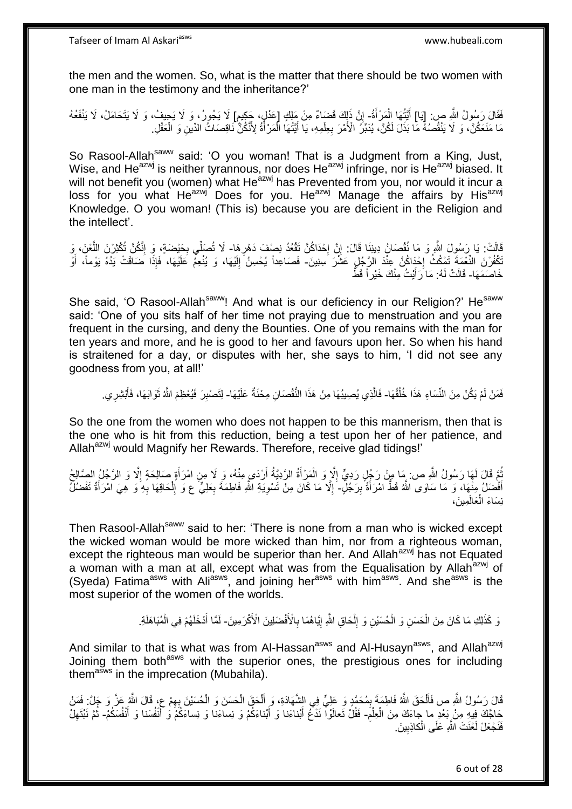the men and the women. So, what is the matter that there should be two women with one man in the testimony and the inheritance?'

فَقَالَ رَسُولُ اللَّهِ ص: [يَا] أَيَّتُهَا الْمَرْأَةُ- إِنَّ ذَلِكَ قَضَاءٌ مِنْ مَلِكٍ [عَدْلٍ، جَكِيم] لَا يَجُورُ، وَ لَا يَحِيفُ، وَ لَا يَتَحَامَلُ، لَا يَنْفَعُهُ َ ْ َ ֧֩֘׆֧  $\sum_{i=1}^{n}$ مَا مَنَعَكُنَّ، وَ لَا يَنْقُصُهُ مَا بَذَلَ لَكُنَّ، يُدَبِّرُ الْأَمْرَ بِعِلْمِهِ، يَا أَيَّتُهَا الْمَرْأَةُ لِأَنَّكُنَّ نَاقِصَاتُ الدِّينِ وَ الْعَقْلِ. َ ْ َ ْ **∶** ْ

So Rasool-Allah<sup>saww</sup> said: 'O you woman! That is a Judgment from a King, Just, Wise, and He<sup>azwj</sup> is neither tyrannous, nor does He<sup>azwj</sup> infringe, nor is He<sup>azwj</sup> biased. It will not benefit you (women) what Heazwj has Prevented from you, nor would it incur a loss for you what He<sup>azwj</sup> Does for you. He<sup>azwj</sup> Manage the affairs by His<sup>azwj</sup> Knowledge. O you woman! (This is) because you are deficient in the Religion and the intellect'.

قَالَتْ: يَا رَسُولَ اللَّهِ وَ مَا نُقْصَانُ دِينِنَا قَالَ: إِنَّ إِحْدَاكُنَّ تَقْعُدُ نِصْفَ دَهْرِهَا- لَا تُصَلِّي بِحَيْضَةٍ، وَ إِنَّكُنَّ تُكْثِرْنَ اللَّعْنَ، وَ **∶** ·<br>∶\* ِ ه ِ ِ تَكْفُرْنَ النِّعْمَةَ تَمْكُثُ إِحْدَاكُنَّ عِنْدَ الرَّجُلِ عَشْرَ سِنِينَ- فَصَاعِداً يُحْسِنُ إِلَيْهَا، وَ يُنْعِمُ عَلَيْهَا، فَإِذَا ضَاقَتْ يَدُهُ يَوْماً، أَوْ ·<br>∶ َ لَ ∣∣<br>ِ∶ خَاصَمَهَا- قَالَتْ لَهُ: مَا َرَأَيْتُ مِنْكَ خَيْراً قَطًّ َ

She said, 'O Rasool-Allah<sup>saww</sup>! And what is our deficiency in our Religion?' He<sup>saww</sup> said: 'One of you sits half of her time not praying due to menstruation and you are frequent in the cursing, and deny the Bounties. One of you remains with the man for ten years and more, and he is good to her and favours upon her. So when his hand is straitened for a day, or disputes with her, she says to him, 'I did not see any goodness from you, at all!'

فَمَنْ لَمْ يَكُنْ مِنَ النِّسَاءِ هَذَا خُلُقُهَا- فَالَّذِي يُصِيبُهَا مِنْ هَذَا النُّقْصَانِ مِخْنَةٌ عَلَيْهَا- لِتَصْبِرَ فَيُعْظِمَ اللَّهُ ثَوَابَهَا، فَأَبْشِرِي. ا<br>ا ه ِ َ َ ِ

So the one from the women who does not happen to be this mannerism, then that is the one who is hit from this reduction, being a test upon her of her patience, and Allah<sup>azwj</sup> would Magnify her Rewards. Therefore, receive glad tidings!'

بُّمَّ قَالَ لَمَهَا رَسُولُ اللَّهِ ص: مَا مِنْ رَجُلٍ رَدِيٍّ إِلَّا وَ الْمَرْأَةُ الرَّدِيَّةُ أَرْدَى مِنْهُ، وَ لَا مِنِ امْرَأَةٍ صَالِحَةٍ إِلَّا وَ الرَّجُلُ الصَّالِحُ َ ْ ِ ِ َ أَفْضَلُ مِنْهَا، وَ مَا سَاوَى اللَّهُ قَطُّ امْرَأَةً بِرَّجُلٍ- إِلَّا مَا كَانَ مِنْ تَسْوِيَةِ اللَّهِ فَاطِمَةَ بِعَلِيٍّ ع وَ إِلْحَاقِهَا بِهِ وَ هِيَ امْرَأَةٌ تَفْضُلُ َ **!** َ ا<br>ا َ ِ ْ ِ ِ ِ نِسَاءَ الْعَالَمِينَ، ْ

Then Rasool-Allah<sup>saww</sup> said to her: 'There is none from a man who is wicked except the wicked woman would be more wicked than him, nor from a righteous woman, except the righteous man would be superior than her. And Allah<sup>azwj</sup> has not Equated a woman with a man at all, except what was from the Equalisation by Allah<sup>azwj</sup> of (Syeda) Fatima<sup>asws</sup> with Ali<sup>asws</sup>, and joining her<sup>asws</sup> with him<sup>asws</sup>. And she<sup>asws</sup> is the most superior of the women of the worlds.

> وَ كَذَلِكِ مَا كَانَ مِنَ الْحَسَنِ وَ الْحُسَيْنِ وَ إِلْحَاقِ اللَّهِ إِيَّاهُمَا بِالْأَفْضَلِينَ الْأَكْرَمِينَ- لَمَّا أَدْخَلَهُمْ فِي الْمُبَاهَلَةِ. ِ ِ ْ  $\frac{1}{2}$ ْ ْ ْ َ

And similar to that is what was from Al-Hassan<sup>asws</sup> and Al-Husayn<sup>asws</sup>, and Allah<sup>azwj</sup> Joining them both<sup>asws</sup> with the superior ones, the prestigious ones for including them<sup>asws</sup> in the imprecation (Mubahila).

قَالَ رَسُولُ اللَّهِ ص فَأَلْحَقَ اللَّهُ فَاطِمَةَ بِمُحَمَّدٍ وَ عَلِيٍّ فِي الشَّهَادَةِ، وَ أَلْحَقَ الْحَسَنَ وَ الْحُسَيْنَ بِهِمْ عٍ، قَالَ اللَّهُ عَنَّ وَ جَلَّ: فَمَنْ ْ َ ِ ْ ْ ْ َ ِ ِ حَاجَّكَ فِيهِ مِنْ بَعْدِ ما جاءَكَ مِنَ الْعِلْمَ- فَقُلْ تَعالَوْاْ نَذْعُ أَبْناءَنا وَ أَبْناءَكُمْ وَ نِساءَلَا وَ أَنْفُسَنَا وَ أَنْفُسَكُمْ- ثُمَّ نَبْتَهِلْ ْ ْ َ َ َ َ ِ ُ فَذَجَعَلْ لَعْنَتَ اللَّهِ عَلَى الْكاذِبِينَ. **!** ْ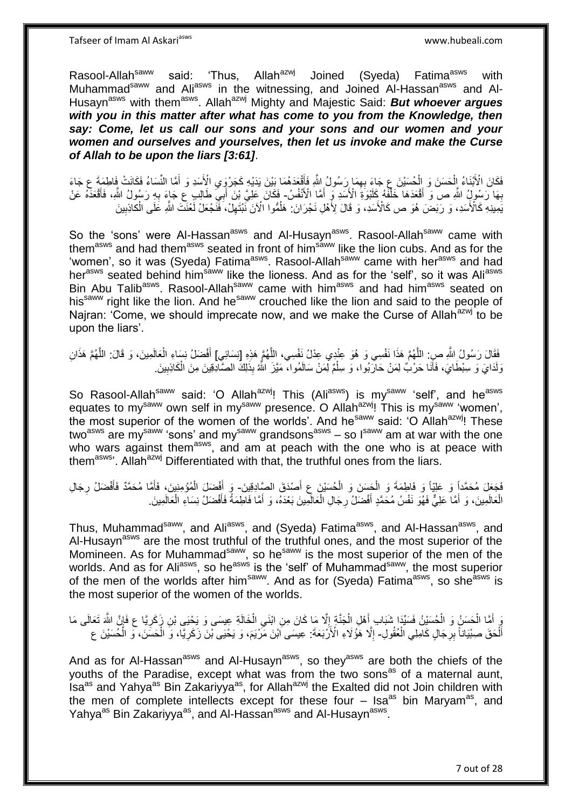Tafseer of Imam Al Askariasws www.hubeali.com

Rasool-Allah<sup>saww</sup> said: 'Thus, Allah<sup>azwj</sup> Joined (Syeda) Fatima<sup>asws</sup> with Muhammad<sup>saww</sup> and Ali<sup>asws</sup> in the witnessing, and Joined Al-Hassan<sup>asws</sup> and Al-Husayn<sup>asws</sup> with them<sup>asws</sup>. Allah<sup>azwj</sup> Mighty and Majestic Said: **But whoever argues** with you in this matter after what has come to you from the Knowledge, then *say: Come, let us call our sons and your sons and our women and your women and ourselves and yourselves, then let us invoke and make the Curse of Allah to be upon the liars [3:61]*.

فَكَانَ الْأَبْنَاءُ اِلْحَسَنَ وَ الْحُسَيْنَ عِ جَاءَ بِهِمَا رَسُولُ اللَّهِ فَأَقْعَدَهُمَا بَيْنَ يَدَيْهِ كَجَرْوَي الْأَسَدِ وَ أَمَّا النِّسَاءُ فَكَانَتْ فَاطِمَةَ عِ جَاءَ  $\ddot{\ }$ َ ِ ْ ْ بِهَا رَسُولُ اللَّهِ ص َوَ أَقْعَدَهَا خَلْفَهُ كَلَبْوَةَ الْأَسَدِ وَ أَمَّا الْأَنْفُسُ- فَكَانَ عَلِيَّ بْنَ أَبَيَ طَالِبٍ عِ جَاءَ بِهِ رَسُولُ اللَّهِ، فَأَقْعَدَهُ عَنْ َ ْ ِ َ ِ َ يَمِيذِهِ كَالْأَسَدِ، وَ رَبَضَ هُوَ ص كَالْأَسَدِ، وَ قَالَ لِأَهْلِ نَجْرَانَ: هَلْمُوا الْأَنَ نَّبْتَهِلْ، فَنَجْعَلْ لَعْنَتَ اللَّهِ عَلَى الْكَاذِبِينَ ِ ْ ِ ُ

So the 'sons' were Al-Hassan<sup>asws</sup> and Al-Husayn<sup>asws</sup>. Rasool-Allah<sup>saww</sup> came with themasws and had themasws seated in front of himsaww like the lion cubs. And as for the 'women', so it was (Syeda) Fatima<sup>asws</sup>. Rasool-Allah<sup>saww</sup> came with her<sup>asws</sup> and had her<sup>asws</sup> seated behind him<sup>saww</sup> like the lioness. And as for the 'self', so it was Ali<sup>asws</sup> Bin Abu Talib<sup>asws</sup>. Rasool-Allah<sup>saww</sup> came with him<sup>asws</sup> and had him<sup>asws</sup> seated on his<sup>saww</sup> right like the lion. And he<sup>saww</sup> crouched like the lion and said to the people of Najran: 'Come, we should imprecate now, and we make the Curse of Allah<sup>azwj</sup> to be upon the liars'.

فَقَالَ رَسُولُ اللَّهِ صِنِ: اللَّهُمَّ هَذَا نَفْسِي وَ هُوَ عِنْدِي عِدْلُ نَفْسِي، اللَّهُمَّ هَذِهِ [نِسَائِي] أَفْضَلُ نِسَاءِ الْعَالَمِينَ، وَ قَالَ: اللَّهُمَّ هَذَانِ ه ه ه ْ َ وَلَدَايَ وَ سِبْطَايَ، فَأَنَا حَرْبٌ لِمَنْ حَارَبُوا، وَ سِلْمٌ لِمَنْ سَالَمُوا، مَيَّزَ اللَّهُ بِذَلِكَ الصَّادِقِينَ مِنَ الْكَاذِبِينَ ْ َ ِ ْ

So Rasool-Allah<sup>saww</sup> said: 'O Allah<sup>azwj</sup>! This (Ali<sup>asws</sup>) is my<sup>saww</sup> 'self', and he<sup>asws</sup> equates to my<sup>saww</sup> own self in my<sup>saww</sup> presence. O Allah<sup>azwj</sup>! This is my<sup>saww</sup> 'women', the most superior of the women of the worlds'. And he<sup>saww</sup> said: 'O Allah<sup>azwj</sup>! These two<sup>asws</sup> are my<sup>saww</sup> 'sons' and my<sup>saww</sup> grandsons<sup>asws</sup> – so l<sup>saww</sup> am at war with the one who wars against them<sup>asws</sup>, and am at peach with the one who is at peace with them<sup>asws</sup>'. Allah<sup>azwj</sup> Differentiated with that, the truthful ones from the liars.

فَجَعَلَ مُحَمَّداً وَ عَلِيّاً وَ فَاطِمَةَ وَ الْجَسَنَ وَ الْحُسَيْنَ عِ أَصْدَقَ الصَّادِقِينَ- وَ أَفْضَلَ الْمُؤْمِنِينَ، فَأَمَّا مُحَمَّدٌ فَأَفْضَلُ رِجَالِ َ ْ ْ ِ َ َ ْ َ الْعَالَمِينَ، وَ أَمَّا عَلِيٌّ فَهُوَ نَفْسُ مُحَمَّدٍ أَفْضَلُ رِجَالِ الْعَالَمِينَ بَعْدَهُ، وَ أَمَّا فَاطِمَةُ فَأَفْضَلُ نِسَاءِ الْعَالَمِينَ ْ ِ َ ْ ْ َ َ

Thus, Muhammad<sup>saww</sup>, and Ali<sup>asws</sup>, and (Syeda) Fatima<sup>asws</sup>, and Al-Hassan<sup>asws</sup>, and Al-Husayn<sup>asws</sup> are the most truthful of the truthful ones, and the most superior of the Momineen. As for Muhammad<sup>saww</sup>, so he<sup>saww</sup> is the most superior of the men of the worlds. And as for Ali<sup>asws</sup>, so he<sup>asws</sup> is the 'self' of Muhammad<sup>saww</sup>, the most superior of the men of the worlds after him<sup>saww</sup>. And as for (Syeda) Fatima<sup>asws</sup>, so she<sup>asws</sup> is the most superior of the women of the worlds.

وَ أَمَّا الْحَسَنُ وَ الْحُسَيْنُ فَسَيِّدَا شَبَابٍ أَهْلِ الْجَنَّةِ إِلَّا مَا كَانَ مِنِ ابْنَى الْخَالَةِ عِيسَى وَ يَحْيَى بْنِ زَكَرِيًا ع فَإِنَّ اللَّهَ تَعَالَى مَا ْ ِ  $\frac{1}{2}$ ْ َ ْ ْ َ ا ِ أَلْحَقَ صِبْيَاناً بِرِجَالٍ كَامِلِي الْعُقُولِ- إِلَّا هَٰؤُلَاءِ الْأَرْبَعَةَ: عِيسَى اَبْنَ مِّرْيَمَ، وَ يَحْيَى بْنَ زَكَرِيًّا، وَ الْحَسَنَنَ، وَ الْحُسَيْنَ ع ْ **∶** ْ ِ ْ ْ ِ

And as for Al-Hassan<sup>asws</sup> and Al-Husayn<sup>asws</sup>, so they<sup>asws</sup> are both the chiefs of the youths of the Paradise, except what was from the two sons<sup>as</sup> of a maternal aunt, Isa<sup>as</sup> and Yahya<sup>as</sup> Bin Zakariyya<sup>as</sup>, for Allah<sup>azwj</sup> the Exalted did not Join children with the men of complete intellects except for these four  $-$  Isa<sup>as</sup> bin Maryam<sup>as</sup>, and Yahya<sup>as</sup> Bin Zakariyya<sup>as</sup>, and Al-Hassan<sup>asws</sup> and Al-Husayn<sup>asws</sup>.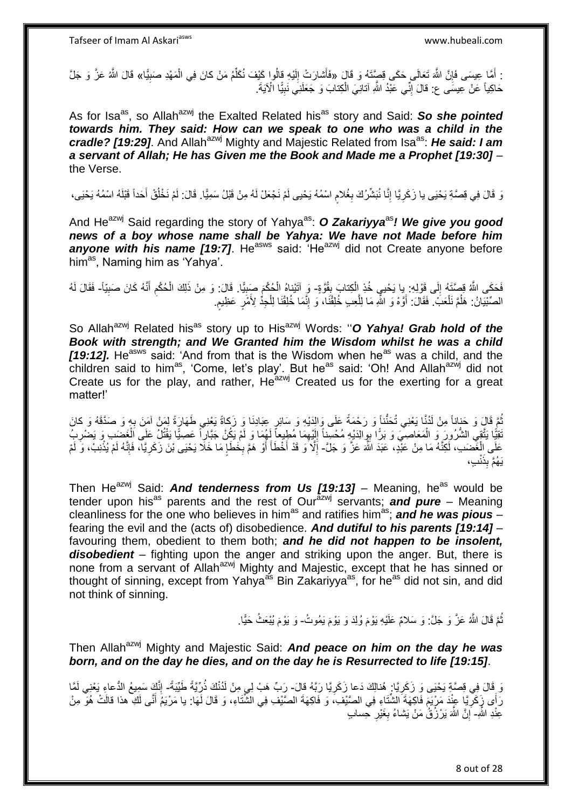: أَمَّا عِيسَى فَإِنَّ اللَّهَ تَعَالَى حَكَى قِصِّتَهُ وَ قَالَ «فَأَشارَتْ إِلَيْهِ قِالُوا كَيْفَ نُكَلِّمُ مَنْ كانَ فِي الْمَهْدِ صَبِيًّا» قَالَ اللَّهُ عَزَّ وَ جَلَّ ِ ِ ْ ِّ لَ ِ حَاكِياً عَنْ عِيسَى ع: قالَ إِنِّي عَبْدُ اللَّهِ آتانِيَ الْكِتابَ وَ جَعَلَنِي نَبِيًّا الْآيَةَ. ِ ْ ِ

As for Isa<sup>as</sup>, so Allah<sup>azwj</sup> the Exalted Related his<sup>as</sup> story and Said: So she pointed *towards him. They said: How can we speak to one who was a child in the cradle? [19:29].* And Allah<sup>azwj</sup> Mighty and Majestic Related from Isa<sup>as</sup>: *He said: I am a servant of Allah; He has Given me the Book and Made me a Prophet [19:30]* – the Verse.

رَ قَالَ فِي فِصَّةِ يَحْيَى يا زَكَرِيَّا إِنَّا نُبَشِّرُكَ بِغُلامِ اسْمُهُ يَحْيى لَمْ نَجْعَلْ لَهُ مِنْ قَبْلُ سَمِيًّا. قَالَ: لَمْ نَخْلُقْ أَحَداً قَبْلَهُ اسْمُهُ يَحْيَى، م<br>م **∶** ِ ِ َ ُ

And He<sup>azwj</sup> Said regarding the story of Yahya<sup>as</sup>: **O Zakariyya**<sup>as</sup>! We give you good *news of a boy whose name shall be Yahya: We have not Made before him*  **anyone with his name [19:7].** He<sup>asws</sup> said: 'He<sup>azwj</sup> did not Create anyone before him<sup>as</sup>, Naming him as 'Yahya'.

فَحَكَى اللَّهُ قِصَّتَهُ إِلَى قَوْلِهِ بِا يَحْيِي خُذِ الْكِتابَ بِقُوَّةٍ- وَ آتَيْناهُ الْحُكْمِ صَبِيًّا. قَالَ: وَ مِنْ ذَلِكَ الْحُكْمِ أَنَّهُ كَانَ صَبِيّاً- فَقَالَ لَهُ  $\frac{1}{2}$ **⊥** ْ ِ ْ ِ َ ِ ْ الصِّبْيَانُ: هَلُمَّ نَلْعَبُ ۖ فَقَالَ: أَوَّهْ وَ اللَّهِ مَا لِلَّعِبِ خُلِقْنَا، وَ إِنَّمَا خُلِقْنَا لِلْجِدِّ لِأَمْرٍ عَظِيمٍ ْ ֧֖֖֦֧֧֦֧֧֦֧֧֦֧֧֦֧֧֚֚֚֚֚֚֚֚֚֩֘֝֬֝֓֝֓֜֡֓֜֡֓֜֡֓֜֓ ْ ِ ه َ

So Allah<sup>azwj</sup> Related his<sup>as</sup> story up to His<sup>azwj</sup> Words: "O Yahya! Grab hold of the *Book with strength; and We Granted him the Wisdom whilst he was a child*  **[19:12].** He<sup>asws</sup> said: 'And from that is the Wisdom when he<sup>as</sup> was a child, and the children said to him<sup>as</sup>, 'Come, let's play'. But he<sup>as</sup> said: 'Oh! And Allah<sup>azwj</sup> did not Create us for the play, and rather,  $He^{2xWj}$  Created us for the exerting for a great matter!'

نُّمَّ قَالٍ وَ حَذِاناً مِنْ لَدُنَّا يَعْنِي تُحَنُّناً وَ رَحْمَةً عَلَى وَالِدَيْهِ وَ سَائِرِ عِبَادِنَا وَ زَكاةً يَعْنِي طَهَارَةً لِمَنْ آمَنَ بِهِ وَ صَدَّقَهُ وَ كانَ ُ ِ ِ ُقِيًّا يَتَّقِي الشُّرُورَ وَ الْمَعَاصِيَ وَ بَرًّا بِوِالِدَيْهِ مُحْسِناً إِلَيْهِمَا مُطِيعاً لِهُمَا وَ لَمْ يَكُنْ جَبَّارٍ أَ عَصِيًّا يَقْتُلُ عَلَى الْغَضَبِ وَ يَضْرِبُ ْ ِ ِ ْ لَ ِ لَ ِ عَلَى اِلْغَضَبِ، لَكِنَّهُ مَا مِنْ عَلِّدٍ، عَبَدَ اللَّهَ عَزَّ وَ جَلَّ- إِلَّا َو قَدْ أَخْطَأَ أَوْ هَمَّ بِخَطَإٍ مَا خَلَا يَحْيَى بْنَ زَكَرِيًآ، فَإِنَّهُ لَمْ يُذْنِبْ، وَ لَمْ ْ  $\frac{1}{2}$ ِ َ **∫** َ ِ **ٔ:** ا∣<br>ِ∘ِ ِ بف نْ ِذَ َي ُههم ب

Then He<sup>azwj</sup> Said: *And tenderness from Us [19:13]* – Meaning, he<sup>as</sup> would be tender upon his<sup>as</sup> parents and the rest of Our<sup>azwj</sup> servants; **and pure** – Meaning cleanliness for the one who believes in him<sup>as</sup> and ratifies him<sup>as</sup>; **and he was pious** – fearing the evil and the (acts of) disobedience. *And dutiful to his parents [19:14]* – favouring them, obedient to them both; *and he did not happen to be insolent, disobedient* – fighting upon the anger and striking upon the anger. But, there is none from a servant of Allah<sup>azwj</sup> Mighty and Majestic, except that he has sinned or thought of sinning, except from Yahya<sup>as</sup> Bin Zakariyya<sup>as</sup>, for he<sup>as</sup> did not sin, and did not think of sinning.

> نُّمَّ قَالَ اللَّهُ عَزَّ وَ جَلَّ: وَ سَلامٌ عَلَيْهِ يَوْمَ وُلِدَ وَ يَوْمَ يَمُوثُ- وَ يَوْمَ يُبْعَثُ حَيًّا. ُ

Then Allah<sup>azwj</sup> Mighty and Majestic Said: **And peace on him on the day he was** *born, and on the day he dies, and on the day he is Resurrected to life [19:15]*.

وَ فَالَ فِي قِصَّةٍ يَحْيَى وَ زَكَرِيَّا: هُنالِكَ دَعا زَكَرِيَّا رَبَّهُ قالَ- رَبِّ هَبْ لِي مِنْ لَدُنْكَ ذُرِّيَّةً طَيِّبَةً- إِنَّكَ سَمِيعُ الدُّعاءِ يَعْنِي لَمَّا **∶** ِ ِ رَأَى زَكَرِيًّا عِنْدَ مَرْيَمَ فَاكِهَةَ الشَّتَاءِ فِي الصَّيْفِ، وَ فَاكِهَةَ الصَّيْفِ فِي الشَّتَاءِ، وَ قَالَ لَهَا: يا مَرْيَمُ أَنَّى لَكِ هذا قالَتْ هُوَ مِنْ **∶** َ عِنْدِ اللَّهِ- إِنَّ اللَّهَ يَرْزُقُٰ مَنْ يَشاءُ بِغَيْرِ حِسابٍ ِ **∶** ِ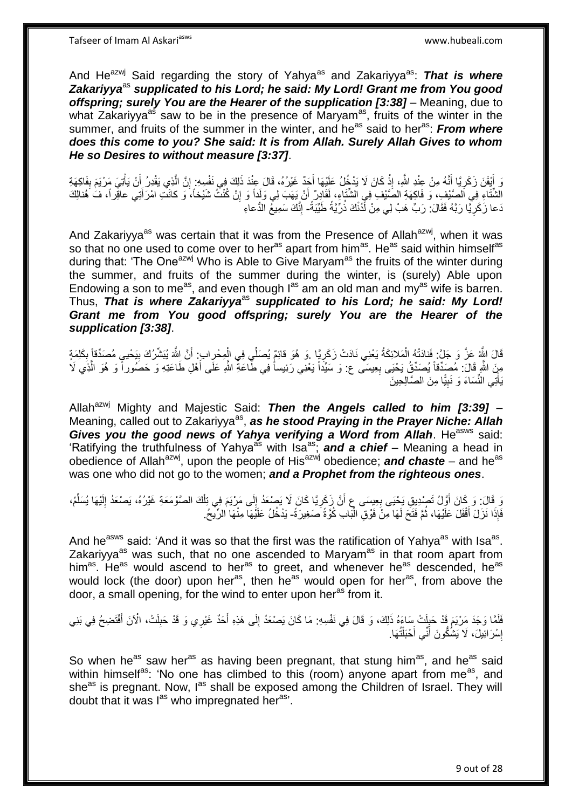And He<sup>azwj</sup> Said regarding the story of Yahya<sup>as</sup> and Zakariyya<sup>as</sup>: That is where Zakariyya<sup>as</sup> supplicated to his Lord; he said: My Lord! Grant me from You good *offspring; surely You are the Hearer of the supplication [3:38]* – Meaning, due to what Zakariyya<sup>as</sup> saw to be in the presence of Maryam<sup>as</sup>, fruits of the winter in the summer, and fruits of the summer in the winter, and he<sup>as</sup> said to her<sup>as</sup>: *From where does this come to you? She said: It is from Allah. Surely Allah Gives to whom He so Desires to without measure [3:37]*.

َ أَيْقَنَ زَكَرِيًا أَنَّهُ مِنْ عِنْدِ اللَّهِ، إِذْ كَانَ لَا يَدْخُلُ عَلَيْهَا أَجَدٌ غَيْرُهُ، قَالَ عِنْدَ ذَلِكَ فِي نَفْسِهِ: إِنَّ الَّذِي يَقْدِرُ أَنْ يَأْتِيَ مَرْيَمَ بِفَاكِهَةِ ْ َ ِ ِ ْ َ ه ِ َ لَ الشَّتَاءِ فِي اَلصَّيْفِ، وَ فَاكِهَةِ الصَّيْفِ فِي الشَّتَاءِ، لِقَادِرٌ ۖ أَنْ يَهَبَ لِي وَلَداً وَ إِنْ كُنْتُ شَيْخاً، وَ كانَتِ امْرَأَتِي عاقِراً، فَ هُنالِكَ ِ َ َ دَعا زَكَرِيًّا رَبَّهُ فَقَالَ: رَبِّ هَبْ لِي مِنْ أَذُنْكَ ذُرِّيَّةً طَيِّبَةً- إِنَّكَ سَمِيعُ الدُّعاءِ **∶** ِ

And Zakariyya<sup>as</sup> was certain that it was from the Presence of Allah<sup>azwj</sup>, when it was so that no one used to come over to her<sup>as</sup> apart from him<sup>as</sup>. He<sup>as</sup> said within himself<sup>as</sup> during that: 'The One<sup>azwj</sup> Who is Able to Give Maryam<sup>as</sup> the fruits of the winter during the summer, and fruits of the summer during the winter, is (surely) Able upon Endowing a son to me<sup>as</sup>, and even though  $I^{as}$  am an old man and my<sup>as</sup> wife is barren. Thus, *That is where Zakariyya*as *supplicated to his Lord; he said: My Lord!*  Grant me from You good offspring; surely You are the Hearer of the *supplication [3:38]*.

قَالَ الثَّهُ عَزَّ وَ جَلَّ: فَنادَتْهُ الْمَلائِكَةُ يَعْنِي نَادَتْ زَكَرِيٍّا ۚ وَ هُوَ قائِمٌ يُصَلِّي فِي الْمِحْرِابِ ۚ أَنَّ اِللَّهَ يُبَشِّرُكَ بِيَحْيِي مُصَدِّقاً بِكَلِمَةٍ **∶** ِ َ ْ ِ مِنَ اللَّهِ قَالَ: مُصَدِّقاً يُصَدِّقُ يَحْيَى بِعِيسَى ع: وَ سَيِّداً يَعْنِي رَئِيساً فِي طَّاعَةِ اللَّهِ عَلَى أَهْلِ طَاعَتِهِ وَ حَصَوراً وَ هُوَ الَّذِي لَا ِ ه يَأْتِي النِّسَاءَ وَ نَبِيًّا مِنَ الصَّالِحِينَ ِ ا<br>ا

Allah<sup>azwj</sup> Mighty and Majestic Said: **Then the Angels called to him [3:39]** – Meaning, called out to Zakariyya<sup>as</sup>, as he stood Praying in the Prayer Niche: Allah Gives you the good news of Yahya verifying a Word from Allah. He<sup>asws</sup> said: 'Ratifying the truthfulness of Yahya<sup>as</sup> with Isa<sup>as</sup>; **and a chief** – Meaning a head in obedience of Allah<sup>azwj</sup>, upon the people of His<sup>azwj</sup> obedience; **and chaste** – and he<sup>as</sup> was one who did not go to the women; *and a Prophet from the righteous ones*.

دَ قَالَ: وَ كَانَ أَوَّلُ تَصْدِيقِ يَحْيَى بِعِيسَى عِ أَنَّ زَكَرٍيًّا كَانَ لَا يَصْعَدُ إِلَى مَرْيَمَ فِي تِلْكَ الصَّوْمَعَةِ غَيْرُهُ، يَصْعَدُ إِلَيْهَا يُسَلَّمُ،<br>يَسْتَمَرَّتُ وَمَثَلَ أَوَّلُ تَصْدِيقِ يَحْيَى ْ  $\frac{1}{2}$ ِ **∶** َ ِّ لَ ِ فَإِذَا نَزَلَ أَقْفَلَ عَلَيْهَا، ثُمَّ فَثَحَ لَهَا مِنْ فَوْقِ الْبَابِ كُوَّةً صَغِيرَةً- يَدْخُلُ عَلَيْهَا مِنْهَا الرِّيحُ. :<br>ا .<br>• • • •

And he<sup>asws</sup> said: 'And it was so that the first was the ratification of Yahya<sup>as</sup> with Isa<sup>as</sup>. Zakariyya<sup>as</sup> was such, that no one ascended to Maryam<sup>as</sup> in that room apart from him<sup>as</sup>. He<sup>as</sup> would ascend to her<sup>as</sup> to greet, and whenever he<sup>as</sup> descended, he<sup>as</sup> would lock (the door) upon her<sup>as</sup>, then he<sup>as</sup> would open for her<sup>as</sup>, from above the door, a small opening, for the wind to enter upon heras from it.

فَلَمَّا وَجَدَ مَرْيَمَ قَدْ حَبِلَتْ سَاءَهُ ذَلِكَ، وَ قَالَ فِي نَفْسِهِ: مَا كَانَ يَصْعُدُ إِلَى هَذِهِ أَحَدٌ غَيْرِي وَ قَدْ حَبِلَتْ، الْأَنَ أَفْتَضِحُ فِي بَنِي<br>وَمَدِ تَمَرُّكُمْ وَلَمْ يَسْتَمِيهُمْ مَثَلَّهُ َ ِ ِ َ ِ إِسْرَائِيلَ، لَا يَشُكُّونَ أَنِّي أَحْبَلْتُهَا. ֦֖֖֦֖֦֪֦֧֦֦֦֖֦֦֖֦֧֦֪֦֦֧֦֪֦֪֦֪֦֧֦֪֦֧֦֪֦֧֦֧֦֪֦֧֦֧֦֪֦֧֦֧֪֦֧֦֧֦֧֦֟֟֟֟֟֟֟֟֟֟֟֟֟֟֟֟֟֟֟֟֟֟֟֟֟֟֟֟֟֟֟֟֟֟֟֟֟֟֟֩֕֟֟֟֟֟֟֟֟֟ َ َ ِ

So when he<sup>as</sup> saw her<sup>as</sup> as having been pregnant, that stung him<sup>as</sup>, and he<sup>as</sup> said within himself<sup>as</sup>: 'No one has climbed to this (room) anyone apart from me<sup>as</sup>, and she<sup>as</sup> is pregnant. Now, I<sup>as</sup> shall be exposed among the Children of Israel. They will doubt that it was l<sup>as</sup> who impregnated heras<sup>3</sup>.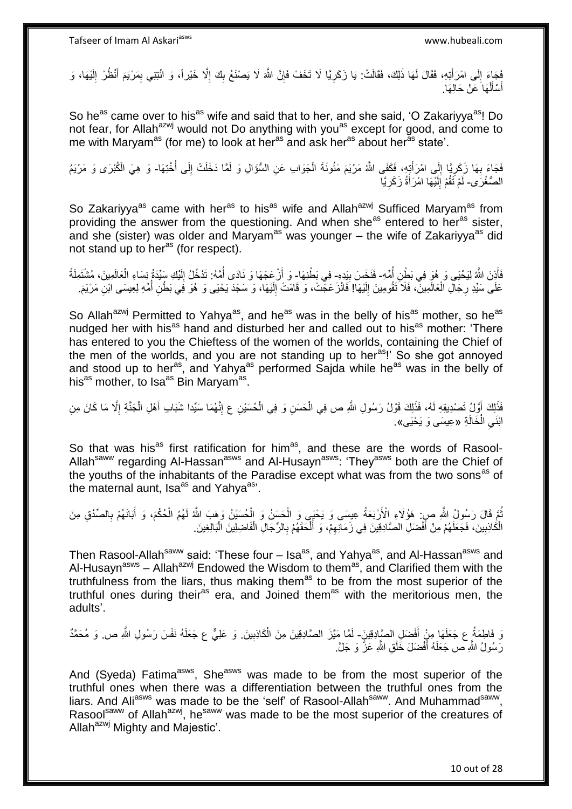َفَجَاءَ إِلَى امْرَأَتِهِ، فَقَالَ لَهَا ذَلِكَ، فَقَالَتْ: يَا زَكَرِيًا لَا تَخَفْ فَإِنَّ اللَّهَ لَا يَصْنَعُ بِكَ إِلَّا خَيْراً، وَ ائْتِنِي بِمَرْيَمَ أَنْظُرْ إِلَيْهَا، وَ َ  $\frac{1}{2}$ لَ ِ َ ِ ِ ِ ∣ļ ِ أَسْأَلْهَا عَنْ حَالِهَا. ْ َ َ

So he<sup>as</sup> came over to his<sup>as</sup> wife and said that to her, and she said, 'O Zakariyya<sup>as</sup>! Do not fear, for Allah<sup>azwj</sup> would not Do anything with you<sup>as</sup> except for good, and come to me with Maryam<sup>as</sup> (for me) to look at her<sup>as</sup> and ask her<sup>as</sup> about her<sup>as</sup> state'.

فَجَاءَ بِهَا زَكَرِيًّا إِلَى امْرَأَتِهِ، فَكَفَى اللَّهُ مَرْيَمَ مَثُونَةَ الْجَوَابِ عَنِ السُّؤَالِ وَ لَمَّا دَخَلَتْ إِلَى أُخْتِهَا- وَ هِيَ الْكُبْرَى وَ مَرْيَمُ ِ ِ **∶** ُ ِ ْ َ الصُّغْرََى- لَمْ تَقُمْ إِلَيْهَا امْرَأَةُ زَكَرِيَّا ِ َ لَ  $\frac{1}{2}$ لَ

So Zakariyya<sup>as</sup> came with her<sup>as</sup> to his<sup>as</sup> wife and Allah<sup>azwj</sup> Sufficed Maryam<sup>as</sup> from providing the answer from the questioning. And when she<sup>as</sup> entered to her<sup>as</sup> sister, and she (sister) was older and Maryam<sup>as</sup> was younger – the wife of Zakariyya<sup>as</sup> did not stand up to her<sup>as</sup> (for respect).

فَأَذِنَ اللَّهُ لِيَحْيَى وَ هُوَ فِي بَطِْنِ أُمِّهِ- فَنَخَسَ بِيَدِهِ- فِي بَطْنِهَا- وَ أَرْعَجَهَا وَ نَادَى أُمَّهُ: تَدْخُلُ إِلَيْكِ سِيِّدَةُ نِسَاءِ الْعَالَمِينَ، مُشْتَمِلَةً َ ا<br>ا **!** ْ لَ ِ ا<br>ا اُ عَلَى سَيِّدِ رِجَالِ الْعَالَمِينَ، فَلاَ تَقُومِينَ إِلَيْهَا! فَانْزَعَجِّتْ، وَ قَامَتْ إِلَيْهَا، وَ سَجَدَ يَحْيَى وَ هُوَ فَي بَطْنِ أُمِّهِ لِعِيسَى ابْنِ مَرْيَمَ. لَ ِ لَ  $\frac{1}{2}$ ْ ِ ا<br>ا

So Allah<sup>azwj</sup> Permitted to Yahya<sup>as</sup>, and he<sup>as</sup> was in the belly of his<sup>as</sup> mother, so he<sup>as</sup> nudged her with his<sup>as</sup> hand and disturbed her and called out to his<sup>as</sup> mother: 'There has entered to you the Chieftess of the women of the worlds, containing the Chief of the men of the worlds, and you are not standing up to heras!' So she got annoyed and stood up to her<sup>as</sup>, and Yahya<sup>as</sup> performed Sajda while he<sup>as</sup> was in the belly of his<sup>as</sup> mother, to Isa<sup>as</sup> Bin Maryam<sup>as</sup>.

فَذَلِكَ أَوَّلُ تَصْدِيقِهِ لَهُ، فَذَلِكَ قَوْلُ رَسُولِ اللَّهِ ص فِي الْحَسَنِ وَ فِي الْحُسَيْنِ ع إِنَّهُمَا سَيِّدا شَبَابِ أَهْلِ الْجَنَّةِ إِلَّا مَا كَانَ مِنِ ِ ْ ْ َ ِ ْ َ ابْنَي الْخَالَةِ «عِيسَى وَ يَحْيَى». ْ ِ

So that was his<sup>as</sup> first ratification for him<sup>as</sup>, and these are the words of Rasool-Allah<sup>saww</sup> regarding Al-Hassan<sup>asws</sup> and Al-Husayn<sup>asws</sup>: 'They<sup>asws</sup> both are the Chief of the youths of the inhabitants of the Paradise except what was from the two sons<sup>as</sup> of the maternal aunt, Isa<sup>as</sup> and Yahya<sup>as</sup>'.

ْ ُمَّ قَالَ رَسُولُ اللَّهِ صِ ۚ هَؤُلَاءِ الْأَرْبَعَةُ عِسِمَى وَ يَحْبَى وَ الْحَسَنُ وَ الْحُسَيْنُ وَهَبَ اللَّهُ لَهُمُ الْحُكْمَ، وَ أَبَانَهُمْ بِالصِّدْقِ مِنَ ْ ْ ِ َ الْكَاذِبِينَ، فَجَعَلَهُمْ مِنْ أَفْضَلِ الصَّادِقِينَ فِي زَمَانِهِمْ، وَ أَلْحَقَهُمْ بِالرِّجَالِ الْفَاضِلِينَ الْبَالِغِينَ َ **!** ْ ْ ْ ِ ْ َ ِ

Then Rasool-Allah<sup>saww</sup> said: 'These four – Isa<sup>as</sup>, and Yahya<sup>as</sup>, and Al-Hassan<sup>asws</sup> and Al-Husayn<sup>asws</sup> – Allah<sup>azwj</sup> Endowed the Wisdom to them<sup>as</sup>, and Clarified them with the truthfulness from the liars, thus making them<sup>as</sup> to be from the most superior of the truthful ones during their<sup>as</sup> era, and Joined them<sup>as</sup> with the meritorious men, the adults'.

نَ فَاطِمَةُ ع جَعَلَهَا مِنْ أَفْضَلِ الصَّادِقِينَ- لَمَّا مَيَّزَ الصَّادِقِينَ مِنَ الْكَاذِبِينَ. وَ عَلِيٌّ ع جَعَلَهُ نَفْسَ رَسُولِ اللَّهِ ص. وَ مُحَمَّدٌ َ ِ ْ رَسُولُ اللَّهِ ص جَعَلَهُ أَفْضَلَ خَٰلْقِ اللَّهِ عَزَّ وَ جَلَّ. ْ َ

And (Syeda) Fatima<sup>asws</sup>, She<sup>asws</sup> was made to be from the most superior of the truthful ones when there was a differentiation between the truthful ones from the liars. And Ali<sup>asws</sup> was made to be the 'self' of Rasool-Allah<sup>saww</sup>. And Muhammad<sup>saww</sup>, Rasoolsaww of Allah<sup>azwj</sup>, he<sup>saww</sup> was made to be the most superior of the creatures of Allah<sup>azwj</sup> Mighty and Majestic'.

10 out of 28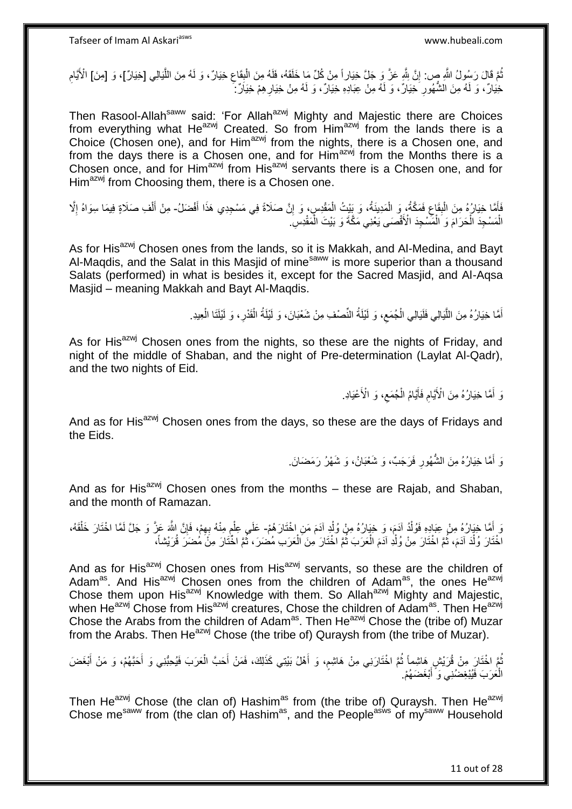نُّمَّ قَالَ رَسُولُ اللَّهِ ص: إِنَّ شِّهِ عَنَّ وَ جَلَّ خِيَاراً مِنْ كُلِّ مَا خَلَقَهُ، فَلَهُ مِنَ الْبِقَاعِ خِيَارٌ، وَ لَهُ مِنَ اللَّيَالِي [خِيَارٌ]، وَ [مِنَ] الْأَيَّامِ ِ ِ ْ ِ ه ِ خِيَارٌ ، وَ لَهُ مِنَ الشَّهُورِ خِيَارٌ ، وَ لَهُ مِنْ عِبَادِهِ خِيَارٌ ، وَ لَهُ مِنْ خِيَارِ هِمْ خِيَارٌ جُ **∶** ِ

Then Rasool-Allah<sup>saww</sup> said: 'For Allah<sup>azwj</sup> Mighty and Majestic there are Choices from everything what He<sup>azwj</sup> Created. So from Him<sup>azwj</sup> from the lands there is a Choice (Chosen one), and for Him<sup>azwj</sup> from the nights, there is a Chosen one, and from the days there is a Chosen one, and for Him<sup>azwj</sup> from the Months there is a Chosen once, and for Him<sup>azwj</sup> from His<sup>azwj</sup> servants there is a Chosen one, and for  $H_{\text{lim}}^{\text{azw}}$  from Choosing them, there is a Chosen one.

َ فَأَمَّا خِيَارُهُ مِنَ الْبِقَاعِ فَمَكَّةُ، وَ الْمَدِينَةُ، وَ بِيْتُ الْمَقْدِسِ، وَ إِنَّ صَلَاةً فِي مَسْجِدِي هَذَا أَفْضَلُ- مِنْ أَلْفِ صَلَاةٍ فِيمَا سِوَاهُ إِلَّا ِ ْ ْ ِ **ِ** ْ ِ ْ َ الْمَسْجِدَ الْحَرَامَ وَ الْمَسْجِدَ الْأَقْصَى يَعْنِي مَكَّةَ وَ بَيْتَ الْمَقْدِسِ ۖ ْ ْ ْ ْ

As for His<sup>azwj</sup> Chosen ones from the lands, so it is Makkah, and Al-Medina, and Bayt Al-Maqdis, and the Salat in this Masjid of mine<sup>saww</sup> is more superior than a thousand Salats (performed) in what is besides it, except for the Sacred Masjid, and Al-Aqsa Masjid – meaning Makkah and Bayt Al-Maqdis.

> أَمَّا خِيَارُهُ مِنَ اللَّيَالِي فَلَيَالِي الْجُمَعِ، وَ لَيْلَةُ النِّصْفِ مِنْ شَعْبَانَ، وَ لَيْلَةُ الْقَدْرِ، وَ لَيْلَتَا الْعِيدِ. ِ ْ ه َ ْ **∶** ْ

As for His<sup>azwj</sup> Chosen ones from the nights, so these are the nights of Friday, and night of the middle of Shaban, and the night of Pre-determination (Laylat Al-Qadr), and the two nights of Eid.

> وَ أَمَّا خِيَارُهُ مِنَ الْأَيَّامِ فَأَيَّامُ الْجُمَعِ، وَ الْأَعْيَادِ. َ ِ ْ َ ِ

And as for His<sup>azwj</sup> Chosen ones from the days, so these are the days of Fridays and the Eids.

> وَ أُمَّا خِيَارُهُ مِنَ الشُّهُورِ فَرَجَبٌ، وَ شَعْبَانُ، وَ شَهْرُ رَمَضَانَ. ِ َ

And as for His<sup>azwj</sup> Chosen ones from the months  $-$  these are Rajab, and Shaban, and the month of Ramazan.

وَ أَمَّا خِيَارُهُ مِنْ عِبَادِهِ فَوُلْدُ آدَمَ، وَ خِيَارُهُ مِنْ وُلْدِ آدَمَ مَنِ اخْتَارَ هُمْ- عَلَى عِلْمٍ مِنْهُ بِهِمْ، فَإِنَّ اللَّهَ عَزَّ وَ جَلَّ لَمَّا اخْتَارَ خَلْقَهُ، ْ ْ َ ِ ِ Ç ْ ْ اخْتَارَ وُلْدَ آدَمَ، ثُمَّ اخْتَارَ مِنْ وُلْدِ آدَمَ الْعَرَبَ ثُمَّ اخْتَارَ مِنَ الْعَرَبِ مُضَرَ، ثُمَّ اخْتَارَ مِنْ مُضَرَ قُرَيْشاً، ُ ْ ِ<br>ا ْ ْ ُ ْ

And as for His<sup>azwj</sup> Chosen ones from His<sup>azwj</sup> servants, so these are the children of Adam<sup>as</sup>. And His<sup>azwj</sup> Chosen ones from the children of Adam<sup>as</sup>, the ones He<sup>azwj</sup> Chose them upon His<sup>azwj</sup> Knowledge with them. So Allah<sup>azwj</sup> Mighty and Majestic, when He<sup>azwj</sup> Chose from His<sup>azwj</sup> creatures, Chose the children of Adam<sup>as</sup>. Then He<sup>azwj</sup> Chose the Arabs from the children of Adam<sup>as</sup>. Then He<sup>azwj</sup> Chose the (tribe of) Muzar from the Arabs. Then He<sup>azwj</sup> Chose (the tribe of) Quraysh from (the tribe of Muzar).

نُمَّ اخْتَارَ مِنْ قُرَيْشٍ هَاشِماً ثُمَّ اخْتَارَنِي مِنْ هَاشِمٍ، وَ أَهْلُ بَيْتِي كَذَلِكَ، فَمَنْ أَحَبَّ الْعَرَبَ فَيُحِبُّنِي وَ أَحَبَّهُمْ، وَ مَنْ أَبْغَضَ ُ َ َ َ ْ َ الْعَرَبَ فَيُبْغِضُنِي وَ ۚ أَبْغَضَهُمْ. َ ْ

Then He<sup>azwj</sup> Chose (the clan of) Hashim<sup>as</sup> from (the tribe of) Quraysh. Then He<sup>azwj</sup> Chose me<sup>saww</sup> from (the clan of) Hashim<sup>as</sup>, and the People<sup>asws</sup> of my<sup>saww</sup> Household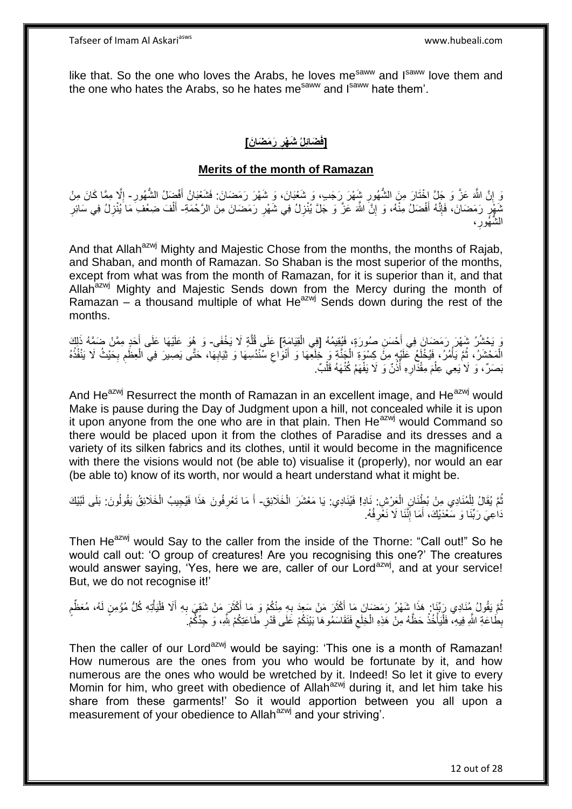like that. So the one who loves the Arabs, he loves me<sup>saww</sup> and I<sup>saww</sup> love them and the one who hates the Arabs, so he hates me<sup>saww</sup> and I<sup>saww</sup> hate them'.

### **[فَضَائِلُ شَهْرِ رَمَضَانَ] ِ**

### **Merits of the month of Ramazan**

وَ إِنَّ اللَّهَ عَزَّ وَ جَلَّ إِخْتَارَ مِنَ الشُّهُورِ شَيْهرَ رَجَبٍ، وَ شَعْبَانَ، وَ شَهْرَ رَمَضَانَ: فَشَعْبَانُ أَفْضِلُ الشُّهُورِ- إِلَّا مِمَّا كَانَ مِنْ <u>֖֚֚֚֚֚֚֚֓</u> **∶** ِ ا<br>ا نَهُمْ ِ رَمَضَانَ، فَإِنَّهُ أَفْضَلُ مِنْهُ، وَ إِنَّ اللَّهَ عَزَّ وَ جَلَّ يُنْزِلُ فِي شَهْرِ رَمَضَانَ مِنَ الرَّحْمَةِ- أَلْفَ ضِعْفِ مَا يُنْزِلُ فِي سَائِرِ **∶ ∶** ِ َ ِ ٍ<br>ٍ ِ ِ ْ َ الشُّهُورِ ، **∶** 

And that Allah<sup>azwj</sup> Mighty and Majestic Chose from the months, the months of Rajab, and Shaban, and month of Ramazan. So Shaban is the most superior of the months, except from what was from the month of Ramazan, for it is superior than it, and that Allah $a^{2}$  Mighty and Majestic Sends down from the Mercy during the month of Ramazan – a thousand multiple of what  $He^{azwj}$  Sends down during the rest of the months.

وَ يَحْشُرُ شَهْرَ رَمَضَانَ فِي أَحْسَنِ صُورَةٍ، فَيُقِيمُهُ [فِي الْقِيَامَةِ] عَلَى قُلَّةٍ لَا يَخْفَى- وَ هُوَ عَلَيْهَا عَلَى أَحَدٍ مِمَّنْ ضَمَّهُ ذَٰلِكَ ه ْ َ الْمَحْشَرُ، ثُمَّ يَأْمُرُ، فَيُخْلَعُ عَلَيْهِ مِنَّ كِسْوَةِ الْجَنَّةِ وَ خَلَعِّهَا وَ أَنْوَاعِ سَنْدُسِهَا وَ ثِيَابِهَا، حَتَّى يَصِيرَ فِي الْعِظُمِ بِحَيْثُ لَا يَنْفُدُهُ ِ ْ ْ ُ **∶** ِ ْ ِ َمِصَرٌ، وَ لَا يَعِي عِلْمَ مِقْدَارِهِ أُذُنٌ وَ لَا يَفْهَمُ كُنْهَهُ قَلْبٌ. ُ **∶** ْ ْ

And He<sup>azwj</sup> Resurrect the month of Ramazan in an excellent image, and He<sup>azwj</sup> would Make is pause during the Day of Judgment upon a hill, not concealed while it is upon it upon anyone from the one who are in that plain. Then He<sup>azwj</sup> would Command so there would be placed upon it from the clothes of Paradise and its dresses and a variety of its silken fabrics and its clothes, until it would become in the magnificence with there the visions would not (be able to) visualise it (properly), nor would an ear (be able to) know of its worth, nor would a heart understand what it might be.

ثُمَّ يُقَالُ لِلْمُنَادِي مِنْ بُطْنَانِ الْعَرْشِ فَادِ! فَيُنَادِي: يَا مَعْشَرَ الْخَلَائِقِ- أَ مَا تَعْرِفُونَ هَذَا فَيُجِيبُ الْخَلَائِقُ يَقُولُونَ: بَلَى لَبَّيْكَ ُ ْ ْ ْ ِ َ دَاعِيَ رَبِّنَا وَ سَعْدَيْكَ، أَمَا إِنَّنَا لَا نَغُرِفُهُ. ِ ِ َ

Then He<sup>azwj</sup> would Say to the caller from the inside of the Thorne: "Call out!" So he would call out: 'O group of creatures! Are you recognising this one?' The creatures would answer saying, 'Yes, here we are, caller of our Lord<sup>azwj</sup>, and at your service! But, we do not recognise it!'

ِ نُّمَّ يَقُولُ مُنَادِي رَبِّنَا: هَذَا شَهْرُ رَمَضَانَ مَا أَكْثَرَ مَنْ سَعِدَ بِهِ مِنْكُمْ وَ مَا أَكْثَرَ مَنْ شَقِيَ بِهِ أَلَا فَلْيَأْتِهِ كُلُّ مُؤْمِنٍ لَهُ، مُعَظِّمٍ َ َ ِ َ َ ُ ֖֖֖֖֖֦֦֧֦֧֦֧֧֦֦֧֦֧֧֦֧֧֦֧֧֧֧֛֛֛֛֚֚֚֚֚֚֚֩֘֝֝֝֓֝֜֓֝֬֝֓֝֓֜֓֝֓֜֜֜֜ ْ ْ َ بِطَاعَةِ اللَّهِ فِيهِ، فَلْيَأْخُذْ حَظَّهُ مِنْ هَذِهِ الْخِلَعِ فَتَقَاسَمُوهَا بَيْنَكُمْ عَلَى قَدْرِ طَاعَتِكُمْ شَّهِ، وَ حِدِّكِّمْ.  $\zeta$ ْ **ٔ** :<br>. ا<br>ا ِ

Then the caller of our Lord<sup>azwj</sup> would be saying: 'This one is a month of Ramazan! How numerous are the ones from you who would be fortunate by it, and how numerous are the ones who would be wretched by it. Indeed! So let it give to every Momin for him, who greet with obedience of Allah<sup>azwj</sup> during it, and let him take his share from these garments!' So it would apportion between you all upon a measurement of your obedience to Allah<sup>azwj</sup> and your striving'.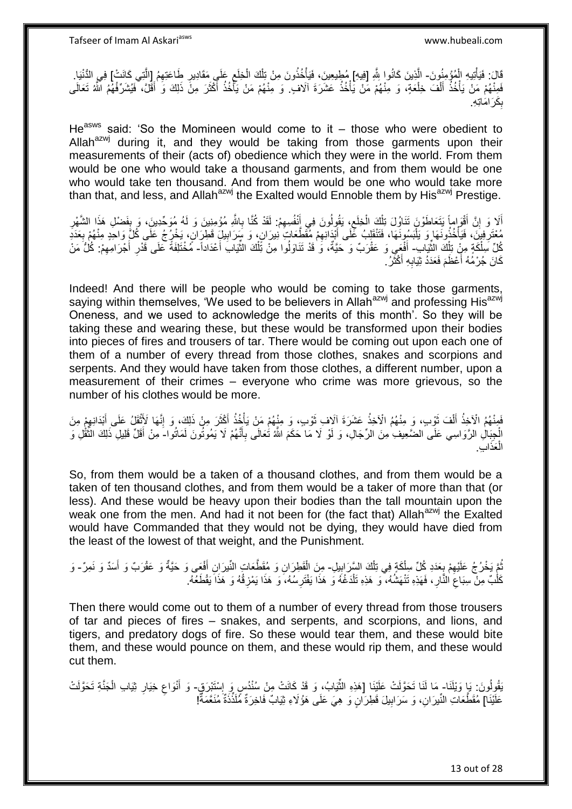قَالَ: فَيَأْتِيهِ الْمُؤْمِنُونَ- الَّذِينَ كَانُوا لِلَّهِ [فِيهِ] مُطِيعِينَ، فَيَأْخُذُونَ مِنْ تِلْكَ الْخِلَعِ عَلَى مَقَادِيرِ طَاعَتِهِمُ [الَّتِي كَانَتْ] فِي الدُّنْيَا. ْ ْ ِ ْ ْ ْ ه ِ فَبِنْهُمْ مَنْ يَأْخُذُ أَلْفَ خِلْعَةٍ، وَ مِّنْهُمْ مِّنْ يَأْخُذُ عَشَرَةَ آلَافٍ ۖ وَ مِنْهُمْ مَنْ يَأْخُذُ أَكْثَرَ مِنْ ذَلِكَ وَ ٰأَقَلَّ، ۖ فَيُشَرِّفُهُمُ الَّمُّ تَعَالَى ة<br>أ ْ ْ َ ْ َ َ َ ْ بِكَرَ امَاتِهِ. ِ

He<sup>asws</sup> said: 'So the Momineen would come to it – those who were obedient to Allah $a^{2xy}$  during it, and they would be taking from those garments upon their measurements of their (acts of) obedience which they were in the world. From them would be one who would take a thousand garments, and from them would be one who would take ten thousand. And from them would be one who would take more than that, and less, and Allah<sup>azwj</sup> the Exalted would Ennoble them by His<sup>azwj</sup> Prestige.

أَلَا وَ إِنَّ أَقْوَاماً يَتَعَاطَوْنَ تَنَاوُلَ تِلْكَ الْخِلَعِ، يَقُولُونَ فِي أَنْفُسِهِمْ: لَقَدْ كُنَّا بِاللَّهِ مُؤْمِنِينَ وَ لَهُ مُوَحِّدِينَ، وَ بِفَضْلِ هَذَا الشَّهْرِ ِ ِ َ ِ ْ ْ َ ِ َ ׇ֦֧֧<u>֚֓</u> ِ مُعْتَرِفِينَ، فَيَأْخُذُونَهَا وَ يَلْبَسُونَهَا، فَتَنْقَلِبُ عَلَى أَبْدَانِهِمْ مُقَطَّعَاتٍ نِيرَانٍ، وَ سَرَابِيلٍ قَطِرَانٍ، يَخْرُجُ عَلَى كُلٍّ وَاحَدٍ مِنْهُمْ بِعَدَدِ ِ َ ا<br>ا ة<br>أ **∶** ِ ِ كُلِّ سِلْكَةٍ مِنْ تِلْكَ الثَّيَابِ- أَفْعَي وَ عَقْرَبٌ وَ حَيَّةٌ، وَ قَدْ تَذَاوَلُوا مِنْ تَِلْكَ الثَّيَابَ أَعْدَاداً- مُخْتَلِفَةً عَلَى قَدْرِ أَجْرَامِهِمْ: كُلُّ مَنْ ِّ ْ ْ َ َ ِّ ْ ِ َ ِ كَانَ جُرْمُهُ أَعْظَمَ فَعَدَدُ ثِيَابِهِ أَكْثَرُ. َ َ **∶** َ

Indeed! And there will be people who would be coming to take those garments, saying within themselves, 'We used to be believers in Allah<sup>azwj</sup> and professing His<sup>azwj</sup> Oneness, and we used to acknowledge the merits of this month'. So they will be taking these and wearing these, but these would be transformed upon their bodies into pieces of fires and trousers of tar. There would be coming out upon each one of them of a number of every thread from those clothes, snakes and scorpions and serpents. And they would have taken from those clothes, a different number, upon a measurement of their crimes – everyone who crime was more grievous, so the number of his clothes would be more.

فَعِنْهُمُ الْأَخِذُ أَلْفَ ثَوْبٍ، وَ مِنْهُمُ الْأَخِذُ عَشَرَةَ آلَافٍ ثَوْبٍ، وَ مِنْهُمْ مَنْ يَأْخُذُ أَكْثَرَ مِنْ ذَلِكَ، وَ إِنَّهَا لَأَثْقَلُ عَلَى أَبْدَانِهِمْ مِنَ َ َ ْ َ َ ْ َ ِ َ **ٔ** ِ الْجِبَالِ الرَّوَاسِي عَلَى الضَّعِيفِ مِنَ الرِّجَالِ، وَ لَوْ لَا مَا حَكَمَ اللَّهُ تُعَالَى بِأَنَّهُمْ لَا يَمُوتُونَ لَمَاتُوا-َ مِنْ أَقَلِّ قَلِيلِ ذَلِكَ النُّقُلِ وَ َ ِ ْ ِّ َ الْعَذَابِ ْ

So, from them would be a taken of a thousand clothes, and from them would be a taken of ten thousand clothes, and from them would be a taker of more than that (or less). And these would be heavy upon their bodies than the tall mountain upon the weak one from the men. And had it not been for (the fact that) Allah<sup>azwj</sup> the Exalted would have Commanded that they would not be dying, they would have died from the least of the lowest of that weight, and the Punishment.

ْ نُمَّ يَخْرُجُ عَلَيْهِمْ بِعَدَدِ كُلِّ سِلْكَةٍ فِي تِلْكَ السَّرَابِيلِ- مِنَ الْقَطِرَانِ وَ مُقَطَّعَاتِ النَّبرَانِ أَفْعِي وَ حَيَّةٌ وَ عَقْرَبٌ وَ أَسَدٌ وَ نَمِرٌ - وَ **∶** ِ ُ  $\frac{1}{2}$ ْ َ َ كَلْبٌ مِنْ سِبَاعَ النَّارِ ، فَهَذِهِ تَنْهَشُهُ، ۖ وَ هَذِهِ تَلْدَغُهُ وَ هَذَا يَفْتَرِسُهُ، وَ هَذَا يَمْزِقُهُ وَ هَذَا يَقْطَعُهُ. **∶** ِ ْ ِ ِ ْ

Then there would come out to them of a number of every thread from those trousers of tar and pieces of fires – snakes, and serpents, and scorpions, and lions, and tigers, and predatory dogs of fire. So these would tear them, and these would bite them, and these would pounce on them, and these would rip them, and these would cut them.

َنْقُولُونَ: بَإِ وَيْلَنَا- مَا لَنَا تَحَوَّلَتْ عَلَيْنَا [هَذِهِ الثَّيَابُ، وَ قَدْ كَانَتْ مِنْ سُنْدُسٍ وَ إِسْتَبْرَقٍ- وَ أَنْوَاعِ خِيَارِ ثِيَابِ الْجَنَّةِ تَحَوَّلَتْ ِ ِّ ْ ِ ِ َ عَلَيْنَا] مُقَطَّعَاتِ النِّيرَانِ، وَ سَرَابِيلَ قَطِرَانٍ وَ هِيَ عَلَى هَؤُلَاءِ ثِيَابٌ فَاخِرَةٌ مُلَذِّذَةٌ مُنَعَمَةٌ! ِ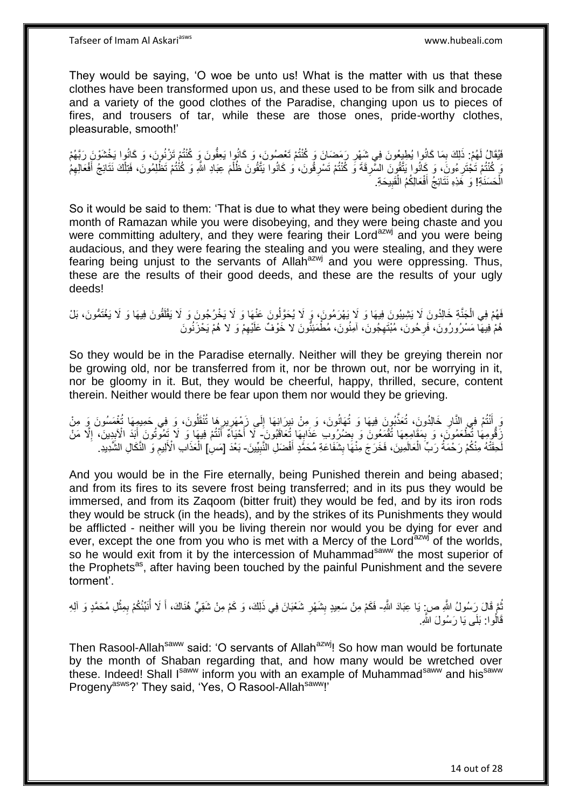They would be saying, 'O woe be unto us! What is the matter with us that these clothes have been transformed upon us, and these used to be from silk and brocade and a variety of the good clothes of the Paradise, changing upon us to pieces of fires, and trousers of tar, while these are those ones, pride-worthy clothes, pleasurable, smooth!'

فَيُقَالُ لَهُمْ: ذَلِكَ بِمَا كَانُوا يُطِيعُونَ فِي شَهْرِ رَمَِضَانَ وَ كُنْتُمْ تَعْصُونَ، وَ كَانُوا رَبَعُه مَ ِ ِ وَ كُنْتُمْ تَجْتَرِ مُونَ، وَ كَانُوا يَتَّقُونَ السَّرِقَةَ وَ كُنْتُمْ تَسْرِقُونَ، وَ كَانُوا يَتَّقُونَ ظُلْمَ عِبَادِ اللَّهِ وَ كُنْتُمْ تَظْلِّمُونَ، فَتِلْكَ نَتَائِجُ أَفْعَالِهِمُ ِ **∶** ِ ِ َ ْ ْ الْحَسَنَةِ! وَ هَذِهِ نَتَائِجُ أَفْعَالِكُمُ الْقَبِيحَةِ. ْ ِ ْ َ

So it would be said to them: 'That is due to what they were being obedient during the month of Ramazan while you were disobeying, and they were being chaste and you were committing adultery, and they were fearing their Lord<sup>azwj</sup> and you were being audacious, and they were fearing the stealing and you were stealing, and they were fearing being unjust to the servants of Allah $a$ <sup>azwj</sup> and you were oppressing. Thus, these are the results of their good deeds, and these are the results of your ugly deeds!

### فَهُمْ فِي الْجَنَّةِ خَالِدُونَ لَا يَشِيبُونَ فِيهَا وَ لَا يَهْرَمُونَ، وَ لَا يُحَوَّلُونَ عَنْهَا وَ لَا يَخْرُجُونَ وَ لَا يَقْلَقُونَ فِيهَا وَ لَا يَغْتَمُّونَ، بَلْ ْ لَ هُمْ ٰفِيهَآ مَسْرُورُونَ، ۚ فَرِحُونَ، مُبْنَّهِجُونَ، آمِنُونَ، مُطْمَئِنُّونَ لَا خَوْفٌ عَلَيْهِمْ وَ لا هُمْ يَخْزَنُونَ ِ **∶** ِ

So they would be in the Paradise eternally. Neither will they be greying therein nor be growing old, nor be transferred from it, nor be thrown out, nor be worrying in it, nor be gloomy in it. But, they would be cheerful, happy, thrilled, secure, content therein. Neither would there be fear upon them nor would they be grieving.

وَ أَنْتُمْ فِي النَّارِ خَالِدُونَ، تُعَذَّبُونَ فِيهَا وَ تُهَانُونَ، وَ مِنْ نِيرَانِهَا إِلَى زَمْهَرِيرِهَا تُنْقَلُونَ، وَ فِي حَمِيمِهَا تُغْمَسُونَ وَ مِنْ ِ ِ ِ ِ زَقُومِهَا تُطْعَمُونَ، وَ بِمَقَامِعِهَا تُقْمَعُونَ وَ بِضُرُوبِ عَذَابِهَا تُعَاقَبُونَ- لَا أَحْيَامٌ أَنْتُمْ فِيهَا وَ لَا تَفُوتُونَ أَبَدَ الْأَبِدِينَ، إِلَّا مَنْ ِ ِ ِ ا<br>ا ِ َ َ َ لْحَقَّتْهُ مِنْكُمْ رَحْمَةُ رَبِّ الْعَالَمِينَ، فَخَرَجَ مِنْهَا بِشَفَاعَةِ مُحَمَّدٍ أَفْضَلِ النَّنْبِيِّينَ- بَعْدَ [مَسِ| الْعَذَابِ الْأَلِيمِ وَ النَّكَالِ الشَّدِيدِ ْ ِ َ **∣** ِ ْ

And you would be in the Fire eternally, being Punished therein and being abased; and from its fires to its severe frost being transferred; and in its pus they would be immersed, and from its Zaqoom (bitter fruit) they would be fed, and by its iron rods they would be struck (in the heads), and by the strikes of its Punishments they would be afflicted - neither will you be living therein nor would you be dying for ever and ever, except the one from you who is met with a Mercy of the Lord<sup>azwj</sup> of the worlds, so he would exit from it by the intercession of Muhammad<sup>saww</sup> the most superior of the Prophets<sup>as</sup>, after having been touched by the painful Punishment and the severe torment'.

### ُمَّ قَالَ رَسُولُ اللَّهِ ص: يَا عِبَادَ اللَّهِ- فَكَمْ مِنْ سَعِيدٍ بِشَهْرِ شَعْبَانَ فِي ذَلِكَ، وَ كَمْ مِنْ شَقِيٍّ هُذَاكَ، أَ لَا أُنَبِّئُكُمْ بِمِثْلِ مُحَمَّدٍ وَ آلِهِ ُ ْ ِ ر<br>اُ َ **∶ ∣** قَالُوا: بَلَى يَا رَسُولَ اللَّهِ.

Then Rasool-Allah<sup>saww</sup> said: 'O servants of Allah<sup>azwj</sup>! So how man would be fortunate by the month of Shaban regarding that, and how many would be wretched over these. Indeed! Shall Isaww inform you with an example of Muhammad<sup>saww</sup> and his<sup>saww</sup> Progeny<sup>asws</sup>?' They said, 'Yes, O Rasool-Allah<sup>saww</sup>!'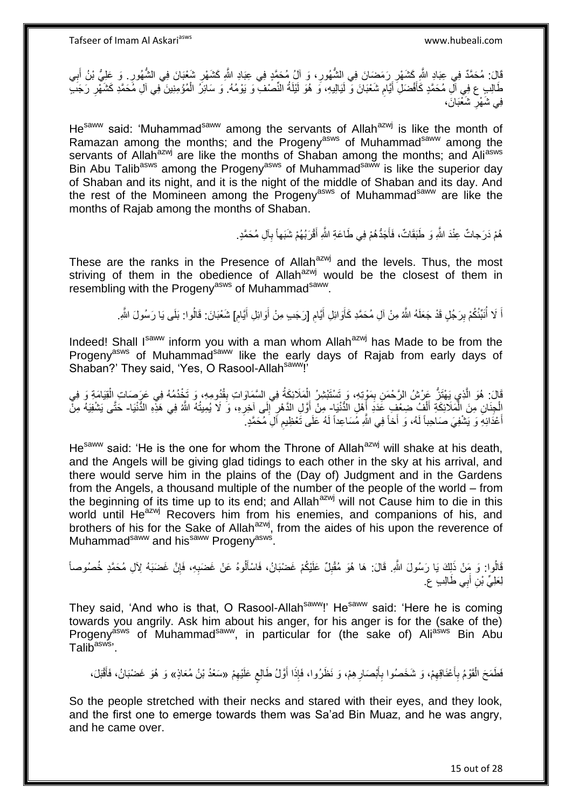قَالَ: مُحَمَّدٌ فِي عِبَادِ الثَّهِ كَشَهْرِ رَمَضَانَ فِي الشُّهُورِ، وَ أَلْ مُحَمَّدٍ فِي عِبَادِ اللَّهِ كَشَهْرِ شَعْبَانَ فِي الشُّهُورِ . وَ عَلِيُّ بْنُ أَبِي ِ ِ ِ ِ ِ َ طَالِبٍ ع فِي أَلِ مُحَمَّدٍ كَأَفْضَلِ أَيَّامٍ شَعْبَانَ وَ لَيَالِيهِ، وَ هُوَ لَيْلَةُ النِّصْفِ وَ يَوْمُهُ. وَ سَائِزُ الْمُؤْمِنِينَ فِي آلِ مُحَمَّدِ كَشَهْرِ رَجَبٍّ ِ َ َ ِ ْ فِي شَهْرِ شَعْبَانَ، ِ

He<sup>saww</sup> said: 'Muhammad<sup>saww</sup> among the servants of Allah<sup>azwj</sup> is like the month of Ramazan among the months; and the Progeny<sup>asws</sup> of Muhammad<sup>saww</sup> among the servants of Allah<sup>azwj</sup> are like the months of Shaban among the months; and Ali<sup>asws</sup> Bin Abu Talib<sup>asws</sup> among the Progeny<sup>asws</sup> of Muhammad<sup>saww</sup> is like the superior day of Shaban and its night, and it is the night of the middle of Shaban and its day. And the rest of the Momineen among the Progeny<sup>asws</sup> of Muhammad<sup>saww</sup> are like the months of Rajab among the months of Shaban.

> هُمْ دَرَجاتٌ عِنْدَ اللَّهِ وَ طَبَقَاتٌ، فَأَجَدُّهُمْ فِي طَاعَةِ اللَّهِ أَقْرَبُهُمْ شَبَهاً بِأَلِ مُحَمَّدٍ. َ **∶** َ

These are the ranks in the Presence of Allah<sup>azwj</sup> and the levels. Thus, the most striving of them in the obedience of Allahazwj would be the closest of them in resembling with the Progeny<sup>asws</sup> of Muhammad<sup>saww</sup>.

> **ُ** اً لَا أُنَبَّئُكُمْ بِرَجُلٍ قَدْ جَعَلَهُ اللَّهُ مِنْ آلِ مُحَمَّدِ كَأَوائِلِ أَيَّامِ [رَجَبِ مِنْ أَوائِلِ أَيَّامِ] شَعْبَانَ: قَالُوا: بَلَى يَا رَسُولَ اللَّهِ. َ َ **∶** َ َ ِ ُ َ

Indeed! Shall Isaww inform you with a man whom Allah<sup>azwj</sup> has Made to be from the Progeny<sup>asws</sup> of Muhammad<sup>saww</sup> like the early days of Rajab from early days of Shaban?' They said, 'Yes, O Rasool-Allah<sup>saww</sup>!'

قَالَ: هُوَ الَّذِي يَهْتَنُّ عَرْشُ الرَّحْمَنِ بِمَوْتِهِ، وَ تَسْتَبْشِرُ الْمَلَائِكَةُ فِي السَّمَاوَاتِ بِقُدُومِهِ، وَ تَخْدُمُهُ فِي عَرَصَاتِ الْقِيَامَةِ وَ فِي ْ ِ ه ِ ْ الْجِنَانِ مِنَ الْمَلَائِكَةِ أَلْفٍ ضِعْفٍ عَدَدِ أَهْلِ الدُّنْيَا- مِنْ أَوَّلِ الدَّهْرِ إِلَى آخِرِهِ، وَ لَا يُمِيتُهُ اللَّهُ فِي هَذِهِ الدُّنْيَا- حَتَّى يَشْفِيَهُ مِنّْ َ ْ َ ْ ْ ِ ∣∣<br>∶ ِ أَعْدَائِهِ وَ يَشْفِيَ صَاحِباً لَهُ، وَ أَخاً فِي اللَّهِ مُسَاعِداً لَهُ عَلَى تَعْظِيمِ أَلِ مُحَمَّدٍ ِ َ ِ لَ لَ

 $He<sup>saww</sup>$  said: 'He is the one for whom the Throne of Allah<sup>azwj</sup> will shake at his death, and the Angels will be giving glad tidings to each other in the sky at his arrival, and there would serve him in the plains of the (Day of) Judgment and in the Gardens from the Angels, a thousand multiple of the number of the people of the world – from the beginning of its time up to its end; and Allah<sup>azwj</sup> will not Cause him to die in this world until He<sup>azwj</sup> Recovers him from his enemies, and companions of his, and brothers of his for the Sake of Allah $a$ <sub>zwj</sub>, from the aides of his upon the reverence of Muhammad<sup>saww</sup> and his<sup>saww</sup> Progeny<sup>asws</sup>.

قَالُوا: وَ مِنْ ذَلِكَ يَا رَسُولَ اللَّهِ. قَالَ: هَا هُوَ مُقْبِلٌ عَلَيْكُمْ غَضْبَانُ، فَاسْأَلُوهُ عَنْ غَضَبِهِ، فَإِنَّ غَضَبَهُ لِأَلِ مُحَمَّدٍ خُصُوصـاً ِ **∶** َ **ِ** لِعَلِيِّ بْنِ أَبِي طَالِبٍ ع َ

They said, 'And who is that, O Rasool-Allah<sup>saww</sup>!' He<sup>saww</sup> said: 'Here he is coming towards you angrily. Ask him about his anger, for his anger is for the (sake of the) Progeny<sup>asws</sup> of Muhammad<sup>saww</sup>, in particular for (the sake of) Ali<sup>asws</sup> Bin Abu Tali $\bar{\mathsf{b}}^{\mathsf{asws}}$  .

فَطَمَحَ الْقَوْمُ بِأَعْنَاقِهِمْ، وَ شَخَصُوا بِأَبْصَارِهِمْ، وَ نَظَرُوا، فَإِذَا أَوَّلُ طَالِعٍ عَلَيْهِمْ «سَعْدُ بْنُ مُعَاذِ» وَ هُوَ غَضْبَانُ، فَأَقْبَلَ، ِ  $\ddot{\phantom{0}}$ َ **∶** َ ِ ِ :<br>ا ِ َ

So the people stretched with their necks and stared with their eyes, and they look, and the first one to emerge towards them was Sa'ad Bin Muaz, and he was angry, and he came over.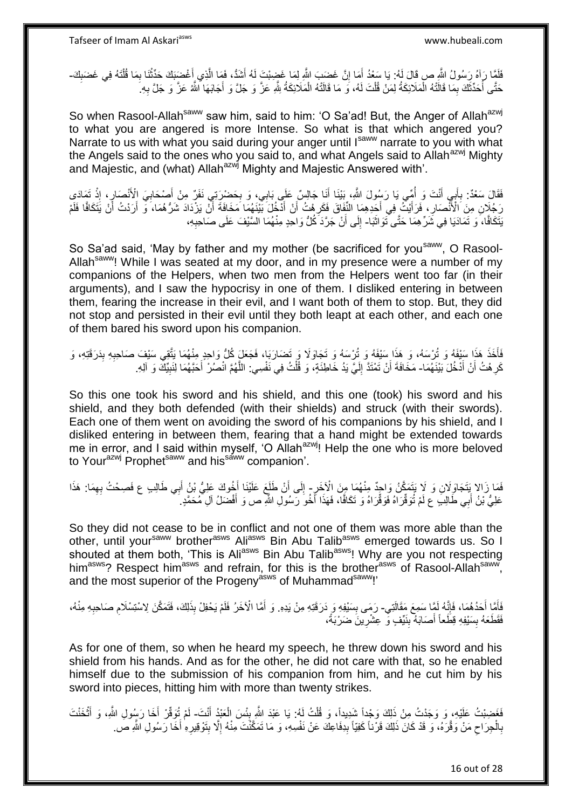فَلَمَّا رَآهُ رَسُولُ اللَّهِ ص قَالَ لَهُ: يَا سَعْدُ أَمَا إِنَّ غَضَبَ اللَّهِ لِمَا غَضِبْتَ لَهُ أَشَدُّ، فَمَا الَّذِي أَغْضَنِكَ حَدِّثْنَا بِمَا قُلْنَهُ فِي غَضَبِكَ-ْ ِ ْ َ ه َ ِ ِ حَتَّى أُحَدِّثَكَ بِمَا قَالَتْهُ الْمَلَائِكَةُ لِمَنْ قُلْتَ لَهُ، وَ مَا قَالَتْهُ الْمَلَائِكَةُ بِثَّهِ عَزَّ وَ جَلَّ وِ أَجَابَهَا الثَّهُ عَزَّ وَ جَلَّ بِهِ ِ ْ ْ ْ ِ َ ُ ِ َ

So when Rasool-Allah<sup>saww</sup> saw him, said to him: 'O Sa'ad! But, the Anger of Allah<sup>azwj</sup> to what you are angered is more Intense. So what is that which angered you? Narrate to us with what you said during your anger until Isaww narrate to you with what the Angels said to the ones who you said to, and what Angels said to Allah<sup>azwj</sup> Mighty and Majestic, and (what) Allah<sup>azwj</sup> Mighty and Majestic Answered with'.

فَقَالَ سَعْدٌ: بِأَبِي أَنْتَ وَ أُمِّي يَا رَسُولَ اللَّهِ، بَيْنَا أَنَا جَالِسٌ عَلَى بَابِي، وَ بِحَضْرِيَتِي نَفَنٍّ مِنْ أَصْحَابِيَ الْأَنْصَارِ ، إِذْ تَمَادَي ِ َ ا<br>ا َ َ **∶ ٔ ৃ** ِ َ رَجُلَانِ مِنَ الْأَنْصَارِ، فَرَأَيْتُ فِي أَجِّدِهِمَا النَّفَاقَ فَكَرِهْتُ أَنْ أَذَّخُلَ بَيْنَهُمَا مَخَافَةً أَنَّ يَزْدَادَ شَرُّهُمَا، وَّ أَرَدْتُ أَنْ يَتَكَافًا فَلَمْ َ َ اُ ِ َ َ ِ َ َ َنِتَكَافًا، وَ تَمَادَيَا فِي شَرِّهِمَا حَتَّى تَوَاثَبَا- إِلَى أَنْ جَرَّدَ كُلُّ وَاحِدٍ مِنْهُمَا السَّيْفَ عَلَى صَاحِبِهِ، ة<br>أ ِ ِ

So Sa'ad said, 'May by father and my mother (be sacrificed for you<sup>saww</sup>, O Rasool-Allah<sup>saww</sup>! While I was seated at my door, and in my presence were a number of my companions of the Helpers, when two men from the Helpers went too far (in their arguments), and I saw the hypocrisy in one of them. I disliked entering in between them, fearing the increase in their evil, and I want both of them to stop. But, they did not stop and persisted in their evil until they both leapt at each other, and each one of them bared his sword upon his companion.

فَأَخَذَ هَذَا سَيْفَهُ وَ تُرْسَهُ، وَ هَذَا سَيْفَهُ وَ تُرْسَهُ وَ تَجَاوَلَا وَ تَضَارَبَا، فَجَعَلَ كُلُّ وَاحِدٍ مِنْهُمَا يَتَّقِي سَيْفَ صَاحِبِهِ بِدَرَقَتِهِ، وَ َ ِ ِ كَرِ هُتُ أَنْ أَدْخُلَ بَيْنَهُمَا- مَخَافَةَ أَنْ تَمْتَدَّ إِلَيَّ يَدُ خَاطِئَةٍ، وَ قُلْتُ فِي نَفْسِي: اللَّهُمَّ انْصُرْ أَحَبَّهُمَا لِنَبِيِّكَ وَ آلِهِ. اً ِ ِ َ ه ْ لَ ∣ا<br>∶

So this one took his sword and his shield, and this one (took) his sword and his shield, and they both defended (with their shields) and struck (with their swords). Each one of them went on avoiding the sword of his companions by his shield, and I disliked entering in between them, fearing that a hand might be extended towards me in error, and I said within myself, 'O Allah<sup>azwj</sup>! Help the one who is more beloved to Your<sup>azwj</sup> Prophet<sup>saww</sup> and his<sup>saww</sup> companion'.

فَمَا زَالا بَتَجَاوَلَانِ وَ لَإِ يَتَمَكَّنُ وَاحِدٌ مِنْهُمَا مِنَ الْأَخَرِ - إِلَى أَنْ طَلَعَ عَلَيْنَا أَخُوكَ عَلِيُّ بْنُ أَبِي طَالِبِ ع فَصِحْتُ بِهِمَا: هَذَا ₹, ِ َ َ َ ِ عَلِيُّ بْنُ أَبِي طَالِبَ ع لَمْ تُوَقِّرَاهُ فَوَقِّرَاهُ وَ تَكَافًا، فَهَذَا أَخُوَ رَسُولِ الثَّهِ ص وَ أَفْضَلُ آلِ مُحَمَّدٍ ِ َ َ

So they did not cease to be in conflict and not one of them was more able than the other, until your<sup>saww</sup> brother<sup>asws</sup> Ali<sup>asws</sup> Bin Abu Talib<sup>asws</sup> emerged towards us. So I shouted at them both, 'This is Ali<sup>asws</sup> Bin Abu Talib<sup>asws</sup>! Why are you not respecting him<sup>asws</sup>? Respect him<sup>asws</sup> and refrain, for this is the brother<sup>asws</sup> of Rasool-Allah<sup>saww</sup>, and the most superior of the Progeny<sup>asws</sup> of Muhammad<sup>saww</sup>!'

فَأَمَّا أَحَدُهُمَا، فَإِنَّهُ لَمَّا سَمِعَ مَقَالَتِي- رَمَى بِسَيْفِهِ وَ دَرَقَتِهِ مِنْ يَدِهِ. وَ أَمَّا الْأَخَرُ فَلَمْ يَحْفِلْ بِذَلِكَ، فَتَمَكَّنَ لِاسْتِسْلَامِ صَاحِبِهِ مِنْهُ،<br>ِ ِ َ **!** َ ِ ِ فَقَطَعَهُ بِسَيْفِهِ قِطَعاً أَصَابَهُ بِنَيِّفٍ وَ عِشْرِينَ ضَرْبَةً، **∶** ِ **∣** 

As for one of them, so when he heard my speech, he threw down his sword and his shield from his hands. And as for the other, he did not care with that, so he enabled himself due to the submission of his companion from him, and he cut him by his sword into pieces, hitting him with more than twenty strikes.

فَغَضِبْتُ عَلَيْهِ، وَ وَجَدْتُ مِنْ ذَلِكَ وَجْداً شَدِيداً، وَ قُلْتُ لَهُ: يَا عَبْدَ اللّهِ بِئْسَ الْعَبْدُ أَنْتَ- لَمْ تُوَقِّرْ أَخَا رَسُولِ اللّهِ، وَ أَتْخَنْتَ َ ْ **!** ْ ْ َ َ لَ بِالْحِرَاحِ مَنْ وَقَّرَهُ، وَ قَدْ كَانَ ذَلِكَ قَرْناً كَفِيّاً بِدِفَاعِكَ عَنْ نَفْسِهِ، وَ مَا تَمَكَّنْتَ مِنْهُ إِلَّا بِتَوْقِيرِهِ أَخَا رَسُولِ اللَّهِ صَ **ِ**  $\zeta$ ْ ِ َ **∶** ِ ِ

16 out of 28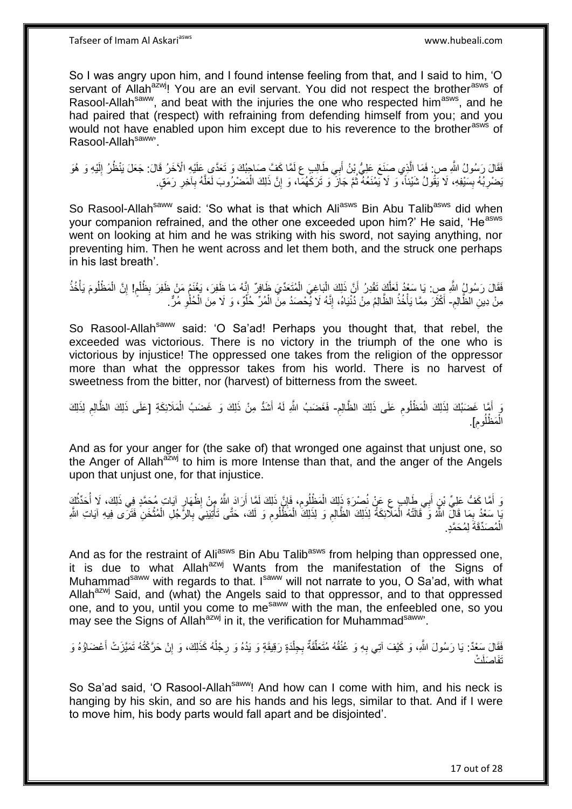So I was angry upon him, and I found intense feeling from that, and I said to him, 'O servant of Allah<sup>azwj</sup>! You are an evil servant. You did not respect the brother<sup>asws</sup> of Rasool-Allah<sup>saww</sup>, and beat with the injuries the one who respected him<sup>asws</sup>, and he had paired that (respect) with refraining from defending himself from you; and you would not have enabled upon him except due to his reverence to the brother<sup>asws</sup> of Rasool-Allah<sup>saww</sup>'.

فَقَالَ رَسُولُ اللَّهِ صِ فَمَا الَّذِي صَنَعَ عَلِيٌّ بْنُ أَبِي طَالِبٍ ع لَمَّا كَفَّ صَاحِبُكَ وَ تَعَدَّي عَلَيْهِ الْآخَرُ قَالَ: جَعَلَ يَنْظُرُ إِلَيْهِ وَ هُوَ َ ه لَ ِ َبَضْرِبُهُ بِسَيْفِهِ، لَا يَقُولُ شَيْئاً، وَ لَا يَمْنَعُهُ ثُمَّ جَاَزَ وَ تَرَكَهُمّاً، وَ إِنَّ ذَلِكَ الْمَضْرُوبَ لَعَلَّهُ بِأخِرِ رَمَقٍ ِ ُ **∣** ِ ِ ِ ه ْ

So Rasool-Allah<sup>saww</sup> said: 'So what is that which Ali<sup>asws</sup> Bin Abu Talib<sup>asws</sup> did when your companion refrained, and the other one exceeded upon him?' He said, 'He<sup>asws</sup> went on looking at him and he was striking with his sword, not saying anything, nor preventing him. Then he went across and let them both, and the struck one perhaps in his last breath'.

فَقَالَ رَسُولُ اللَّهِ صِ: يَا سَعْدُ لَعَلَّكَ تَقْدِرُ ۚ أَنَّ ذَلِكَ الْبَاغِيَ الْمُتَعَدِّيَ ظَافِرٌ ۚ إِنَّهُ مَا ظَفِرَ، يَغْنَمُ مَنْ ظَفِرَ بِظُلْمِ! إِنَّ الْمَظْلُومَ يَأْخُذُ َ اُ ْ ْ ِ ֩֘֝׆֧֧֧֧֧ ْ ِ ِ ْ ْ ِ مِنْ دِينِ الظَّالِمِ- أَكْثَرَ مِمَّا يَأْخُذُ الظَّالِمُ مِنْ دُنْيَاهُ، إِنَّهُ لَا يُّحْصَدُ مِنَّ الْمُرِّ خُلُّوٌ ، وَ لَا مِنَ الْحُلْوِ مُرٍّ. ِ ْ ْ ْ ِ ة<br>أ ٔ, َ

So Rasool-Allah<sup>saww</sup> said: 'O Sa'ad! Perhaps you thought that, that rebel, the exceeded was victorious. There is no victory in the triumph of the one who is victorious by injustice! The oppressed one takes from the religion of the oppressor more than what the oppressor takes from his world. There is no harvest of sweetness from the bitter, nor (harvest) of bitterness from the sweet.

**ُ** دَ أَمَّا غَضَبُكَ لِذَلِكَ الْمَظْلُوم عَلَى ذَلِكَ الظَّالِم- فَغَضَبُ اللَّهِ لَهُ أَشَدُّ مِنْ ذَلِكَ وَ غَضَبُ الْمَلَائِكَةِ [عَلَى ذَلِكَ الظَّالِم لِذَلِكَ ِ ْ َ ْ َ ِ ِ الْمَظْلُومِ]. ْ

And as for your anger for (the sake of) that wronged one against that unjust one, so the Anger of Allah<sup>azwj</sup> to him is more intense than that, and the anger of the Angels upon that unjust one, for that injustice.

ِ وَ أَمَّا كَفُّ عَلِيِّ بْنٍ أَبِي طَالِبٍ عِ عَنْ نُصْرَةٍ ذَلِكَ الْمَظْلُومِ، فَإِنَّ ذَلِكَ لَمَّا أَرَادَ اللَّهُ مِنْ إِظْهَارٍ آيَاتٍ مُحَمَّدٍ فِي ذَلِكَ، لَا أُحَدِّثُكَ ۖ َ ِ ِ ْ َ َ ِ ا<br>ا ُ ِّ مَعْدُ بِمَا قَالَ اللَّهُ وَ ۖ قَالَتْهُ الْمَلَائِكَةُ لِذَلِكَ الظَّالِمِ وَ لِذَلِكَ الْمَظْلُومِ وَ لَكَ، حَتَّى تَأْتِيَنِيَ بِالرَّجُلِ الْمُتْخَنِ فَتَرَى فِيهِ آيَاتِ اللَّهِ ْ ِ ْ ْ **∶** ْ ِ ْ ِ :<br>نا مُصَدِّقَةَ لِمُحَمَّدٍ. ْ ال

And as for the restraint of Ali<sup>asws</sup> Bin Abu Talib<sup>asws</sup> from helping than oppressed one, it is due to what Allah $^{azmj}$  Wants from the manifestation of the Signs of Muhammad<sup>saww</sup> with regards to that. Isaww will not narrate to you, O Sa'ad, with what Allah<sup>azwj</sup> Said, and (what) the Angels said to that oppressor, and to that oppressed one, and to you, until you come to mesaww with the man, the enfeebled one, so you may see the Signs of Allah<sup>azwj</sup> in it, the verification for Muhammad<sup>saww</sup>.

ْفَقَالَ سَعْدٌ: يَا رَسُولَ اللَّهِ، وَ كَيْفَ آتِي بِهِ وَ عُنُقُهُ مُتَعَلِّقَةٌ بِجِلْدَةٍ رَقِيقَةٍ وَ يَدُهُ وَ رِجْلُهُ كَذَلِكَ، وَ إِنْ حَرَّكْتُهُ تَمَيَّزَتْ أَعْضَاؤُهُ وَ ِ ٔ<br>ا ِ ْ ِّ ِ َ ثَفَا<mark>صَلَت</mark>ُ

So Sa'ad said, 'O Rasool-Allah<sup>saww</sup>! And how can I come with him, and his neck is hanging by his skin, and so are his hands and his legs, similar to that. And if I were to move him, his body parts would fall apart and be disjointed'.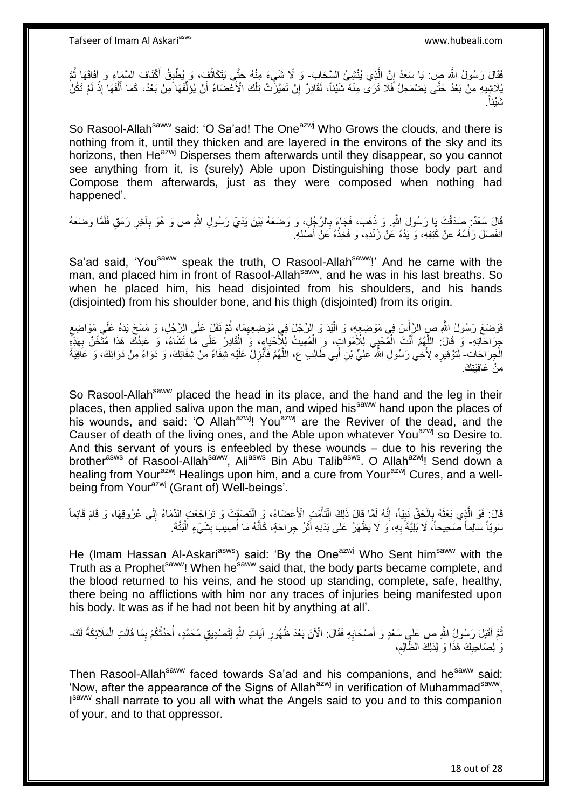فَقَالَ رَسُولُ اللَّهِ صِ: يَا سَعْدُ إِنَّ الَّذِي يُنْشِئُ السَّحَابَ- وَ لَا شَيْءَ مِنْهُ حَتَّى يَتَكَاثَفَ، وَ يُطْبِقُ أَكْنَافَ السَّمَاءِ وَ إَفَاقَهَا ثُمَّ ه ِ ِ َ ا<br>ا َ بِلَاشِيهِ مِنْ بَعْدُ حَتَّى يَصْمَحِلَّ فَلَا تَرَى مِنْهُ شَيْئاً، لَقَادِرٌ إِنْ تَمَيَّزَنَّتْ تِلْكَ الْأَعْصَاءُ أَنْ يُوَلِّفَهَا مِنْ بَعْدُ، كَمَا أَلْفَهَا إِذْ لَمْ تَكُنْ<br>. اُ ْ ِ لَ **ٔ** ه َ ِّ . َشْيئاً

So Rasool-Allah<sup>saww</sup> said: 'O Sa'ad! The One<sup>azwj</sup> Who Grows the clouds, and there is nothing from it, until they thicken and are layered in the environs of the sky and its horizons, then He<sup>azwj</sup> Disperses them afterwards until they disappear, so you cannot see anything from it, is (surely) Able upon Distinguishing those body part and Compose them afterwards, just as they were composed when nothing had happened'.

قَالَ سَعْدٌ: صَدَقْتَ يَا رَسُولَ اللَّهِ وَ ذَهَبَ، فَجَاءَ بِالرَّجُلِ، وَ وَضَعَهُ بَيْنَ يَدَيْ رَسُولِ اللَّهِ ص وَ هُوَ بِأَخِرِ رَمَقٍ فَلَمَّا وَضَعَهُ ِ ِ ِ انْفَصَلَ رَأْسُهُ عَنْ كَتِفِهِ، وَ يَدُهُ عَنْ زَنْدِهِ، وَ فَخِذُهُ عَنْ أَصَٰلِهِ. َ ْ

Sa'ad said, 'You<sup>saww</sup> speak the truth, O Rasool-Allah<sup>saww</sup>!' And he came with the man, and placed him in front of Rasool-Allah<sup>saww</sup>, and he was in his last breaths. So when he placed him, his head disjointed from his shoulders, and his hands (disjointed) from his shoulder bone, and his thigh (disjointed) from its origin.

فَوَضَعَ رَسُولُ اللَّهِ صِ الرَّأْسَ فِي مَوْضِعِهِِ، وَ الْذِدَ وَ الرِّجْلَ فِي مَوْضِعِهِمَا، ثُمَّ تَفَلَ عَلَى الرَّجُلِ، وَ مَسَحَ يَدَهُ عَلَى مَوَاضِعِ ا<br>ا ِ ان<br>المقامات المقامات المقامات المقامات المقامات المقامات المقامات المقامات المقامات المقامات المقامات المقامات<br>المقامات المقامات المقامات المقامات المقامات المقامات المقامات المقامات المقامات المقامات المقامات المقامات ِ جِرَاحَاتِهِ- وَ قَالَ: اللَّهُمَّ أَنْتَ الْمُّحْيِي لِلْأَمْوَاتِ، وَ الْمُمِيتُ لِلْأَحْيَاءِ، وَ الْقَادِرُ عَلَى مَا تَشَاءُ، وَ عَبْدُكَ هَذَا مُثْخَنٌ بِهَذَهِ ْ ْ ْ َ ِ ا<br>الأ الْجِرَاحَاتِ- لِّتَوْقِيرِهِ لِأَخِي رَسُولِ اللَّهِ عَلِيِّ بْنِ أَبِي طَالِبِ عِ، اللَّهُمَّ فَأَنْزِلْ عَلَيْهِ شِّفَاءً مِنْ شَفَائِكَ، وَ حَافِيَةً لِنَّافِيَةً وَ حَافِيَةً ِ َ ه َ ِ مر<sup>َّ</sup>، عَافَيَتَكَ.

So Rasool-Allah<sup>saww</sup> placed the head in its place, and the hand and the leg in their places, then applied saliva upon the man, and wiped his<sup>saww</sup> hand upon the places of his wounds, and said: 'O Allah<sup>azwj</sup>! You<sup>azwj</sup> are the Reviver of the dead, and the Causer of death of the living ones, and the Able upon whatever You<sup>azwj</sup> so Desire to. And this servant of yours is enfeebled by these wounds – due to his revering the brother<sup>asws</sup> of Rasool-Allah<sup>saww</sup>, Ali<sup>asws</sup> Bin Abu Talib<sup>asws</sup>. O Allah<sup>azwj</sup>! Send down a healing from Your<sup>azwj</sup> Healings upon him, and a cure from Your<sup>azwj</sup> Cures, and a wellbeing from Your<sup>azwj</sup> (Grant of) Well-beings'.

قَالَ: فَوَ الَّذِي بَعَثَهُ بِالْحَقِّ نَبِيّاً، إِنَّهُ لَمَّا قَالَ ذَلِكَ الْتَأَمَتِ الْأَعْضَاءُ، وَ الْتَصَقَتْ وَ تَرَاجَعَتِ الدِّمَاءُ إِلَى عُرُوقِهَا، وَ قَامَ قَائِماً ْ اُ ْ ِ **!** ْ ِ  $\ddot{\phantom{0}}$ ه ِ سَوِيّاً سَالِماً صَحِيحاً، لَا بَلِيَّةَ بِهِ، وَ لَا يَظْهَرُ عَلَى بَدَنِهِ أَثَرُ جِرَاحَةٍ، كَأَنَّهُ مَا أُصِيبَ بِشَيْءٍ الْبَثَّةَ ـ ِ ِ ا<br>ا َ َ َ ِ ْ

He (Imam Hassan Al-Askari<sup>asws</sup>) said: 'By the One<sup>azwj</sup> Who Sent him<sup>saww</sup> with the Truth as a Prophet<sup>saww</sup>! When he<sup>saww</sup> said that, the body parts became complete, and the blood returned to his veins, and he stood up standing, complete, safe, healthy, there being no afflictions with him nor any traces of injuries being manifested upon his body. It was as if he had not been hit by anything at all'.

نُّمَّ أَقْبَلَ رَسُولُ اللَّهِ صِ عَلَيٍ سَعْدٍ وَ أَصْحَابِهِ فَقَالَ: الْأَنَ بَعْدَ ظُهُورِ آيَاتِ اللَّهِ لِتَصْدِيقِ مُحَمَّدٍ، أُحَدِّثُكُمْ بِمَا قَالَتِ الْمَلَائِكَةُ لَكَ-**∶ ∶** َ َ لَ ْ ِ ُ وَ ٰلِصَاحِبِكَ هَذَا وَ لِذَلِكَ الظَّالِمِ، ِ **∣** 

Then Rasool-Allah<sup>saww</sup> faced towards Sa'ad and his companions, and he<sup>saww</sup> said: 'Now, after the appearance of the Signs of Allah<sup>azwj</sup> in verification of Muhammad<sup>saww</sup>, Isaww shall narrate to you all with what the Angels said to you and to this companion of your, and to that oppressor.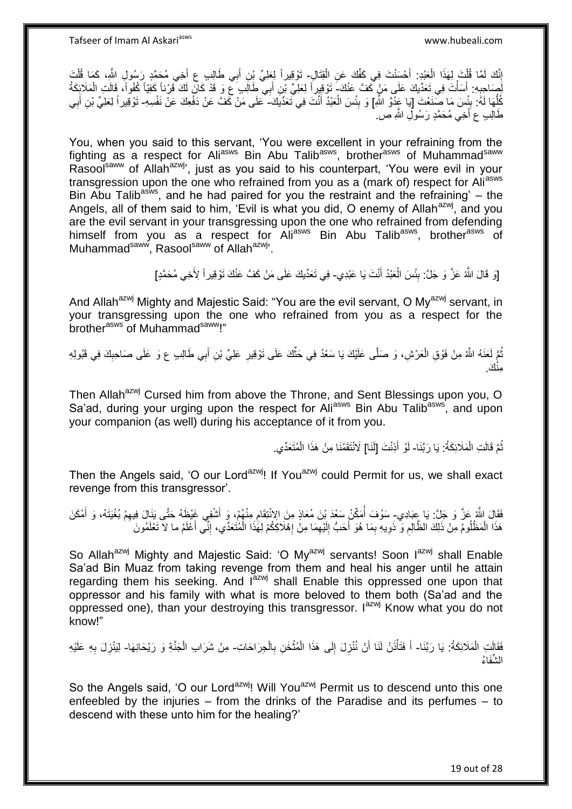إِنَّكَ لَمَّا قُلْتَ لِهَذَا الْعَبْدِ: أَحْسَنْتَ فِي كَفِّكَ عَنِ الْقِتَالِ- تَوْقِيراً لِعَلِيٍّ بِنِ أَبِي طَالِبٍ عِ أَخِي مُحَمَّدٍ رَسُولٍ الثَّمِ، كَمَا قُلْتَ ْ َ ْ ْ ِ ْ َ َ لِّصَاحِبِهِ: أَسَأْتَ فِي تَعَذِّبِكَ عَلَى مَنْ كَفَّ عَنْكَ- َتَوْقِدِراً لِعَلِيِّ بْنِ أَبِي طَالِبٍ عِ وَ قَدْ كَانَ لَكَ قَرْناً كَفِيّاً كُفُواً، قَالَتِ الْمَلَائِكَةُ<br>وَمُسَمِّدِ الْمَالَتَ فِي بَعَدُّبِكَ عَلَى ؚ<br>֦֧֡֩֟֓֟֓֟֘<u>֛</u> َ **∶** ْ َ أَةَ: بِئُِسَ مَا صَنَعْتَ [يَا عَذُوَّ اللَّهِ] وَ بِئْسَ الْعَبْدُ أَنْتَ فِي تَعَدِّيَكَ- عَلَى مَنْ كَفَّ عَنْ دَفْعِكَ عَنْ نَفْسِهِ- تَوْقِيراً لِعَلِيٍّ بْنِ أَبِي ¦ ُّ َ ْ **∣** ِ َ طَالِبِ ع أَخِي مُحَمَّدٍ رَسُولِ اللَّهِ ص

You, when you said to this servant, 'You were excellent in your refraining from the fighting as a respect for Ali<sup>asws</sup> Bin Abu Talib<sup>asws</sup>, brother<sup>asws</sup> of Muhammad<sup>saww</sup> Rasool<sup>saww</sup> of Allah<sup>azwj</sup>', just as you said to his counterpart, 'You were evil in your transgression upon the one who refrained from you as a (mark of) respect for Aliasws Bin Abu Talib<sup>asws</sup>, and he had paired for you the restraint and the refraining'  $-$  the Angels, all of them said to him, 'Evil is what you did, O enemy of Allah<sup>azwj</sup>, and you are the evil servant in your transgressing upon the one who refrained from defending himself from you as a respect for Aliasws Bin Abu Talibasws, brotherasws of Muhammad<sup>saww</sup>, Rasool<sup>saww</sup> of Allah<sup>azwj</sup>'.

> [وَ قَالَ اللَّهُ عَزَّ وَ جَلَّ: بِئْسَ الْعَبْدُ أَنْتَ يَا عَبْدِي- فِي تَعَدِّيكَ عَلَى مَنْ كَفَّ عَنْكَ تَوْقِيراً لِأَخِي مُحَمَّدٍ] َ ْ **∣**

And Allah<sup>azwj</sup> Mighty and Majestic Said: "You are the evil servant, O My<sup>azwj</sup> servant, in your transgressing upon the one who refrained from you as a respect for the brother<sup>asws</sup> of Muhammad<sup>saww</sup>!"

نُمَّ لَعَنَهُ اللَّهُ مِنْ فَوْقِ الْعَرْشِ، وَ صَلَّى عَلَيْكَ يَا سَعْدُ فِي حَثَّكَ عَلَى تَوْقِيرِ عَلِيِّ بْنِ أَبِي طَالِبِ ع وَ عَلَى صَاحِبِكَ فِي قَبُولِهِ َ ِ ِّ ْ ِ مِنْكَ.

Then Allah<sup>azwj</sup> Cursed him from above the Throne, and Sent Blessings upon you, O Sa'ad, during your urging upon the respect for Ali<sup>asws</sup> Bin Abu Talib<sup>asws</sup>, and upon your companion (as well) during his acceptance of it from you.

> ُّمَّ قَالَتِ الْمَلَائِكَةُ: يَا رَبَّنَا- لَوْ أَذِنْتَ [لَذَا] لَانْتَقَمْنَا مِنْ هَذَا الْمُتَعَدِّي. ْ ُ ْ َ لَ

Then the Angels said, 'O our Lord<sup>azwj</sup>! If You<sup>azwj</sup> could Permit for us, we shall exact revenge from this transgressor'.

فَقَالَ اللَّهُ عَزَّ وَ جَلَّ: يَا عِبَادِي- سَوْفَ أُمَكِّنُ سَعْدَ بْنَ مُعَاذٍ مِنَ الِانْتِقَامِ مِنْهُمْ، وَ أَشْفِي غَيْظَهُ حَتَّى يَنَالَ فِيهِمْ بُغْيَتَهُ، وَ أَمْكَنَ َ ِ َ ِ هَذَا الْمَظْلُومُ مِنْ ذَلِكَ الظَّالِمِ وَ ذَوِيهِ بِمَا هُوَ أَحَبُّ إِلَيْهِمَا مِنْ إِهْلَاكِكُمْ لِهَٰذَا الْمُتَعَدِّي، إِنِّي أَعْلَمُ ما لاَّ تَعْلَمُونَ لَ ِ ِ **∶ ُ** ْ َ ِ ْ ِ ِ

So Allah<sup>azwj</sup> Mighty and Majestic Said: 'O My<sup>azwj</sup> servants! Soon I<sup>azwj</sup> shall Enable Sa'ad Bin Muaz from taking revenge from them and heal his anger until he attain regarding them his seeking. And lazwj shall Enable this oppressed one upon that oppressor and his family with what is more beloved to them both (Sa'ad and the oppressed one), than your destroying this transgressor.  $I^{axmj}$  Know what you do not know!"

لْقَالَتِ الْمَلَائِكَةُ: يَا رَبَّنَا- أَ فَتَأْذَنُ لَنَا أَنْ نُنْزِلَ إِلَى هَذَا الْمُتْخَنِ بِالْجِرَاحَاتِ- مِنْ شَرَابِ الْجَنَّةِ وَ رَيْحَانِهَا- لِيَنْزِلَ بِهِ عَلَيْهِ ْ ْ ِ **ٔ** ْ ِ ِ ْ َ ْ **∶** ِ ال ِّشَعا ُء

So the Angels said, 'O our Lord<sup>azwj</sup>! Will You<sup>azwj</sup> Permit us to descend unto this one enfeebled by the injuries – from the drinks of the Paradise and its perfumes – to descend with these unto him for the healing?'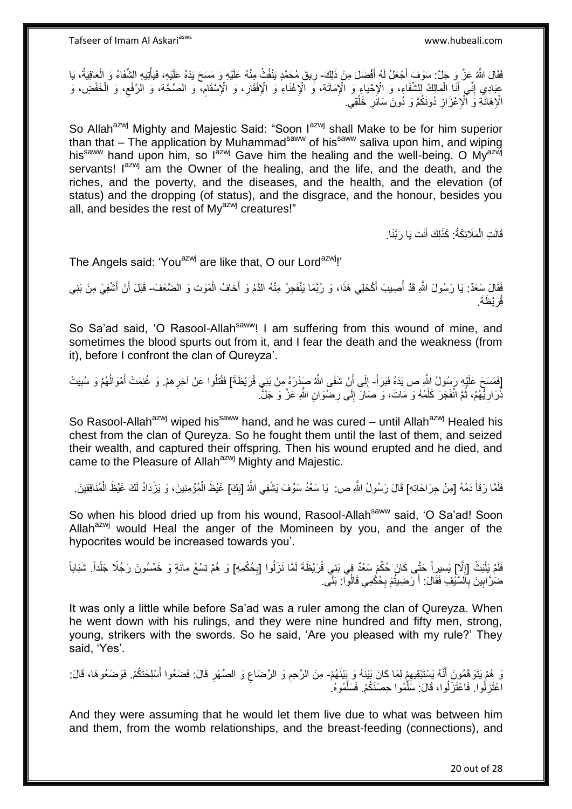فَقَالَ اللَّهُ عَزَّ وَ جَلَّ: سَوْفَ أَجْعَلُ لَهُ أَفْضَلَ مِنْ ذَلِكَ- رِيقَ مُحَمَّدٍ يَنْفُثُ مِنْهُ عَلَيْهِ وَ مَسَحَ يَدَهُ عَلَيْهِ، فَيَأْتِيهِ الشَّفَاءُ وَ الْعَافِيَةُ، يَا َ َ ِ ر<br>فما ْ ْ عِبَادِي إِنِّي أَنَا الْمَالِكُ لِلشَّفَاءِ، وَ الْإِحْيَاءِ وَ الْإِمَاتَةِ، وَ الْإِغْنَاءِ وَ الْإِفْقَارِ، وَ الْإِسْقَامِ، وَ الصَّحَّةِ، وَ الرَّفْعِ، وَ الْخَفْضِ، وَ ِ ْ َ ِ ْ ِ ِ الْإِهَانَـٰةِ وَ ٱلْإِعْزَازِ دُونَكُمْ وَ دُونَ سَائِرِ خَلْقِي. ْ ِ ِ

So Allah<sup>azwj</sup> Mighty and Majestic Said: "Soon l<sup>azwj</sup> shall Make to be for him superior than that – The application by Muhammad<sup>saww</sup> of his<sup>saww</sup> saliva upon him, and wiping his<sup>saww</sup> hand upon him, so l<sup>azwj</sup> Gave him the healing and the well-being. O My<sup>azwj</sup> servants! I<sup>azwj</sup> am the Owner of the healing, and the life, and the death, and the riches, and the poverty, and the diseases, and the health, and the elevation (of status) and the dropping (of status), and the disgrace, and the honour, besides you all, and besides the rest of My<sup>azwj</sup> creatures!"

> قَالَتِ الْمَلَائِكَةُ: كَذَلِكَ أَنْتَ يَا رَبَّنَا. َ ْ

The Angels said: 'You<sup>azwj</sup> are like that, O our Lord<sup>azwj</sup>!'

فَقَالَ سَعْدٌ: يَا رَسُولَ اللَّهِ قَدْ أُصِيبَ أَكْحَلِي هَذَا، وَ رُبَّمَا يَنْفَجِرُ مِنْهُ الدَّمُ وَ أَخَافُ الْمَوْتَ وَ الضَّعْفَ- قَبْلَ أَنْ أَشْفِيَ مِنْ بَنِي َ ُ ْ َ َ َ قُرَيْظَةَ.

So Sa'ad said, 'O Rasool-Allah<sup>saww</sup>! I am suffering from this wound of mine, and sometimes the blood spurts out from it, and I fear the death and the weakness (from it), before I confront the clan of Qureyza'.

َ [فَمَسَحَ عَلَيْهِ رَسُولُ اللَّهِ ص يَدَهُ فَبَرَأَ- إِلَى أَنْ شَفَى اللَّهُ صَدْرَهُ مِنْ بَنِي قُرَيْظَةَ] فَقُتِلُوا عَنْ آخِرِ هِمْ. وَ غُنِمَتْ أَمْوَالُهُمْ وَ سُبِيَتْ ِ ُ َ **∶**  $\frac{1}{2}$ ذُرَارِيُّهُمْ، ثُمَّ انْفَجَرَ كَلْمُهُ وَ مَاتَ، وَ صَالَ إِلَى رِضْوَانِ اللَّهِ عَزَّ وَ جَلَّ. ْ ُ **∶ ∶** ِ

So Rasool-Allah<sup>azwj</sup> wiped his<sup>saww</sup> hand, and he was cured – until Allah<sup>azwj</sup> Healed his chest from the clan of Qureyza. So he fought them until the last of them, and seized their wealth, and captured their offspring. Then his wound erupted and he died, and came to the Pleasure of Allah<sup>azwj</sup> Mighty and Majestic.

فَلَمَّا رَقَأَ دَمُهُ [مِنْ جِرَاحَاتِهِ] قَالَ رَسُولُ اللَّهِ ص: يَا سَعْدُ سَوْفَ يَشْفِي اللَّهُ [بِكَ] غَيْظَ الْمُؤْمِنِينَ، وَ يَزْدَادُ لَكَ غَيْظَ الْمُنَافِقِينَ. َ ِ ْ ْ

So when his blood dried up from his wound, Rasool-Allahsaww said, 'O Sa'ad! Soon Allah<sup>azwj</sup> would Heal the anger of the Momineen by you, and the anger of the hypocrites would be increased towards you'.

فَلَمْ يَلْبَثْ [إِلَا] يَسِيرِاً حَتَّى كَانَ حُكِّمَ سَعْدٌ فِي بَنِي قُرَيْظَةَ لَمَّا نَزَلُوا [بِحُكْمِهِ] وَ هُمْ تِسْعُ مِائَةٍ وَ خَمْسُونَ رَجُلًا جَلْداً. شَبَاباً  $\ddot{\phantom{a}}$ :<br>ا **∶** ْ ضُرَّ ابِينَ بِٱلسَّيْفِ فَقَالَ: أَ رَضِيتُمْ بِحُكْمِي قَالُوا: بَلَى. ِ َ **∶ !** 

It was only a little while before Sa'ad was a ruler among the clan of Qureyza. When he went down with his rulings, and they were nine hundred and fifty men, strong, young, strikers with the swords. So he said, 'Are you pleased with my rule?' They said, 'Yes'.

رَ هُمْ يَتَوَ هَمُونَ أَنَّهُ يَسْتَبْقِيهِمْ لِمَا كَانَ بَيْنَهُ وَ بِيْنَهُمْ- مِنَ الرَّحِمِ وَ الرَّضَاع وَ الصِّهْرِ قَالَ: فَضَعُوا أَسْلِحَتَكُمْ. فَوَضَعُوهَا، قَالَ: َ ِ َ **∶** ِ ِ اعْتَزِلُوا. فَاعْتَزَلُوا، قَالَ: سَلِّمُوا حِصْنَكُمْ. فَسَلَّمُوهُ ه ِّ **∶** 

And they were assuming that he would let them live due to what was between him and them, from the womb relationships, and the breast-feeding (connections), and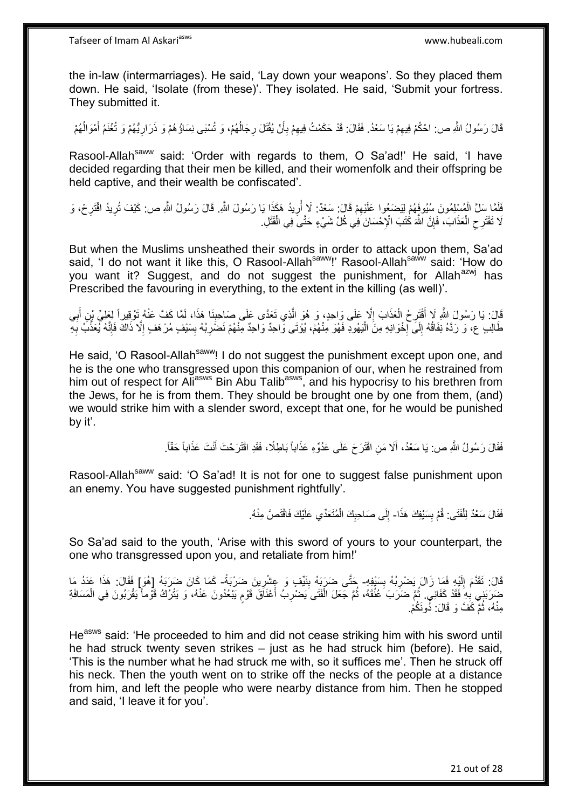the in-law (intermarriages). He said, 'Lay down your weapons'. So they placed them down. He said, 'Isolate (from these)'. They isolated. He said, 'Submit your fortress. They submitted it.

قَالَ رَسُولُ اللَّهِ ص: احْكُمْ فِيهِمْ يَا سَعْدُ. فَقَالَ: قَدْ حَكَمْتُ فِيهِمْ بِأَنْ يُقْتَلَ رِجَالُهُمْ، وَ تُسْبَى نِسَاؤُهُمْ وَ ذَرَارِيُّهُمْ وَ تُغْنَمُ أَمْوَالُهُمْ ِ ُ َ ِ ُ ِ َ ِ ِ

Rasool-Allah<sup>saww</sup> said: 'Order with regards to them, O Sa'ad!' He said, 'I have decided regarding that their men be killed, and their womenfolk and their offspring be held captive, and their wealth be confiscated'.

فَلَمَّا سَلَّ الْمُسْلِمُونَ سُيُوفَهُمْ لِيَضعُوا عَلَيْهِمْ قَالَ: سَعْدٌ: لَا أُرِيدُ هَكَذَا يَا رَسُولَ اللَّهِ قَالَ رَسُولُ اللَّهِ ص: كَيْفَ تُرِيدُ افْتَرِحْ، وَ ْ ِ **∶** ُ ِ ِ لَا نَقْتَرِ حِ الْعَذَابَ، فَإِنَّ اللَّهَ كَٰتَبَ الْإِحْسَانَ فِي كُلِّ شَيْءٍ حَتَّىَ فِي الْقَتْلِ. ِ ْ ِ ْ

But when the Muslims unsheathed their swords in order to attack upon them, Sa'ad said, 'I do not want it like this, O Rasool-Allah<sup>saww</sup>!' Rasool-Allah<sup>saww</sup> said: 'How do you want it? Suggest, and do not suggest the punishment, for Allah<sup>azwj</sup> has Prescribed the favouring in everything, to the extent in the killing (as well)'.

َالَ: يَا رَسُولَ اللَّهِ لَا أَقْتَرِحُ الْعَذَابَ إِلَّا عَلَى وَاحِدٍ، وَ هُوَ الَّذِي تَعَدَّى عَلَى صَاحِبِنَا هَذَا، لَمَّا كَفَّ عَنْهُ تَوْقِيراً لِعَلِيِّ بْنِ أَبِي **∶** ه ِ ْ **∶** َ ِ َ طَالِبِ عِ، وَ رَدَّهُ نِفَاقُهُ إِلَى إِخْوَانِهِ مِنَ الْيَهُودِ فَهُوَ مِنْهُمْ، يُؤْتَى وَّاحِدٌ وَاحِدٌ مِنْهُمْ نَضْرِبُهُ بِسَيْفٍ مُرْهَفٍ إِلَّا ذَاكَ فَإِنَّهُ يُعَذِّبُ بِهِ :<br>ا ·<br>∶ ِ ِ ِ ِ ا∣<br>ِ∘ِ ِ

He said, 'O Rasool-Allah<sup>saww</sup>! I do not suggest the punishment except upon one, and he is the one who transgressed upon this companion of our, when he restrained from him out of respect for Ali<sup>asws</sup> Bin Abu Talib<sup>asws</sup>, and his hypocrisy to his brethren from the Jews, for he is from them. They should be brought one by one from them, (and) we would strike him with a slender sword, except that one, for he would be punished by it'.

> فَقَالَ رَسُولُ اللَّهِ ص: يَا سَعْدُ، أَلَا مَنِ اقْتَرَحَ عَلَى عَدُوِّهِ عَذَاباً بَاطِلًا، فَقَدِ اقْتَرَحْتَ أَنْتَ عَذَاباً حَقّاً. َ َ

Rasool-Allah<sup>saww</sup> said: 'O Sa'ad! It is not for one to suggest false punishment upon an enemy. You have suggested punishment rightfully'.

> فَقَالَ سَعْدٌ لِلْفَتَى: قُمْ بِسَيْفِكَ هَذَا- إِلَى صَاحِبِكَ الْمُتَعَدِّي عَلَيْكَ فَاقْتَصَّ مِنْهُ. **∣** ْ ْ **ِ**  $\frac{1}{2}$

So Sa'ad said to the youth, 'Arise with this sword of yours to your counterpart, the one who transgressed upon you, and retaliate from him!'

قَالَ: تَقَدَّمَ إِلَيْهِ فَمَا زَالَ يَضْرِبُهُ بِسَيْفِهِ- حَتَّى ضَرَبَهُ بِنَيِّفٍ وَ عِِشْرِينَ ضَرْبَةً- كَمَا كَانَ ضَرَبَهُ [هُوَ] فَقَالَ: هَذَا عَدَدُ مَا **∣** ِ لَ ∣l<br>∶  $\frac{1}{2}$ ِ ضَرَبَنِي بِهِ فَقَدْ كَفَانِي. ثُمَّ ضَرَبَ عُنُقَهُ، ثُمَّ جَعَلَ الْفَتَى َيَصْرِبُ أَعْنَاقَ قَوْمٍ يَبْعُدُونَ عَنْهُ، وَ يَتْرُكُ قَوْماً يَقْرَبُونَ فِي الْمَسَافَةِ ْ ֧֖֖֖֧֧֧֧֧֦֧֧֧֛֛֧֧֛֧֛֪֧֛֚֚֚֚֚֚֚֚֚֚֚֚֚֚֩֘֝֝֝֓֝֓֝֓֝֓֜֡֓֝֬֜֜֓֓֜֜֡֜֝֬֜ َ **∶** ْ ان<br>المقام المقام المقام المقام المقام المقام المقام المقام المقام المقام المقام المقام المقام المقام المقام المقا مِنْهُ، ثُمَّ كَفَّ وَ قَالَ: دُونَكُمْ. ان<br>سا

He<sup>asws</sup> said: 'He proceeded to him and did not cease striking him with his sword until he had struck twenty seven strikes – just as he had struck him (before). He said, 'This is the number what he had struck me with, so it suffices me'. Then he struck off his neck. Then the youth went on to strike off the necks of the people at a distance from him, and left the people who were nearby distance from him. Then he stopped and said, 'I leave it for you'.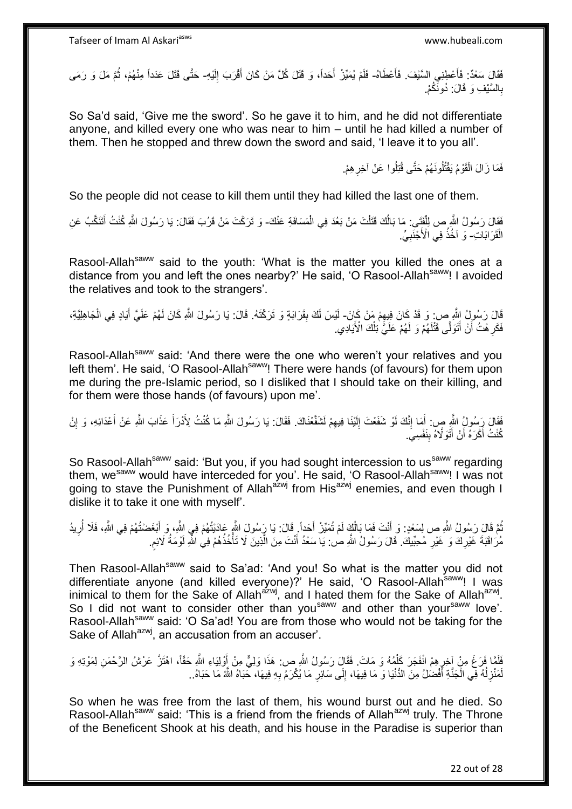فَقَالَ سَعْدٌ: فَأَعْطِنِي السَّيْفَ. فَأَعْطَاهُ- فَلَمْ يُمَيِّزْ أَحَداً، وَ قَتَلَ كُلَّ مَنْ كَانَ أَقْرَبَ إِلَيْهِ- حَتَّى قَتَلَ عَدَداً مِنْهُمْ، ثُمَّ مَلَ وَ رَمَى َ َ لَ ِ َ ا<br>ا ا<br>المقام بِالسَّيْفِ وَ قَالَ: دُونَّكُمْ. **∶** 

So Sa'd said, 'Give me the sword'. So he gave it to him, and he did not differentiate anyone, and killed every one who was near to him – until he had killed a number of them. Then he stopped and threw down the sword and said, 'I leave it to you all'.

> فَمَا زَالَ الْقَوْمُ يَقْتُلُونَهُمْ حَتَّى قُتِلُوا عَنْ آخِرِ هِمْ. ِ ْ

So the people did not cease to kill them until they had killed the last one of them.

فَقَالَ رَسُولُ الثَّهِ ص لِلْفَتِّـي: مَا بَالُكَ قَتَلْتَ مَنْ بَعُدَ فِي الْمَسَافَةِ عَنْكَ- وَ تَرَكْتَ مَنْ قَرُبَ فَقَالَ: يَا رَسُولَ اللَّهِ كُنْتُ أَتَتَكَّبُ عَنِ ْ ْ ْ َ الْقَرَابَاتِ-ۚ وَ آخُذُ فِي الْأُجْنَبِيِّ. ْ **∶** 

Rasool-Allah<sup>saww</sup> said to the youth: 'What is the matter you killed the ones at a distance from you and left the ones nearby?' He said, 'O Rasool-Allah<sup>saww</sup>! I avoided the relatives and took to the strangers'.

قَالَ رَسُولُ اِللَّهِ صِ وَ قَدْ كَانَ فِيهِمْ مَنْ كَانَ- لَيْسَ لَكَ بِقَرَابَةٍ وَ تَرَكْتَهُ. قَالَ: يَا رَسُولَ اللَّهِ كَانَ لَهُمْ عَلَيَّ أَيَادٍ فِي الْجَاهِلِيَّةِ، ِ ْ َ فَكَرِ هْتُ أَنْ أَتَوَلَّى قَتْنَهُمْ وَ لَهُمْ عَلَيَّ ٰنِلْكَ الْأَيَادِي. ْ لَ َ ِ

Rasool-Allah<sup>saww</sup> said: 'And there were the one who weren't your relatives and you left them'. He said, 'O Rasool-Allah<sup>saww</sup>! There were hands (of favours) for them upon me during the pre-Islamic period, so I disliked that I should take on their killing, and for them were those hands (of favours) upon me'.

فَقَالَ رَِسُولُ اللَّهِ صٍ: أَمَا إِنَّكَ لَوْ شَفَعْتَ إِلَيْنَا فِيهِمْ لَشَفَّعْنَاكَ. فَقَالَ: يَا رَسُولَ اللَّهِ مَا كُنْتُ لِأَدْرَأَ عَذَابَ اللَّهِ عَنْ أَعْدَائِهِ، وَ إِنْ ِ لَ  $\frac{1}{2}$ ֺ֧֖ׅ֧ׅ֧֧֚֚֚֚֚֚֚֚֚֚֚֚֚֚֝֝֬֓֡֡֓֡֟֡֡֡֡֡֡֬֓֡֟֓֡֟֓֡֟֓֡֡֡֬֩֓֓֩ َ ِ َ َ كُنْتُ أَكْرَهُ أَنْ أَتَوَلَّاهُ بِنَفْسِيَ. َ َ

So Rasool-Allah<sup>saww</sup> said: 'But you, if you had sought intercession to us<sup>saww</sup> regarding them, we<sup>saww</sup> would have interceded for you'. He said, 'O Rasool-Allah<sup>saww</sup>! I was not going to stave the Punishment of Allah<sup>azwj</sup> from His<sup>azwj</sup> enemies, and even though I dislike it to take it one with myself'.

نُّمَّ قَالَ رَسُولُ اللَّهِ ص لِسَعْدٍ: وَ أَنْتَ فَمَا بَالُكٍ لَمْ تُمَيِّزْ أَحَداً فَالَ: يَا رَسُولَ اللَّهِ عَادَيْتُهُمْ فِي اللَّهِ، وَ أَبْغَضْتُهُمْ فِي اللَّهِ، فَلَا أُرِيدُ َ ُ َ ِ اُ َ مُرَ اقَبَةَ غَيْرِكَ وَ غَيْرِ مُحِبِّيكَ ۚ قَالَ رَسُولُ اللَّهِ صٰ يَا سَعْدُ أَنْتَ مِنَ الَّذِينَ لَا تَأْخُذُهُمْ فِي اللَّهِ لَوْمَةُ لَائِم ة<br>أ ه َ **∶** ِ م<br>م لَ

Then Rasool-Allah<sup>saww</sup> said to Sa'ad: 'And you! So what is the matter you did not differentiate anyone (and killed everyone)?' He said, 'O Rasool-Allah<sup>saww</sup>! I was inimical to them for the Sake of Allah<sup>azwj</sup>, and I hated them for the Sake of Allah<sup>azwj</sup>. So I did not want to consider other than you<sup>saww</sup> and other than your<sup>saww</sup> love'. Rasool-Allah<sup>saww</sup> said: 'O Sa'ad! You are from those who would not be taking for the Sake of Allah<sup>azwj</sup>, an accusation from an accuser'.

نَاهَا فَرَغَ مِنْ آخِرٍ هِمْ انْفَجَرَ كَلْمُهُ وَ مَاتَ. فَقَالٍ رَسُولُ اللَّهِ ص: هَذَا وَلِيٌّ مِنْ أَوْلِيَاءِ اللَّهِ حَقَّاً، اهْتَزَّ عَرْشُ الرَّحْمَنِ لِمَوْتِهِ وَ ْ ॄ<br>∕ َ لَمَنْزِلُهُ فِي الْجَنَّةِ أَفْضُلُ مِنَ الدُّنْيَا وَ مَا فِيهَا، إِلَى سَائِرِ مَا يُكْرَمُ بِهِ فِيهَا، خَبَاهُ اللَّهُ مَا حَبَاهُ.. **∶** ِ ِ َ ْ ا<br>ا ِ

So when he was free from the last of them, his wound burst out and he died. So Rasool-Allah<sup>saww</sup> said: 'This is a friend from the friends of Allah<sup>azwj</sup> truly. The Throne of the Beneficent Shook at his death, and his house in the Paradise is superior than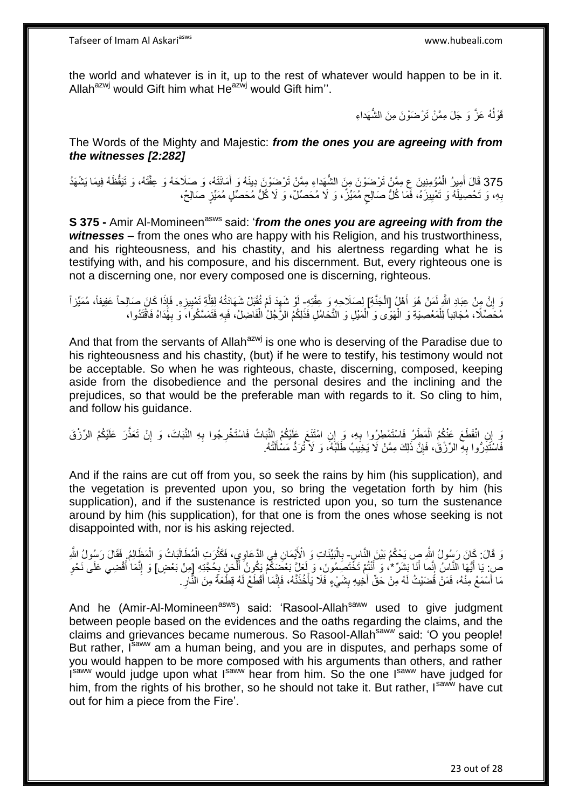the world and whatever is in it, up to the rest of whatever would happen to be in it. Allah<sup>azwj</sup> would Gift him what He<sup>azwj</sup> would Gift him".

> قَوْلُهُ عَزَّ وَ جَلَ مِمَّنْ تَرْضَوْنَ مِنَ الشَّهَداءِ ا<br>ا

The Words of the Mighty and Majestic: *from the ones you are agreeing with from the witnesses [2:282]*

375 قَالَ أَمِيرُ الْمُؤْمِنِينَ ع مِمَّنْ تَرْضَوْنَ مِنَ الشُّهَداءِ مِمَّنْ تَرْضَوْنَ دِينَهُ وَ أَمَانَتَهُ، وَ صَلَاحَهُ وَ عِقَّتَهُ، وَ تَيَقُّظَهُ فِيمَا يَشْهَدُ َ ْ َ بِهِ، وَ تَحْصِيلَهُ وَ تَمْيِيزَهُ، فَمَا كُلُّ صَالِحٍ مُمَيِّزٌ، وَ لَا مُحَصِّلٌ، وَ لَا كُلُّ مُحَصِّلٍ مُمَيِّزٍ صَالِحٌ، Ç **!** ِ

**S 375 -** Amir Al-Momineen<sup>asws</sup> said: '*from the ones you are agreeing with from the witnesses* – from the ones who are happy with his Religion, and his trustworthiness, and his righteousness, and his chastity, and his alertness regarding what he is testifying with, and his composure, and his discernment. But, every righteous one is not a discerning one, nor every composed one is discerning, righteous.

يَا مِنْ عِبَادِ اللَّهِ لَمَنْ هُوَ أَهْلُ [الْجَنَّةِ] لِصَلَاحِهِ وَ عِقَّتِهِ- أَوْ شَهِدَ لَمْ تُقْبَلْ شَهَادَتُهُ لِقِلَّةِ تَمْيِيزِهِ. فَإِذَا كَانَ صَالِحاً عَفِيفاً، مُمَيِّزاً ْ َ ِ ِ ِ ه ِ مُحَصِّلًا، مُجَانِباً لِلْمَعْصِيَةِ وَ الْهَوَّى وَ الْمَيْلِ وَ التَّحَامُلِ فَذَلِكُمُ الرَّجُلُ الْفَاضِلُ، فَبِهِ فَتَمَسَّكُوا، وَ بِهُذَاهُ فَاقْتَدُوا، ْ ْ ْ ِ ْ **∶** 

And that from the servants of Allah<sup>azwj</sup> is one who is deserving of the Paradise due to his righteousness and his chastity, (but) if he were to testify, his testimony would not be acceptable. So when he was righteous, chaste, discerning, composed, keeping aside from the disobedience and the personal desires and the inclining and the prejudices, so that would be the preferable man with regards to it. So cling to him, and follow his guidance.

َوَ إِنِ انْقَطَعَ عَنْكُمُ الْمَطَرُ فَاسْتَمْطِرُوا بِهِ، وَ إِنِ امْتَنَعَ عَلَيْكُمُ النَّبَاتُ فَاسْتَخْرِجُوا بِهِ النَّبَاتَ، وَ إِنْ تَعَذَّرَ عَلَيْكُمُ الرِّزْقَ ِ **∶** ِ ِ لَ فَاسْتَدِرُّوا بِهِ الرِّزْقُ، فَإِنَّ ذَلِكَ مِمَّنْ لَا يَخِيَبُ طَلَبُهُ، وَ لَا نُرَدُّ مَسْأَلَٰتُهُ. لَ Í ِ **∶** 

And if the rains are cut off from you, so seek the rains by him (his supplication), and the vegetation is prevented upon you, so bring the vegetation forth by him (his supplication), and if the sustenance is restricted upon you, so turn the sustenance around by him (his supplication), for that one is from the ones whose seeking is not disappointed with, nor is his asking rejected.

وَ قَالَ: كَانَ رَسُولُ اللَّهِ صِ يَحْكُمُ بَيْنَ النَّاسِ- بِالْبَيِّنَاتِ وَ الْأَيْمَانِ فِي الدَّعَاوِيِ، فَكَثُرَتِ الْمُطَالَبَاتُ وَ الْمَظَالِمُ, فَقَالَ رَسُولُ اللَّهِ ْ ان<br>مانانا ْ ِ ْ ص: يَا أَيُّهَا النَّاسُ إِنَّما أَنَا بَشَرٌ \*، وَ أَنْتُمْ تَخَّتَصِمُونَ، وَ لَعَلَّ بَعْضِيَكُمْ يَكُونُ أَلْحَنَ بِمُحَّتِهِ إِمِنْ بَعْضٍ] وَ إِنَّمَا أَقْضِي عَلَى نَحْوِ ْ َ ه ِ ِ **المناسب** َ ه ِ مَا أَسْمَعُ مِنْهُ، فَمَنْ قَضَيْتُ لَهُ مِنْ حَقِّ أَخِيهِ بِشَيْءٍ فَلَا يَأْخُذَنَّهُ، فَإِنَّمَا أَقْطَعُ لَهُ قِطْعَةً مِنَ النِّالِ **!** ِ َ ِ ْ

And he (Amir-Al-Momineen<sup>asws</sup>) said: 'Rasool-Allah<sup>saww</sup> used to give judgment between people based on the evidences and the oaths regarding the claims, and the claims and grievances became numerous. So Rasool-Allah<sup>saww</sup> said: 'O you people! But rather, Isaww am a human being, and you are in disputes, and perhaps some of you would happen to be more composed with his arguments than others, and rather Isaww would judge upon what Isaww hear from him. So the one Isaww have judged for him, from the rights of his brother, so he should not take it. But rather, Isawi have cut out for him a piece from the Fire'.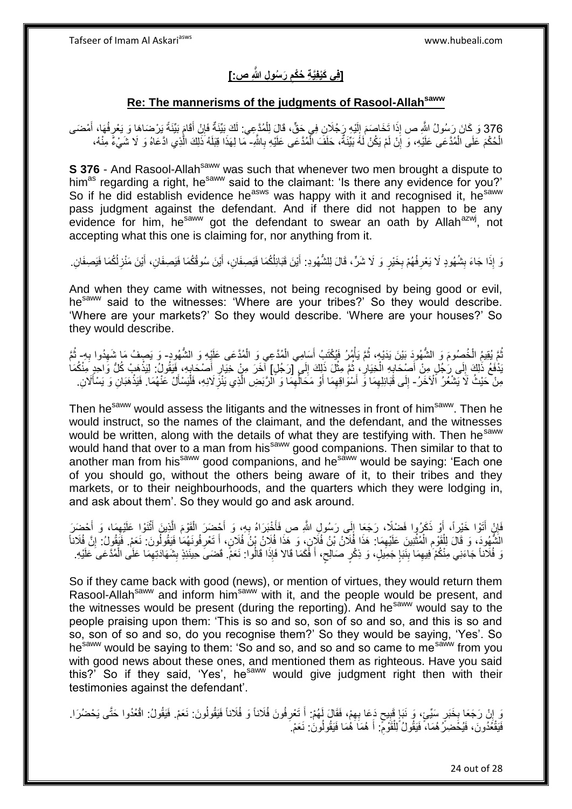Tafseer of Imam Al Askariasws www.hubeali.com

### **َر ُسو ِل ََّّللاِ ص:[ ]فِي َكْيفَِّي ِة ُحْكم ِ**

### **Re: The mannerisms of the judgments of Rasool-Allahsaww**

376 وَ كَانَ رَسُولُ اللَّهِ صِ إِذَا تَخَاصَمَ إِلَيْهِ رَجُلَانِ فِي حَقٍّ، قَالَ لِلْمُدَّعِيِ ۚ لَكَ بَيِّنَةٌ فَإِنْ أَقَامٍ بَيِّنَةٌ يَرْضَاهَا وَ يَعْرِفُهَا، أَمْضَى َ ً َ ِ ْ لَ  $\frac{1}{2}$ اً<br>ا ِ الْحُكْمَ عَلَى الْمُدَّعَى عَلَيْهِ، وَ إِنْ لَمْ يَكُنْ لَهُ بَيِّنَةٌ، حَلَفَ الْمُدَّعَى عَلَيْهِ بِاللَّهِ- مَا لِهَذَا قِبَلَهُ ذَلِكَ الّْذِي ادَّعَاهُ وَ لَا شَيْءٌ مِنْهُ، ْ ِ ِ ه

**S 376** - And Rasool-Allah<sup>saww</sup> was such that whenever two men brought a dispute to him<sup>as</sup> regarding a right, he<sup>saww</sup> said to the claimant: 'Is there any evidence for you?' So if he did establish evidence he<sup>asws</sup> was happy with it and recognised it, he<sup>saww</sup> pass judgment against the defendant. And if there did not happen to be any evidence for him, he<sup>saww</sup> got the defendant to swear an oath by Allah<sup>azwj</sup>, not accepting what this one is claiming for, nor anything from it.

وَ إِذَا جَاءَ بِشُهُودٍ لَا يَعْرِفُهُمْ بِخَيْرٍ وَ لَا شَرٍّ، قَالَ لِلشُّهُودِ: أَيْنَ فَبَائِلُكُمَا فَيَصِفَانِ، أَيْنَ سُوقُكُمَا فَيَصِفَانِ، أَيْنَ شَوْتُكُمَا فَيَصِفَانِ. َ َ ِ ِ **∣** ِ َ

And when they came with witnesses, not being recognised by being good or evil, he<sup>saww</sup> said to the witnesses: 'Where are your tribes?' So they would describe. 'Where are your markets?' So they would describe. 'Where are your houses?' So they would describe.

َ ُمَّ يُقِيمُ الْخُصِمُومَ وَ الشُّهُودَ بَيْنَ يَدَيْهِ، ثُمَّ يَأْمُرُ فَيُكْتَبُ أَسَامِي الْمُدَّعِي وَ الْمُدَّعَى عَلَيْهِ وَ الشُّهُودِ- وَ يَصِفُ مَا شَهِدُوا بِهِ- ثُمَّ ْ ُ ْ **∶** ِ ر<br>: َدْفَعُ ذَٰلِكَ إِلَى رَجُلٍ مِنْ أَصْحَابِهِ الْخِيَارِ ، ثُمَّ مِثْلَ ذَلِكَ إِلَى [رَجُلٍ] آخَرَ مِنْ خِيَارِ أَصْحَابِهِ، فَيَقُولُ: لِيَذْهَبْ كُلُّ وَاحِرِ مِنْكُمَا ِ ْ ان<br>سال **∶** ْ **∶** َ  $\frac{1}{2}$ ِ َ **∶ ٔ** مِنْ حَيْثُ لَا يَشْعُرُ الْآخَرُ - إِلَى قَبَائِلِهِمَا وَ أَسْوَٰاقِهِمَا أَوْ مَحَالِّهِمَا وَ الرَّبَضِ الَّذِي يَنْزَِلَانِهِ، فَلْيَسْأَلْ عَنْهُمَا. فَيَذْهَبَانِ وَ يَسْأَلَانِ. ِ ِّ اُ ِ اُ ِ ِ َ **ٔ** Í ْ **∶** ه

Then he<sup>saww</sup> would assess the litigants and the witnesses in front of him<sup>saww</sup>. Then he would instruct, so the names of the claimant, and the defendant, and the witnesses would be written, along with the details of what they are testifying with. Then he<sup>saww</sup> would hand that over to a man from his<sup>saww</sup> good companions. Then similar to that to another man from his<sup>saww</sup> good companions, and he<sup>saww</sup> would be saying: 'Each one of you should go, without the others being aware of it, to their tribes and they markets, or to their neighbourhoods, and the quarters which they were lodging in, and ask about them'. So they would go and ask around.

ه فَإِنْ أَتَوْا خَيْراً، أَوْ ذَكَرُوا فَضْلِاً، رَجَعَا إِلَى رَسُولِ اللَّهِ ص فَأَخْبَرَاهُ بِهِ، وَ أَحْضَرَ الْقَوْمَ الَّذِينَ أَثْنَوْا عَلَيْهِمَا، وَ أَحْضَرَ ْ َ **∶** ا<br>است  $\frac{1}{2}$ َ َ ِ َ ِ ْ الَشُّهُودَ، وَ قَالَ لِلْقَوْمِ الْمُثْنِينَ عَلَيْهِمَا: هَذَا فُلَانُ بْنُ فُلَانٍ، وَ هَذَا فُلَانُ بِنُ فُلَانٍ إِنَّ فَلَاناً وَلَا يَقْدَلْ بَنُ فَلَانٍ وَ هَذَا فُلَانُ بِنُ فَلَانٍ وَلَا فَلا فَلا يَهْزَ فَلا نقَل ْ اُ ِ َ ِ ֦֘<u>֓</u>֖֦֧֦֦֦֧֦֟֝֝֝ ْ ِ ِ ׀ו<br>ِ∘ وَ فُلَاناً جَاءَنِي مِنْكُمْ فِيهِمَا بِنَبَإٍ جَمِيلٍ، وَ ذِكْرٍ صَالِحٍ، أَ فَكَمَا قَالا فَإِذَا قَالُوا: نَعَمْ فَضَىَ حِينَئِذٍ بِشَهَادَتِهِمَا عَلَى الْمُدَّعَى عَلَيْهِ. َ ļ  $\frac{1}{2}$ **!** ِ ْ ِ ِ

So if they came back with good (news), or mention of virtues, they would return them Rasool-Allah<sup>saww</sup> and inform him<sup>saww</sup> with it, and the people would be present, and the witnesses would be present (during the reporting). And he<sup>saww</sup> would say to the people praising upon them: 'This is so and so, son of so and so, and this is so and so, son of so and so, do you recognise them?' So they would be saying, 'Yes'. So he<sup>saww</sup> would be saying to them: 'So and so, and so and so came to me<sup>saww</sup> from you with good news about these ones, and mentioned them as righteous. Have you said this? So if they said, 'Yes', he<sup>saww</sup> would give judgment right then with their testimonies against the defendant'.

وَ إِنْ رَجَعَا بِخَبَرٍ سَنِّيءٍ، وَ نَبَإٍ قَبِيحٍ دَعَا بِهِمْ، فَقَالَ لَمُهُمْ: أَ تَعْرِفُونَ فُلَاناً وَ فُلَاناً فَيَقُولُونَ: نَعَمْ. فَيَقُولُ: اقْعُدُوا حَتَّى يَحْضُرَا.<br>وَ إِنْ رَجَعَا بِخَبَرٍ سَنِّيءٍ كَلِّي **∶** َ ِ Ç  $\frac{1}{2}$  $\frac{1}{2}$ **∶** ِ فَيَقْعُدُونَ، فَيُخۡضِرَۢ هُمَا، ۚ فَيَقُولُ لِلْقَوۡمِ ۖ أَ هُمَاَ هُمَا فَيَقُولُونَ ۚ نَعَمْ ِ َ ِ ْ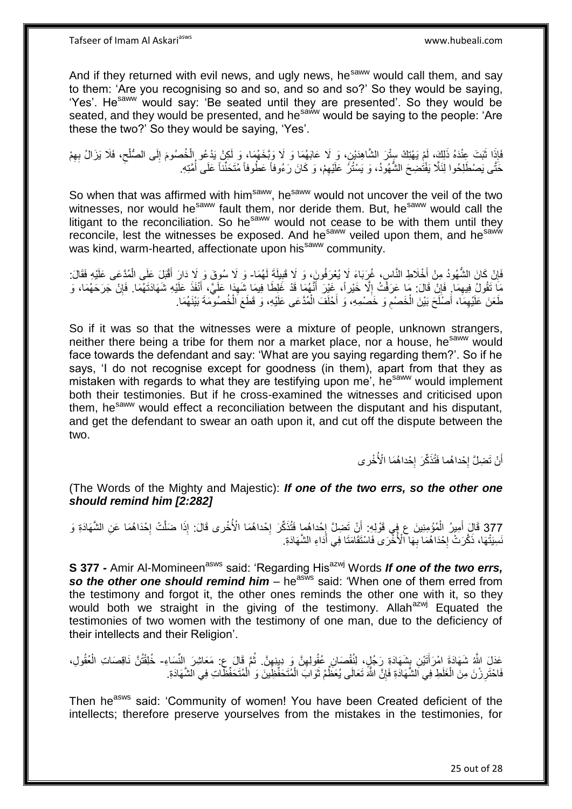And if they returned with evil news, and ugly news, he<sup>saww</sup> would call them, and say to them: 'Are you recognising so and so, and so and so?' So they would be saying, 'Yes'. He<sup>saww</sup> would say: 'Be seated until they are presented'. So they would be seated, and they would be presented, and he<sup>saww</sup> would be saying to the people: 'Are these the two?' So they would be saying, 'Yes'.

فَإِذَا ثَبَتَ عِنْدَهُ ذَلِكَ، لَمْ يَهْتِكْ سِنْزَ الشَّاهِدَيْنِ، وَ ِلَا عَابَهُمَا وَ لَا وَبَّخَهُمَا، وَ لَكِنْ يَدْعُو الْخُصُومَ إِلَى الصُّلْحِ، فَلَا يَزَالُ بِهِمْ **ٔ** ِ ِ ِ حَتَّى يَصْطَلِحُوا لِئَلَّا يَفْتُضِحَ الشُّهُودُ، وَ يَسْتُرُ عَلَيْهِمْ، وَ كَانَ رَءُوفاً عَطُوفاً مُتَحَنِّناً عَلَى أُمَّتِهِ. ِ ا<br>ا

So when that was affirmed with him<sup>saww</sup>, he<sup>saww</sup> would not uncover the veil of the two witnesses, nor would he<sup>saww</sup> fault them, nor deride them. But, he<sup>saww</sup> would call the litigant to the reconciliation. So he<sup>saww</sup> would not cease to be with them until they reconcile, lest the witnesses be exposed. And he<sup>saww</sup> veiled upon them, and he<sup>saww</sup> was kind, warm-hearted, affectionate upon his<sup>saww</sup> community.

فَإِنْ كَانَ الشُّهُودُ مِنْ أَخْلَاطِ النَّاسِ، غُرِبَاءَ لَا يُعْرَفُونَ، وَ لَا قَبِيلَةَ لَهُمَا- وَ لَا سُوقَ وَ لَا ذَارَ أَقْبَلَ عَلَى الْمُدَّعَى عَلَيْهِ فَقَالَ:<br>. **∣** َ ِ ْ َ مَا تَقُولُ فِيهِمَا. فَإِنْ قَالَ: مَا عَرَفْتُ إِلَّا خَيْراً، غَيْرَ أَنَّهُمَا قَدْ غَلِطَا فِيمَا شَهَدَا عَلَيَّ، أَنْفَذَ عَلَيْهِ شَهَادَتَهُمَا. فَإِنْ جَرَحَهُمَا، وَ َ ِ َ ِ ِ ِ طَعَنَ عَلَيْهِمَا، أَصْلَحَ بَيْنَ الْخَصْمِ وَ خَصْمِهِ، وَ أَحْلَفَ الْمُدَّعَى عَلَيْهِ، وَ قَطَعَ الْخُصُوْمَةَ بَيْنَهُمَا. ْ َ ِ ْ َ ِ

So if it was so that the witnesses were a mixture of people, unknown strangers, neither there being a tribe for them nor a market place, nor a house, he<sup>saww</sup> would face towards the defendant and say: 'What are you saying regarding them?'. So if he says, 'I do not recognise except for goodness (in them), apart from that they as mistaken with regards to what they are testifying upon me', he<sup>saww</sup> would implement both their testimonies. But if he cross-examined the witnesses and criticised upon them, he<sup>saww</sup> would effect a reconciliation between the disputant and his disputant, and get the defendant to swear an oath upon it, and cut off the dispute between the two.

> أَنْ تَضِلَّ إِحْداهُما فَتُذَكِّرَ إِحْداهُمَا الْأُخْرِي **∶**  $\cdot$ اً

(The Words of the Mighty and Majestic): *If one of the two errs, so the other one should remind him [2:282]*

377 قَالَ أَمِيرُ الْمُؤْمِنِينَ ع فِي قَوْلِهِ: أَنْ تَضِلَّ إِحْداهُما فَتُذَكِّرَ إِحْداهُمَا الْأُخْرى قَالَ: إِذَا ضَلَّتْ إِحْدَاهُمَا عَنِ الشَّهَادَةِ وَ َ ْ َ יֲ<br>י  $\frac{1}{2}$ יֲ<br>י نَسِيَتْهَا، ذَكَّرَتْ إِحْدَاهُمَا بِهَا الْأُخْرَى فَاسْتَقَامَتَا فِي أَدَاءِ الشَّهَادَةِ. َ ِ ·<br>∶

S 377 - Amir Al-Momineen<sup>asws</sup> said: 'Regarding His<sup>azwj</sup> Words *If one of the two errs,* **so the other one should remind him** – he<sup>asws</sup> said: 'When one of them erred from the testimony and forgot it, the other ones reminds the other one with it, so they would both we straight in the giving of the testimony. Allah<sup>azwj</sup> Equated the testimonies of two women with the testimony of one man, due to the deficiency of their intellects and their Religion'.

عَدَلَ اللَّهُ شَهَادَةَ امْرَأَتَيْنِ بِشَهَادَةِ رَجُلٍ، لِنُقْصَانِ عُقُولِهِنَّ وَ ِدِينِهِنَّ. ثُمَّ قَالَ ع: مَعَاشِرَ النِّسَاءِ- خُلِقْتُنَّ نَاقِصَاتِ الْعُقُولِ،<br>مَيْنَ اللَّهُ شَهَاءَ مَنْ أَيْضِ بِشَهَادَةِ رَ ِ ِ ِ َ ُ ْ فَاحْتَرِ زْنَ مِنَ الْغَلَطِ فِي اَلشَّهَادَةِ فَإِنَّ اللَّهَ تَعَالَى يُعَظِّمُ ثَوَابَ الْمُتَحَفِّظِينَ وَ الْمُتَحَفِّظَاتِ فِي الشَّهَادَةِ. ْ  $\ddot{\phantom{0}}$ ِ ْ ِ ْ

Then he<sup>asws</sup> said: 'Community of women! You have been Created deficient of the intellects; therefore preserve yourselves from the mistakes in the testimonies, for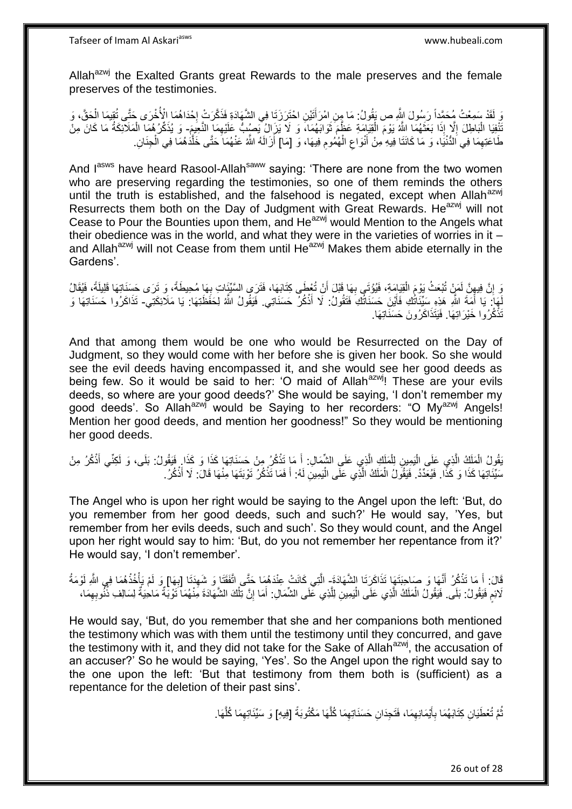Allah<sup>azwj</sup> the Exalted Grants great Rewards to the male preserves and the female preserves of the testimonies.

يَ لَقَدْ سَمِعْتُ مُحَمَّداً رَسُولَ اللَّهِ ص يَقُولُ: مَا هِنِ امْرَأَتَيْنِ احْتَرَرَتَا فِي الشَّهَادَةِ فَذَكَّرَتْ إِحْدَاهُمَا الْأُخْرَى حَتَّى تُقِيمَا الْحَقَّ، وَ ْ **∶** َ َبْلَظِلَ إِلَّا إِذَا بَعَثَهُمَا اللَّهُ يَوْمَ الْقِيَامَةِ عَظَمَ ثَوَابَهُمَا، وَ لَا يَزَإِلُ يَصِبُبُّ عَلَيْهِمَا النَّغِيغَ- وَ يُذَكِّرُهُمَا الْمَلَانِكَةُ مَا كَانَ مِنْ ٔ, ْ َ ِ ا<br>ا ْ طَاعَنِهِمَا فِي اَلدُّنْيَا، وَ مَا كَانَتَا فِيهِ مِنْ أَنْوَاعِ الْهُمُومِ فِيهَا، وَ [مَا] أَزَالَهُ اللَّهُ عَنْهُمَا حَتَّى خَلَّدَهُمَا فِي الْجِنَانِ اُ ِ ْ ِ َ ِ ْ ه

And l<sup>asws</sup> have heard Rasool-Allah<sup>saww</sup> saying: 'There are none from the two women who are preserving regarding the testimonies, so one of them reminds the others until the truth is established, and the falsehood is negated, except when Allah<sup>azwj</sup> Resurrects them both on the Day of Judgment with Great Rewards. He<sup>azwj</sup> will not Cease to Pour the Bounties upon them, and He<sup>azwj</sup> would Mention to the Angels what their obedience was in the world, and what they were in the varieties of worries in it  $$ and Allah<sup>azwj</sup> will not Cease from them until He<sup>azwj</sup> Makes them abide eternally in the Gardens'.

وَ إِنَّ فِيهِنَّ لَمَنْ تُبْعَثُ يَوْمَ الْقِيَامَةِ، فَيُوْتَى بِهَا قَبْلَ أَنْ تُعْطَى كِتَابَهَا، فَتَرَى السَّيِّئَاتِ بِهَا مُحِيطَةً، وَ تَرَى حَسَنَاتِهَا قَلِيلَةً، فَيُقَالُ اُ ِ ْ ِ ِ ِ نَهَا: يَا أَمَةَ اللَّهِ هَذِهِ سَيِّئَاتُكِ فَأَيْنَ حَسَنَاتُكِ فَتَقُولُ: لَا أَذْكُرُ حَسَنَاتِي. فَيَقُولُ اللَّهُ لِحَفَظَتِهَا: يَا مَلَائِكَتِي- تَذَاكَرُوا حَسَنَاتِهَا وَ َ َ **ٔ** َ َ تَذْكُرُوا خَيْرَاتِهَا. فَيَتَذَاكَرُونَ حَسَنَاتِهَا. **ٔ** 

And that among them would be one who would be Resurrected on the Day of Judgment, so they would come with her before she is given her book. So she would see the evil deeds having encompassed it, and she would see her good deeds as being few. So it would be said to her: 'O maid of Allah $a^{2}$ , These are your evils deeds, so where are your good deeds?' She would be saying, 'I don't remember my good deeds'. So Allah<sup>azwj</sup> would be Saying to her recorders: "O My<sup>azwj</sup> Angels! Mention her good deeds, and mention her goodness!" So they would be mentioning her good deeds.

بَقُولُ الْمَلَكُ الَّذِي عَلَى الْيَمِينِ لِلْمَلَكِ الَّذِي عَلَى الشِّمَالِ: أَ مَا تَذْكُرُ مِنْ حَسَنَاتِهَا كَذَا وَ كَذَا وَ فَقُولُ: بَلَى، وَ لَكِنِّي أَذْكُرُ مِنْ **ٔ** َ ه ْ :<br>إ ه ْ **ٔ** َ سَّيِّئَاتِهَا كَذَا وَ كَذًا. فَيُعَدِّدُ. فَيَقُولُ الْمَلَكُ الَّذِي عَلَى الْيَمِينِ لَهُ: أَ فَمَا تَذْكُرُ نَوْيَتَهَا مِنْهَا قَالَ: لَا أَذْكُرُ. ه ْ **ٔ** َ **ٔ** َ اُ

The Angel who is upon her right would be saying to the Angel upon the left: 'But, do you remember from her good deeds, such and such?' He would say, 'Yes, but remember from her evils deeds, such and such'. So they would count, and the Angel upon her right would say to him: 'But, do you not remember her repentance from it?' He would say, 'I don't remember'.

قَالَ: أَ مَا تَذْكُرُ أَنَّهَا وَ صَاحِبَتَهَا تَذَاكَرَتَا الشَّهَادَةَ- الَّتِي كَانَتْ عِنْدَهُمَا حَتَّى اتَّفَقَتَا وَ شَهِدَتَا [بِهَا] وَ لَمْ يَأْخُذْهُمَا فِي اللَّهِ لَوْمَةُ َ **ٔ** َ **ٔ** ْ ِ ِ ه لَائِمِ فَيَقُولُ: بَلَى. فَيَقُولُ الْمَلَكُ الَّذِي عَلَى الْيَمِينِ لِلَّذِي عَلَى الشَّمَالِ. أَمَا إِنَّ تِلْكَ الشَّهَادَةَ مَِنْهُمَا ۖ تَوْبِّةٌ مَاحْيَةٌ لِسَالِفِ ذُنُّوبِهِمَا، أ ْ ِ َ ه ْ ه ْ ِ

He would say, 'But, do you remember that she and her companions both mentioned the testimony which was with them until the testimony until they concurred, and gave the testimony with it, and they did not take for the Sake of Allah<sup>azwj</sup>, the accusation of an accuser?' So he would be saying, 'Yes'. So the Angel upon the right would say to the one upon the left: 'But that testimony from them both is (sufficient) as a repentance for the deletion of their past sins'.

> َّمَّ تُعْطَيَانِ كِتَابَهُمَا بِأَيْمَانِهِمَا، فَتَجِدَانِ حَسَنَاتِهِمَا كُلَّهَا مَكْتُوبَةً [فِيهِ] وَ سَيِّئَاتِهِمَا كُلَّهَا. ه ِ ِ َ ِ ُ ه ِ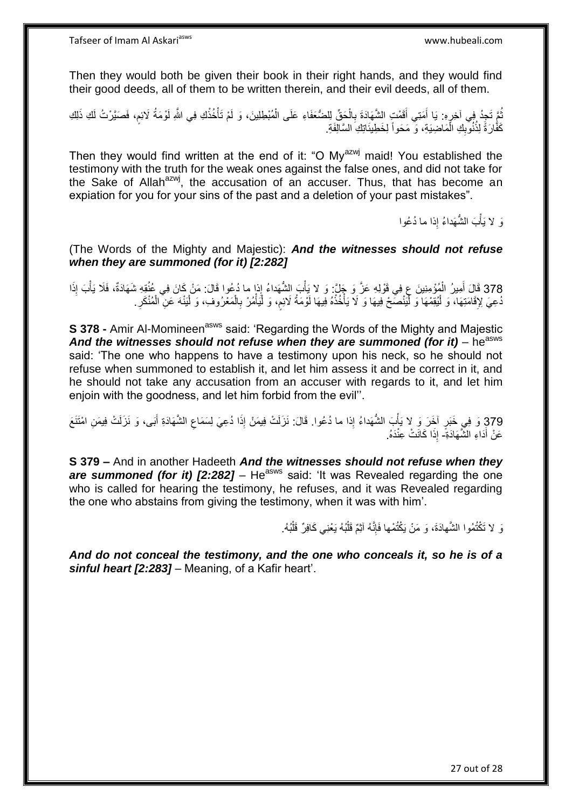Then they would both be given their book in their right hands, and they would find their good deeds, all of them to be written therein, and their evil deeds, all of them.

ثُمَّ تَجِدُ فِي آخِرِهِ: يَا أَمَتِي أَقَمْتٍ الشَّهَادَةَ بِالْحَقِّ لِلضُّعَفَاءِ عَلَى الْمُبْطِلِينَ، وَ لَمْ تَأْخُذْكِ فِي اللَّهِ لَوْمَةُ لَائِمٍ، فَصَيَّرْتُ لَكِ ذَلِكِ **ٔ** ْ ْ ْ ِ َ ِ كَفُّارَةً لِذُنُوبِكِ الْمَاضِيَةِ، وَ ۖ مَحَواً لِخَطِينَاتِكِ السَّالِّفَةِ. ْ ِ

Then they would find written at the end of it: "O My<sup>azwj</sup> maid! You established the testimony with the truth for the weak ones against the false ones, and did not take for the Sake of Allah<sup>azwj</sup>, the accusation of an accuser. Thus, that has become an expiation for you for your sins of the past and a deletion of your past mistakes".

> وَ لا يَأْبَ الشَّهَداءُ إِذا ما دُعُوا ْ

(The Words of the Mighty and Majestic): *And the witnesses should not refuse when they are summoned (for it) [2:282]*

ِ 378 قَالَ أَمِيرُ الْمُؤْمِنِينَ عٍ فِي قَوْلِهِ عَزَّ وَ جَلَّ: وَ لا يَأْبَ الشُّهَداءُ إِذا ما دُعُوا قَالَ: مَنْ كَانَ فِي عُنُقِهِ شَهَادَةٌ، فَلَا يَأْبَ إِذَا ْ َ ْْ ُدْعِيَ لِإِقَامَتِهَا، وَ لْيُقِمْهَا وَ لّْيَنْصَحْ فِيهَا وَ لَا يَأْخُذْهُ فِيهَا لَوْمَةُ لَائِمٍ، وَ لْيَأْمُرْ بِالْمَعْرُوفِ، وَ لْيَنْهَ عَنِّ الْمُنْكَرِ . :<br>ا ِ ْ ْ ْ ِ ْ ْ **ٔ:** ْ ْ ِ

**S 378 -** Amir Al-Momineen<sup>asws</sup> said: 'Regarding the Words of the Mighty and Majestic And the witnesses should not refuse when they are summoned (for it) – he<sup>asws</sup> said: 'The one who happens to have a testimony upon his neck, so he should not refuse when summoned to establish it, and let him assess it and be correct in it, and he should not take any accusation from an accuser with regards to it, and let him enjoin with the goodness, and let him forbid from the evil''.

379 وَ فِي خَبَرٍ آخَرَ وَ لا يَأْبَ الشُّهَداءُ إِذا ما دُعُوا. قَالَ: نَزَلَتْ فِيمَنْ إِذَا دُعِيَ لِسَمَاعِ الشَّهَادَةِ أَبَى، وَ نَزَلَتْ فِيمَنِ امْتَنَعَ َْ ِ َ عَنْ أَدَاءِ الشَّهَادَةِّ- إِذَا كَانَتْ عِنْدَهُ.

**S 379 –** And in another Hadeeth *And the witnesses should not refuse when they are summoned (for it) [2:282]* – He<sup>asws</sup> said: 'It was Revealed regarding the one who is called for hearing the testimony, he refuses, and it was Revealed regarding the one who abstains from giving the testimony, when it was with him'.

> نَ لا تَكْتُمُوا الشَّهادَةَ، وَ مَنْ يَكْتُمْها فَإِنَّهُ آثِمٌ قَلْبُهُ يَعْنِي كَافِرٌ قَلْبُهُ. ِ ْ ْ

*And do not conceal the testimony, and the one who conceals it, so he is of a sinful heart [2:283]* – Meaning, of a Kafir heart'.